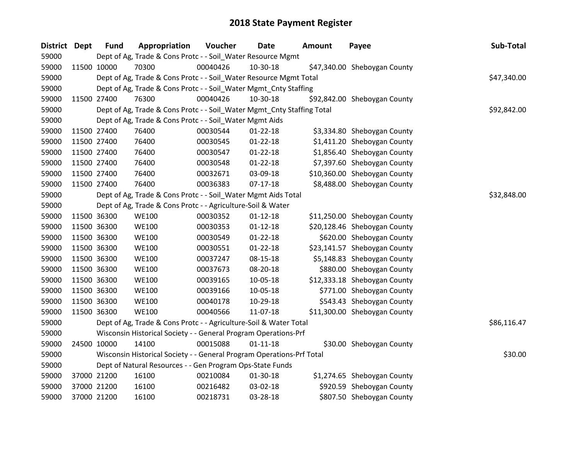| <b>District</b> | <b>Dept</b> | <b>Fund</b> | Appropriation                                                          | Voucher  | <b>Date</b>    | <b>Amount</b> | Payee                        | Sub-Total   |
|-----------------|-------------|-------------|------------------------------------------------------------------------|----------|----------------|---------------|------------------------------|-------------|
| 59000           |             |             | Dept of Ag, Trade & Cons Protc - - Soil_Water Resource Mgmt            |          |                |               |                              |             |
| 59000           | 11500 10000 |             | 70300                                                                  | 00040426 | 10-30-18       |               | \$47,340.00 Sheboygan County |             |
| 59000           |             |             | Dept of Ag, Trade & Cons Protc - - Soil_Water Resource Mgmt Total      |          |                |               |                              | \$47,340.00 |
| 59000           |             |             | Dept of Ag, Trade & Cons Protc - - Soil_Water Mgmt_Cnty Staffing       |          |                |               |                              |             |
| 59000           | 11500 27400 |             | 76300                                                                  | 00040426 | 10-30-18       |               | \$92,842.00 Sheboygan County |             |
| 59000           |             |             | Dept of Ag, Trade & Cons Protc - - Soil_Water Mgmt_Cnty Staffing Total |          |                |               |                              | \$92,842.00 |
| 59000           |             |             | Dept of Ag, Trade & Cons Protc - - Soil_Water Mgmt Aids                |          |                |               |                              |             |
| 59000           | 11500 27400 |             | 76400                                                                  | 00030544 | $01 - 22 - 18$ |               | \$3,334.80 Sheboygan County  |             |
| 59000           | 11500 27400 |             | 76400                                                                  | 00030545 | $01 - 22 - 18$ |               | \$1,411.20 Sheboygan County  |             |
| 59000           | 11500 27400 |             | 76400                                                                  | 00030547 | $01 - 22 - 18$ |               | \$1,856.40 Sheboygan County  |             |
| 59000           | 11500 27400 |             | 76400                                                                  | 00030548 | $01 - 22 - 18$ |               | \$7,397.60 Sheboygan County  |             |
| 59000           | 11500 27400 |             | 76400                                                                  | 00032671 | 03-09-18       |               | \$10,360.00 Sheboygan County |             |
| 59000           | 11500 27400 |             | 76400                                                                  | 00036383 | $07-17-18$     |               | \$8,488.00 Sheboygan County  |             |
| 59000           |             |             | Dept of Ag, Trade & Cons Protc - - Soil_Water Mgmt Aids Total          |          |                |               |                              | \$32,848.00 |
| 59000           |             |             | Dept of Ag, Trade & Cons Protc - - Agriculture-Soil & Water            |          |                |               |                              |             |
| 59000           | 11500 36300 |             | <b>WE100</b>                                                           | 00030352 | $01 - 12 - 18$ |               | \$11,250.00 Sheboygan County |             |
| 59000           | 11500 36300 |             | <b>WE100</b>                                                           | 00030353 | $01 - 12 - 18$ |               | \$20,128.46 Sheboygan County |             |
| 59000           | 11500 36300 |             | <b>WE100</b>                                                           | 00030549 | $01 - 22 - 18$ |               | \$620.00 Sheboygan County    |             |
| 59000           | 11500 36300 |             | <b>WE100</b>                                                           | 00030551 | $01 - 22 - 18$ |               | \$23,141.57 Sheboygan County |             |
| 59000           | 11500 36300 |             | <b>WE100</b>                                                           | 00037247 | 08-15-18       |               | \$5,148.83 Sheboygan County  |             |
| 59000           |             | 11500 36300 | <b>WE100</b>                                                           | 00037673 | 08-20-18       |               | \$880.00 Sheboygan County    |             |
| 59000           | 11500 36300 |             | <b>WE100</b>                                                           | 00039165 | 10-05-18       |               | \$12,333.18 Sheboygan County |             |
| 59000           | 11500 36300 |             | <b>WE100</b>                                                           | 00039166 | 10-05-18       |               | \$771.00 Sheboygan County    |             |
| 59000           | 11500 36300 |             | <b>WE100</b>                                                           | 00040178 | 10-29-18       |               | \$543.43 Sheboygan County    |             |
| 59000           | 11500 36300 |             | <b>WE100</b>                                                           | 00040566 | 11-07-18       |               | \$11,300.00 Sheboygan County |             |
| 59000           |             |             | Dept of Ag, Trade & Cons Protc - - Agriculture-Soil & Water Total      |          |                |               |                              | \$86,116.47 |
| 59000           |             |             | Wisconsin Historical Society - - General Program Operations-Prf        |          |                |               |                              |             |
| 59000           | 24500 10000 |             | 14100                                                                  | 00015088 | $01 - 11 - 18$ |               | \$30.00 Sheboygan County     |             |
| 59000           |             |             | Wisconsin Historical Society - - General Program Operations-Prf Total  |          |                |               |                              | \$30.00     |
| 59000           |             |             | Dept of Natural Resources - - Gen Program Ops-State Funds              |          |                |               |                              |             |
| 59000           |             | 37000 21200 | 16100                                                                  | 00210084 | 01-30-18       |               | \$1,274.65 Sheboygan County  |             |
| 59000           |             | 37000 21200 | 16100                                                                  | 00216482 | 03-02-18       |               | \$920.59 Sheboygan County    |             |
| 59000           | 37000 21200 |             | 16100                                                                  | 00218731 | 03-28-18       |               | \$807.50 Sheboygan County    |             |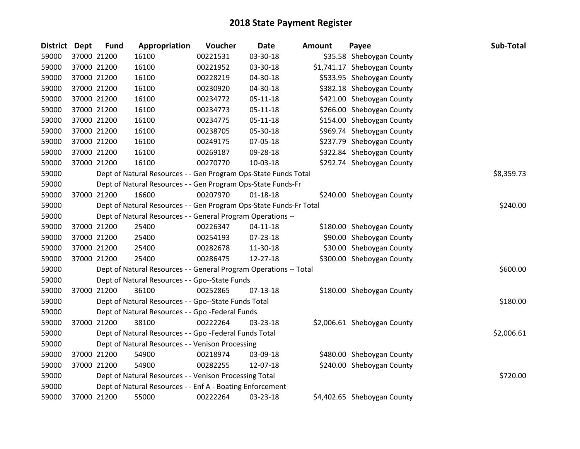| <b>District</b> | <b>Dept</b> | <b>Fund</b> | Appropriation                                                      | Voucher  | Date           | <b>Amount</b> | Payee                       | Sub-Total  |
|-----------------|-------------|-------------|--------------------------------------------------------------------|----------|----------------|---------------|-----------------------------|------------|
| 59000           |             | 37000 21200 | 16100                                                              | 00221531 | 03-30-18       |               | \$35.58 Sheboygan County    |            |
| 59000           |             | 37000 21200 | 16100                                                              | 00221952 | 03-30-18       |               | \$1,741.17 Sheboygan County |            |
| 59000           |             | 37000 21200 | 16100                                                              | 00228219 | 04-30-18       |               | \$533.95 Sheboygan County   |            |
| 59000           |             | 37000 21200 | 16100                                                              | 00230920 | 04-30-18       |               | \$382.18 Sheboygan County   |            |
| 59000           |             | 37000 21200 | 16100                                                              | 00234772 | $05 - 11 - 18$ |               | \$421.00 Sheboygan County   |            |
| 59000           |             | 37000 21200 | 16100                                                              | 00234773 | $05 - 11 - 18$ |               | \$266.00 Sheboygan County   |            |
| 59000           |             | 37000 21200 | 16100                                                              | 00234775 | $05 - 11 - 18$ |               | \$154.00 Sheboygan County   |            |
| 59000           |             | 37000 21200 | 16100                                                              | 00238705 | 05-30-18       |               | \$969.74 Sheboygan County   |            |
| 59000           |             | 37000 21200 | 16100                                                              | 00249175 | 07-05-18       |               | \$237.79 Sheboygan County   |            |
| 59000           |             | 37000 21200 | 16100                                                              | 00269187 | 09-28-18       |               | \$322.84 Sheboygan County   |            |
| 59000           |             | 37000 21200 | 16100                                                              | 00270770 | 10-03-18       |               | \$292.74 Sheboygan County   |            |
| 59000           |             |             | Dept of Natural Resources - - Gen Program Ops-State Funds Total    |          |                |               |                             | \$8,359.73 |
| 59000           |             |             | Dept of Natural Resources - - Gen Program Ops-State Funds-Fr       |          |                |               |                             |            |
| 59000           |             | 37000 21200 | 16600                                                              | 00207970 | $01 - 18 - 18$ |               | \$240.00 Sheboygan County   |            |
| 59000           |             |             | Dept of Natural Resources - - Gen Program Ops-State Funds-Fr Total |          |                |               |                             | \$240.00   |
| 59000           |             |             | Dept of Natural Resources - - General Program Operations --        |          |                |               |                             |            |
| 59000           |             | 37000 21200 | 25400                                                              | 00226347 | $04 - 11 - 18$ |               | \$180.00 Sheboygan County   |            |
| 59000           |             | 37000 21200 | 25400                                                              | 00254193 | 07-23-18       |               | \$90.00 Sheboygan County    |            |
| 59000           |             | 37000 21200 | 25400                                                              | 00282678 | 11-30-18       |               | \$30.00 Sheboygan County    |            |
| 59000           |             | 37000 21200 | 25400                                                              | 00286475 | 12-27-18       |               | \$300.00 Sheboygan County   |            |
| 59000           |             |             | Dept of Natural Resources - - General Program Operations -- Total  |          |                |               |                             | \$600.00   |
| 59000           |             |             | Dept of Natural Resources - - Gpo--State Funds                     |          |                |               |                             |            |
| 59000           |             | 37000 21200 | 36100                                                              | 00252865 | 07-13-18       |               | \$180.00 Sheboygan County   |            |
| 59000           |             |             | Dept of Natural Resources - - Gpo--State Funds Total               |          |                |               |                             | \$180.00   |
| 59000           |             |             | Dept of Natural Resources - - Gpo -Federal Funds                   |          |                |               |                             |            |
| 59000           |             | 37000 21200 | 38100                                                              | 00222264 | 03-23-18       |               | \$2,006.61 Sheboygan County |            |
| 59000           |             |             | Dept of Natural Resources - - Gpo -Federal Funds Total             |          |                |               |                             | \$2,006.61 |
| 59000           |             |             | Dept of Natural Resources - - Venison Processing                   |          |                |               |                             |            |
| 59000           |             | 37000 21200 | 54900                                                              | 00218974 | 03-09-18       |               | \$480.00 Sheboygan County   |            |
| 59000           |             | 37000 21200 | 54900                                                              | 00282255 | 12-07-18       |               | \$240.00 Sheboygan County   |            |
| 59000           |             |             | Dept of Natural Resources - - Venison Processing Total             |          |                |               |                             | \$720.00   |
| 59000           |             |             | Dept of Natural Resources - - Enf A - Boating Enforcement          |          |                |               |                             |            |
| 59000           |             | 37000 21200 | 55000                                                              | 00222264 | 03-23-18       |               | \$4,402.65 Sheboygan County |            |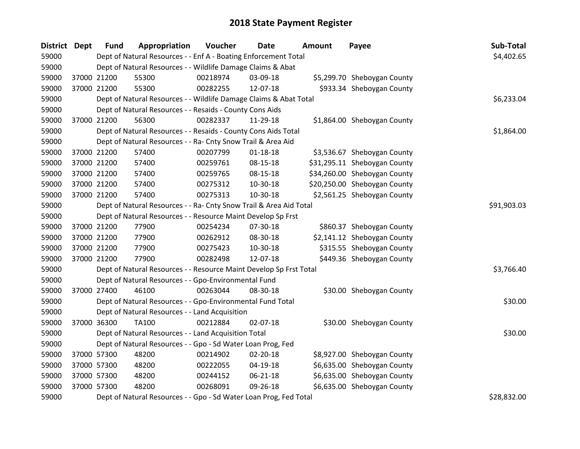| District Dept |             | <b>Fund</b> | Appropriation                                                      | Voucher     | <b>Date</b>    | Amount | Payee                        | Sub-Total  |
|---------------|-------------|-------------|--------------------------------------------------------------------|-------------|----------------|--------|------------------------------|------------|
| 59000         |             |             | Dept of Natural Resources - - Enf A - Boating Enforcement Total    |             |                |        |                              | \$4,402.65 |
| 59000         |             |             | Dept of Natural Resources - - Wildlife Damage Claims & Abat        |             |                |        |                              |            |
| 59000         |             | 37000 21200 | 55300                                                              | 00218974    | 03-09-18       |        | \$5,299.70 Sheboygan County  |            |
| 59000         | 37000 21200 |             | 55300                                                              | 00282255    | 12-07-18       |        | \$933.34 Sheboygan County    |            |
| 59000         |             |             | Dept of Natural Resources - - Wildlife Damage Claims & Abat Total  |             |                |        |                              | \$6,233.04 |
| 59000         |             |             | Dept of Natural Resources - - Resaids - County Cons Aids           |             |                |        |                              |            |
| 59000         | 37000 21200 |             | 56300                                                              | 00282337    | 11-29-18       |        | \$1,864.00 Sheboygan County  |            |
| 59000         |             |             | Dept of Natural Resources - - Resaids - County Cons Aids Total     | \$1,864.00  |                |        |                              |            |
| 59000         |             |             | Dept of Natural Resources - - Ra- Cnty Snow Trail & Area Aid       |             |                |        |                              |            |
| 59000         | 37000 21200 |             | 57400                                                              | 00207799    | $01 - 18 - 18$ |        | \$3,536.67 Sheboygan County  |            |
| 59000         | 37000 21200 |             | 57400                                                              | 00259761    | 08-15-18       |        | \$31,295.11 Sheboygan County |            |
| 59000         | 37000 21200 |             | 57400                                                              | 00259765    | 08-15-18       |        | \$34,260.00 Sheboygan County |            |
| 59000         | 37000 21200 |             | 57400                                                              | 00275312    | 10-30-18       |        | \$20,250.00 Sheboygan County |            |
| 59000         | 37000 21200 |             | 57400                                                              | 00275313    | 10-30-18       |        | \$2,561.25 Sheboygan County  |            |
| 59000         |             |             | Dept of Natural Resources - - Ra- Cnty Snow Trail & Area Aid Total | \$91,903.03 |                |        |                              |            |
| 59000         |             |             | Dept of Natural Resources - - Resource Maint Develop Sp Frst       |             |                |        |                              |            |
| 59000         | 37000 21200 |             | 77900                                                              | 00254234    | 07-30-18       |        | \$860.37 Sheboygan County    |            |
| 59000         | 37000 21200 |             | 77900                                                              | 00262912    | 08-30-18       |        | \$2,141.12 Sheboygan County  |            |
| 59000         | 37000 21200 |             | 77900                                                              | 00275423    | 10-30-18       |        | \$315.55 Sheboygan County    |            |
| 59000         | 37000 21200 |             | 77900                                                              | 00282498    | 12-07-18       |        | \$449.36 Sheboygan County    |            |
| 59000         |             |             | Dept of Natural Resources - - Resource Maint Develop Sp Frst Total |             |                |        |                              | \$3,766.40 |
| 59000         |             |             | Dept of Natural Resources - - Gpo-Environmental Fund               |             |                |        |                              |            |
| 59000         | 37000 27400 |             | 46100                                                              | 00263044    | 08-30-18       |        | \$30.00 Sheboygan County     |            |
| 59000         |             |             | Dept of Natural Resources - - Gpo-Environmental Fund Total         |             |                |        |                              | \$30.00    |
| 59000         |             |             | Dept of Natural Resources - - Land Acquisition                     |             |                |        |                              |            |
| 59000         | 37000 36300 |             | TA100                                                              | 00212884    | 02-07-18       |        | \$30.00 Sheboygan County     |            |
| 59000         |             |             | Dept of Natural Resources - - Land Acquisition Total               |             |                |        |                              | \$30.00    |
| 59000         |             |             | Dept of Natural Resources - - Gpo - Sd Water Loan Prog, Fed        |             |                |        |                              |            |
| 59000         | 37000 57300 |             | 48200                                                              | 00214902    | $02 - 20 - 18$ |        | \$8,927.00 Sheboygan County  |            |
| 59000         | 37000 57300 |             | 48200                                                              | 00222055    | 04-19-18       |        | \$6,635.00 Sheboygan County  |            |
| 59000         | 37000 57300 |             | 48200                                                              | 00244152    | 06-21-18       |        | \$6,635.00 Sheboygan County  |            |
| 59000         |             | 37000 57300 | 48200                                                              | 00268091    | 09-26-18       |        | \$6,635.00 Sheboygan County  |            |
| 59000         |             |             | Dept of Natural Resources - - Gpo - Sd Water Loan Prog, Fed Total  |             | \$28,832.00    |        |                              |            |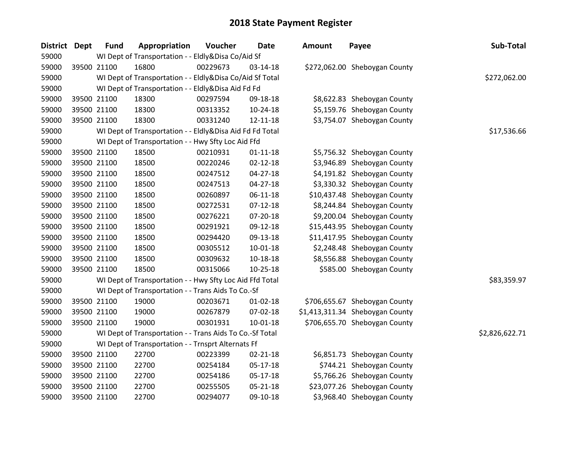| District Dept | <b>Fund</b> | Appropriation                                            | Voucher  | <b>Date</b>    | <b>Amount</b> | Payee                           | Sub-Total      |
|---------------|-------------|----------------------------------------------------------|----------|----------------|---------------|---------------------------------|----------------|
| 59000         |             | WI Dept of Transportation - - Eldly&Disa Co/Aid Sf       |          |                |               |                                 |                |
| 59000         | 39500 21100 | 16800                                                    | 00229673 | $03-14-18$     |               | \$272,062.00 Sheboygan County   |                |
| 59000         |             | WI Dept of Transportation - - Eldly&Disa Co/Aid Sf Total |          |                |               |                                 | \$272,062.00   |
| 59000         |             | WI Dept of Transportation - - Eldly&Disa Aid Fd Fd       |          |                |               |                                 |                |
| 59000         | 39500 21100 | 18300                                                    | 00297594 | 09-18-18       |               | \$8,622.83 Sheboygan County     |                |
| 59000         | 39500 21100 | 18300                                                    | 00313352 | $10-24-18$     |               | \$5,159.76 Sheboygan County     |                |
| 59000         | 39500 21100 | 18300                                                    | 00331240 | 12-11-18       |               | \$3,754.07 Sheboygan County     |                |
| 59000         |             | WI Dept of Transportation - - Eldly&Disa Aid Fd Fd Total |          |                |               |                                 | \$17,536.66    |
| 59000         |             | WI Dept of Transportation - - Hwy Sfty Loc Aid Ffd       |          |                |               |                                 |                |
| 59000         | 39500 21100 | 18500                                                    | 00210931 | $01 - 11 - 18$ |               | \$5,756.32 Sheboygan County     |                |
| 59000         | 39500 21100 | 18500                                                    | 00220246 | $02 - 12 - 18$ |               | \$3,946.89 Sheboygan County     |                |
| 59000         | 39500 21100 | 18500                                                    | 00247512 | $04 - 27 - 18$ |               | \$4,191.82 Sheboygan County     |                |
| 59000         | 39500 21100 | 18500                                                    | 00247513 | $04 - 27 - 18$ |               | \$3,330.32 Sheboygan County     |                |
| 59000         | 39500 21100 | 18500                                                    | 00260897 | $06 - 11 - 18$ |               | \$10,437.48 Sheboygan County    |                |
| 59000         | 39500 21100 | 18500                                                    | 00272531 | $07 - 12 - 18$ |               | \$8,244.84 Sheboygan County     |                |
| 59000         | 39500 21100 | 18500                                                    | 00276221 | 07-20-18       |               | \$9,200.04 Sheboygan County     |                |
| 59000         | 39500 21100 | 18500                                                    | 00291921 | 09-12-18       |               | \$15,443.95 Sheboygan County    |                |
| 59000         | 39500 21100 | 18500                                                    | 00294420 | 09-13-18       |               | \$11,417.95 Sheboygan County    |                |
| 59000         | 39500 21100 | 18500                                                    | 00305512 | $10-01-18$     |               | \$2,248.48 Sheboygan County     |                |
| 59000         | 39500 21100 | 18500                                                    | 00309632 | 10-18-18       |               | \$8,556.88 Sheboygan County     |                |
| 59000         | 39500 21100 | 18500                                                    | 00315066 | $10 - 25 - 18$ |               | \$585.00 Sheboygan County       |                |
| 59000         |             | WI Dept of Transportation - - Hwy Sfty Loc Aid Ffd Total |          |                |               |                                 | \$83,359.97    |
| 59000         |             | WI Dept of Transportation - - Trans Aids To Co.-Sf       |          |                |               |                                 |                |
| 59000         | 39500 21100 | 19000                                                    | 00203671 | $01 - 02 - 18$ |               | \$706,655.67 Sheboygan County   |                |
| 59000         | 39500 21100 | 19000                                                    | 00267879 | 07-02-18       |               | \$1,413,311.34 Sheboygan County |                |
| 59000         | 39500 21100 | 19000                                                    | 00301931 | 10-01-18       |               | \$706,655.70 Sheboygan County   |                |
| 59000         |             | WI Dept of Transportation - - Trans Aids To Co.-Sf Total |          |                |               |                                 | \$2,826,622.71 |
| 59000         |             | WI Dept of Transportation - - Trnsprt Alternats Ff       |          |                |               |                                 |                |
| 59000         | 39500 21100 | 22700                                                    | 00223399 | $02 - 21 - 18$ |               | \$6,851.73 Sheboygan County     |                |
| 59000         | 39500 21100 | 22700                                                    | 00254184 | 05-17-18       |               | \$744.21 Sheboygan County       |                |
| 59000         | 39500 21100 | 22700                                                    | 00254186 | 05-17-18       |               | \$5,766.26 Sheboygan County     |                |
| 59000         | 39500 21100 | 22700                                                    | 00255505 | $05 - 21 - 18$ |               | \$23,077.26 Sheboygan County    |                |
| 59000         | 39500 21100 | 22700                                                    | 00294077 | 09-10-18       |               | \$3,968.40 Sheboygan County     |                |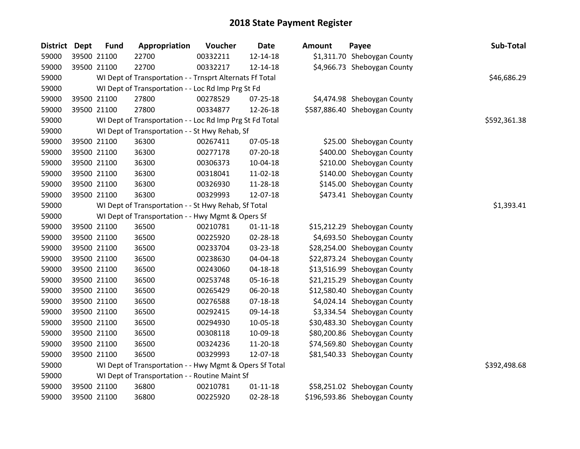| District Dept | <b>Fund</b> | Appropriation                                            | Voucher  | <b>Date</b>    | <b>Amount</b> | Payee                         | Sub-Total    |
|---------------|-------------|----------------------------------------------------------|----------|----------------|---------------|-------------------------------|--------------|
| 59000         | 39500 21100 | 22700                                                    | 00332211 | 12-14-18       |               | \$1,311.70 Sheboygan County   |              |
| 59000         | 39500 21100 | 22700                                                    | 00332217 | $12 - 14 - 18$ |               | \$4,966.73 Sheboygan County   |              |
| 59000         |             | WI Dept of Transportation - - Trnsprt Alternats Ff Total |          |                |               |                               | \$46,686.29  |
| 59000         |             | WI Dept of Transportation - - Loc Rd Imp Prg St Fd       |          |                |               |                               |              |
| 59000         | 39500 21100 | 27800                                                    | 00278529 | 07-25-18       |               | \$4,474.98 Sheboygan County   |              |
| 59000         | 39500 21100 | 27800                                                    | 00334877 | 12-26-18       |               | \$587,886.40 Sheboygan County |              |
| 59000         |             | WI Dept of Transportation - - Loc Rd Imp Prg St Fd Total |          |                |               |                               | \$592,361.38 |
| 59000         |             | WI Dept of Transportation - - St Hwy Rehab, Sf           |          |                |               |                               |              |
| 59000         | 39500 21100 | 36300                                                    | 00267411 | 07-05-18       |               | \$25.00 Sheboygan County      |              |
| 59000         | 39500 21100 | 36300                                                    | 00277178 | 07-20-18       |               | \$400.00 Sheboygan County     |              |
| 59000         | 39500 21100 | 36300                                                    | 00306373 | 10-04-18       |               | \$210.00 Sheboygan County     |              |
| 59000         | 39500 21100 | 36300                                                    | 00318041 | 11-02-18       |               | \$140.00 Sheboygan County     |              |
| 59000         | 39500 21100 | 36300                                                    | 00326930 | 11-28-18       |               | \$145.00 Sheboygan County     |              |
| 59000         | 39500 21100 | 36300                                                    | 00329993 | 12-07-18       |               | \$473.41 Sheboygan County     |              |
| 59000         |             | WI Dept of Transportation - - St Hwy Rehab, Sf Total     |          |                |               |                               | \$1,393.41   |
| 59000         |             | WI Dept of Transportation - - Hwy Mgmt & Opers Sf        |          |                |               |                               |              |
| 59000         | 39500 21100 | 36500                                                    | 00210781 | $01 - 11 - 18$ |               | \$15,212.29 Sheboygan County  |              |
| 59000         | 39500 21100 | 36500                                                    | 00225920 | 02-28-18       |               | \$4,693.50 Sheboygan County   |              |
| 59000         | 39500 21100 | 36500                                                    | 00233704 | 03-23-18       |               | \$28,254.00 Sheboygan County  |              |
| 59000         | 39500 21100 | 36500                                                    | 00238630 | 04-04-18       |               | \$22,873.24 Sheboygan County  |              |
| 59000         | 39500 21100 | 36500                                                    | 00243060 | $04 - 18 - 18$ |               | \$13,516.99 Sheboygan County  |              |
| 59000         | 39500 21100 | 36500                                                    | 00253748 | 05-16-18       |               | \$21,215.29 Sheboygan County  |              |
| 59000         | 39500 21100 | 36500                                                    | 00265429 | 06-20-18       |               | \$12,580.40 Sheboygan County  |              |
| 59000         | 39500 21100 | 36500                                                    | 00276588 | 07-18-18       |               | \$4,024.14 Sheboygan County   |              |
| 59000         | 39500 21100 | 36500                                                    | 00292415 | 09-14-18       |               | \$3,334.54 Sheboygan County   |              |
| 59000         | 39500 21100 | 36500                                                    | 00294930 | 10-05-18       |               | \$30,483.30 Sheboygan County  |              |
| 59000         | 39500 21100 | 36500                                                    | 00308118 | 10-09-18       |               | \$80,200.86 Sheboygan County  |              |
| 59000         | 39500 21100 | 36500                                                    | 00324236 | 11-20-18       |               | \$74,569.80 Sheboygan County  |              |
| 59000         | 39500 21100 | 36500                                                    | 00329993 | 12-07-18       |               | \$81,540.33 Sheboygan County  |              |
| 59000         |             | WI Dept of Transportation - - Hwy Mgmt & Opers Sf Total  |          |                |               |                               | \$392,498.68 |
| 59000         |             | WI Dept of Transportation - - Routine Maint Sf           |          |                |               |                               |              |
| 59000         | 39500 21100 | 36800                                                    | 00210781 | $01 - 11 - 18$ |               | \$58,251.02 Sheboygan County  |              |
| 59000         | 39500 21100 | 36800                                                    | 00225920 | 02-28-18       |               | \$196,593.86 Sheboygan County |              |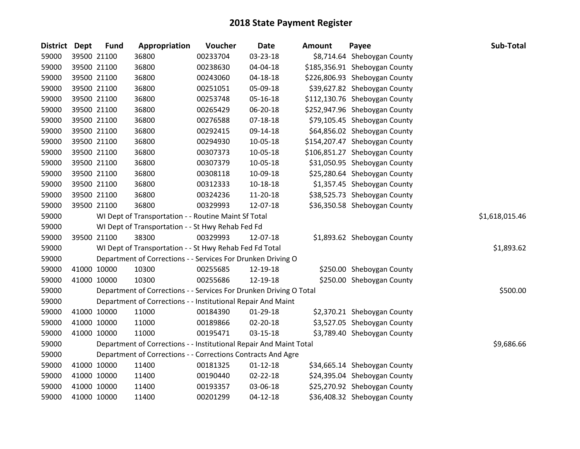| <b>District</b> | <b>Dept</b> | <b>Fund</b> | Appropriation                                                      | Voucher  | <b>Date</b>    | <b>Amount</b> | Payee                         | Sub-Total      |
|-----------------|-------------|-------------|--------------------------------------------------------------------|----------|----------------|---------------|-------------------------------|----------------|
| 59000           |             | 39500 21100 | 36800                                                              | 00233704 | 03-23-18       |               | \$8,714.64 Sheboygan County   |                |
| 59000           | 39500 21100 |             | 36800                                                              | 00238630 | 04-04-18       |               | \$185,356.91 Sheboygan County |                |
| 59000           | 39500 21100 |             | 36800                                                              | 00243060 | 04-18-18       |               | \$226,806.93 Sheboygan County |                |
| 59000           |             | 39500 21100 | 36800                                                              | 00251051 | 05-09-18       |               | \$39,627.82 Sheboygan County  |                |
| 59000           |             | 39500 21100 | 36800                                                              | 00253748 | 05-16-18       |               | \$112,130.76 Sheboygan County |                |
| 59000           |             | 39500 21100 | 36800                                                              | 00265429 | 06-20-18       |               | \$252,947.96 Sheboygan County |                |
| 59000           |             | 39500 21100 | 36800                                                              | 00276588 | $07 - 18 - 18$ |               | \$79,105.45 Sheboygan County  |                |
| 59000           |             | 39500 21100 | 36800                                                              | 00292415 | 09-14-18       |               | \$64,856.02 Sheboygan County  |                |
| 59000           |             | 39500 21100 | 36800                                                              | 00294930 | 10-05-18       |               | \$154,207.47 Sheboygan County |                |
| 59000           |             | 39500 21100 | 36800                                                              | 00307373 | 10-05-18       |               | \$106,851.27 Sheboygan County |                |
| 59000           |             | 39500 21100 | 36800                                                              | 00307379 | 10-05-18       |               | \$31,050.95 Sheboygan County  |                |
| 59000           |             | 39500 21100 | 36800                                                              | 00308118 | 10-09-18       |               | \$25,280.64 Sheboygan County  |                |
| 59000           | 39500 21100 |             | 36800                                                              | 00312333 | 10-18-18       |               | \$1,357.45 Sheboygan County   |                |
| 59000           |             | 39500 21100 | 36800                                                              | 00324236 | 11-20-18       |               | \$38,525.73 Sheboygan County  |                |
| 59000           |             | 39500 21100 | 36800                                                              | 00329993 | 12-07-18       |               | \$36,350.58 Sheboygan County  |                |
| 59000           |             |             | WI Dept of Transportation - - Routine Maint Sf Total               |          |                |               |                               | \$1,618,015.46 |
| 59000           |             |             | WI Dept of Transportation - - St Hwy Rehab Fed Fd                  |          |                |               |                               |                |
| 59000           |             | 39500 21100 | 38300                                                              | 00329993 | 12-07-18       |               | \$1,893.62 Sheboygan County   |                |
| 59000           |             |             | WI Dept of Transportation - - St Hwy Rehab Fed Fd Total            |          |                |               |                               | \$1,893.62     |
| 59000           |             |             | Department of Corrections - - Services For Drunken Driving O       |          |                |               |                               |                |
| 59000           | 41000 10000 |             | 10300                                                              | 00255685 | 12-19-18       |               | \$250.00 Sheboygan County     |                |
| 59000           | 41000 10000 |             | 10300                                                              | 00255686 | 12-19-18       |               | \$250.00 Sheboygan County     |                |
| 59000           |             |             | Department of Corrections - - Services For Drunken Driving O Total |          |                |               |                               | \$500.00       |
| 59000           |             |             | Department of Corrections - - Institutional Repair And Maint       |          |                |               |                               |                |
| 59000           | 41000 10000 |             | 11000                                                              | 00184390 | 01-29-18       |               | \$2,370.21 Sheboygan County   |                |
| 59000           |             | 41000 10000 | 11000                                                              | 00189866 | 02-20-18       |               | \$3,527.05 Sheboygan County   |                |
| 59000           |             | 41000 10000 | 11000                                                              | 00195471 | 03-15-18       |               | \$3,789.40 Sheboygan County   |                |
| 59000           |             |             | Department of Corrections - - Institutional Repair And Maint Total |          |                |               |                               | \$9,686.66     |
| 59000           |             |             | Department of Corrections - - Corrections Contracts And Agre       |          |                |               |                               |                |
| 59000           |             | 41000 10000 | 11400                                                              | 00181325 | $01 - 12 - 18$ |               | \$34,665.14 Sheboygan County  |                |
| 59000           | 41000 10000 |             | 11400                                                              | 00190440 | 02-22-18       |               | \$24,395.04 Sheboygan County  |                |
| 59000           | 41000 10000 |             | 11400                                                              | 00193357 | 03-06-18       |               | \$25,270.92 Sheboygan County  |                |
| 59000           | 41000 10000 |             | 11400                                                              | 00201299 | $04 - 12 - 18$ |               | \$36,408.32 Sheboygan County  |                |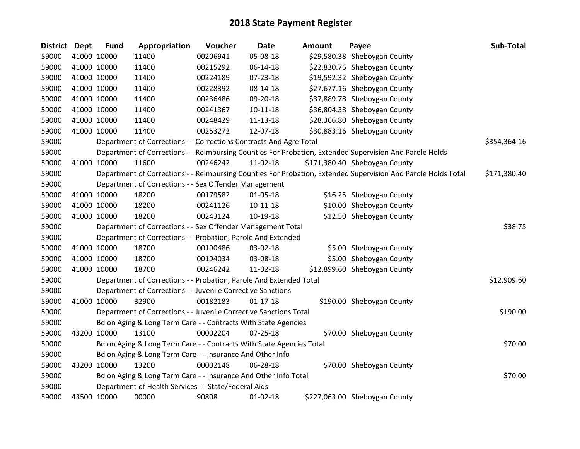| District Dept |             | <b>Fund</b> | Appropriation                                                        | Voucher  | <b>Date</b>    | Amount | Payee                                                                                                         | Sub-Total    |
|---------------|-------------|-------------|----------------------------------------------------------------------|----------|----------------|--------|---------------------------------------------------------------------------------------------------------------|--------------|
| 59000         |             | 41000 10000 | 11400                                                                | 00206941 | 05-08-18       |        | \$29,580.38 Sheboygan County                                                                                  |              |
| 59000         |             | 41000 10000 | 11400                                                                | 00215292 | 06-14-18       |        | \$22,830.76 Sheboygan County                                                                                  |              |
| 59000         |             | 41000 10000 | 11400                                                                | 00224189 | 07-23-18       |        | \$19,592.32 Sheboygan County                                                                                  |              |
| 59000         | 41000 10000 |             | 11400                                                                | 00228392 | 08-14-18       |        | \$27,677.16 Sheboygan County                                                                                  |              |
| 59000         |             | 41000 10000 | 11400                                                                | 00236486 | 09-20-18       |        | \$37,889.78 Sheboygan County                                                                                  |              |
| 59000         |             | 41000 10000 | 11400                                                                | 00241367 | $10 - 11 - 18$ |        | \$36,804.38 Sheboygan County                                                                                  |              |
| 59000         |             | 41000 10000 | 11400                                                                | 00248429 | $11 - 13 - 18$ |        | \$28,366.80 Sheboygan County                                                                                  |              |
| 59000         |             | 41000 10000 | 11400                                                                | 00253272 | 12-07-18       |        | \$30,883.16 Sheboygan County                                                                                  |              |
| 59000         |             |             | Department of Corrections - - Corrections Contracts And Agre Total   |          |                |        |                                                                                                               | \$354,364.16 |
| 59000         |             |             |                                                                      |          |                |        | Department of Corrections - - Reimbursing Counties For Probation, Extended Supervision And Parole Holds       |              |
| 59000         |             | 41000 10000 | 11600                                                                | 00246242 | 11-02-18       |        | \$171,380.40 Sheboygan County                                                                                 |              |
| 59000         |             |             |                                                                      |          |                |        | Department of Corrections - - Reimbursing Counties For Probation, Extended Supervision And Parole Holds Total | \$171,380.40 |
| 59000         |             |             | Department of Corrections - - Sex Offender Management                |          |                |        |                                                                                                               |              |
| 59000         |             | 41000 10000 | 18200                                                                | 00179582 | $01 - 05 - 18$ |        | \$16.25 Sheboygan County                                                                                      |              |
| 59000         |             | 41000 10000 | 18200                                                                | 00241126 | $10 - 11 - 18$ |        | \$10.00 Sheboygan County                                                                                      |              |
| 59000         |             | 41000 10000 | 18200                                                                | 00243124 | 10-19-18       |        | \$12.50 Sheboygan County                                                                                      |              |
| 59000         |             |             | Department of Corrections - - Sex Offender Management Total          |          |                |        |                                                                                                               | \$38.75      |
| 59000         |             |             | Department of Corrections - - Probation, Parole And Extended         |          |                |        |                                                                                                               |              |
| 59000         |             | 41000 10000 | 18700                                                                | 00190486 | 03-02-18       |        | \$5.00 Sheboygan County                                                                                       |              |
| 59000         |             | 41000 10000 | 18700                                                                | 00194034 | 03-08-18       |        | \$5.00 Sheboygan County                                                                                       |              |
| 59000         |             | 41000 10000 | 18700                                                                | 00246242 | 11-02-18       |        | \$12,899.60 Sheboygan County                                                                                  |              |
| 59000         |             |             | Department of Corrections - - Probation, Parole And Extended Total   |          |                |        |                                                                                                               | \$12,909.60  |
| 59000         |             |             | Department of Corrections - - Juvenile Corrective Sanctions          |          |                |        |                                                                                                               |              |
| 59000         |             | 41000 10000 | 32900                                                                | 00182183 | $01 - 17 - 18$ |        | \$190.00 Sheboygan County                                                                                     |              |
| 59000         |             |             | Department of Corrections - - Juvenile Corrective Sanctions Total    |          |                |        |                                                                                                               | \$190.00     |
| 59000         |             |             | Bd on Aging & Long Term Care - - Contracts With State Agencies       |          |                |        |                                                                                                               |              |
| 59000         |             | 43200 10000 | 13100                                                                | 00002204 | $07 - 25 - 18$ |        | \$70.00 Sheboygan County                                                                                      |              |
| 59000         |             |             | Bd on Aging & Long Term Care - - Contracts With State Agencies Total |          |                |        |                                                                                                               | \$70.00      |
| 59000         |             |             | Bd on Aging & Long Term Care - - Insurance And Other Info            |          |                |        |                                                                                                               |              |
| 59000         |             | 43200 10000 | 13200                                                                | 00002148 | 06-28-18       |        | \$70.00 Sheboygan County                                                                                      |              |
| 59000         |             |             | Bd on Aging & Long Term Care - - Insurance And Other Info Total      |          |                |        |                                                                                                               | \$70.00      |
| 59000         |             |             | Department of Health Services - - State/Federal Aids                 |          |                |        |                                                                                                               |              |
| 59000         |             | 43500 10000 | 00000                                                                | 90808    | $01-02-18$     |        | \$227,063.00 Sheboygan County                                                                                 |              |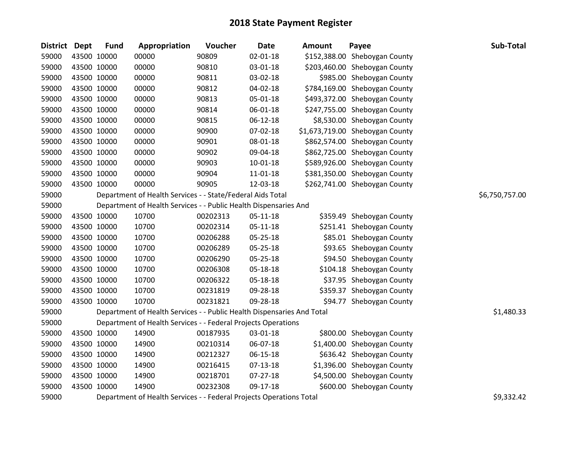| <b>District Dept</b> | <b>Fund</b> | Appropriation                                                          | Voucher  | <b>Date</b>    | <b>Amount</b> | Payee                           | Sub-Total      |
|----------------------|-------------|------------------------------------------------------------------------|----------|----------------|---------------|---------------------------------|----------------|
| 59000                | 43500 10000 | 00000                                                                  | 90809    | 02-01-18       |               | \$152,388.00 Sheboygan County   |                |
| 59000                | 43500 10000 | 00000                                                                  | 90810    | 03-01-18       |               | \$203,460.00 Sheboygan County   |                |
| 59000                | 43500 10000 | 00000                                                                  | 90811    | 03-02-18       |               | \$985.00 Sheboygan County       |                |
| 59000                | 43500 10000 | 00000                                                                  | 90812    | 04-02-18       |               | \$784,169.00 Sheboygan County   |                |
| 59000                | 43500 10000 | 00000                                                                  | 90813    | 05-01-18       |               | \$493,372.00 Sheboygan County   |                |
| 59000                | 43500 10000 | 00000                                                                  | 90814    | 06-01-18       |               | \$247,755.00 Sheboygan County   |                |
| 59000                | 43500 10000 | 00000                                                                  | 90815    | 06-12-18       |               | \$8,530.00 Sheboygan County     |                |
| 59000                | 43500 10000 | 00000                                                                  | 90900    | 07-02-18       |               | \$1,673,719.00 Sheboygan County |                |
| 59000                | 43500 10000 | 00000                                                                  | 90901    | 08-01-18       |               | \$862,574.00 Sheboygan County   |                |
| 59000                | 43500 10000 | 00000                                                                  | 90902    | 09-04-18       |               | \$862,725.00 Sheboygan County   |                |
| 59000                | 43500 10000 | 00000                                                                  | 90903    | $10 - 01 - 18$ |               | \$589,926.00 Sheboygan County   |                |
| 59000                | 43500 10000 | 00000                                                                  | 90904    | 11-01-18       |               | \$381,350.00 Sheboygan County   |                |
| 59000                | 43500 10000 | 00000                                                                  | 90905    | 12-03-18       |               | \$262,741.00 Sheboygan County   |                |
| 59000                |             | Department of Health Services - - State/Federal Aids Total             |          |                |               |                                 | \$6,750,757.00 |
| 59000                |             | Department of Health Services - - Public Health Dispensaries And       |          |                |               |                                 |                |
| 59000                | 43500 10000 | 10700                                                                  | 00202313 | $05 - 11 - 18$ |               | \$359.49 Sheboygan County       |                |
| 59000                | 43500 10000 | 10700                                                                  | 00202314 | $05 - 11 - 18$ |               | \$251.41 Sheboygan County       |                |
| 59000                | 43500 10000 | 10700                                                                  | 00206288 | 05-25-18       |               | \$85.01 Sheboygan County        |                |
| 59000                | 43500 10000 | 10700                                                                  | 00206289 | 05-25-18       |               | \$93.65 Sheboygan County        |                |
| 59000                | 43500 10000 | 10700                                                                  | 00206290 | 05-25-18       |               | \$94.50 Sheboygan County        |                |
| 59000                | 43500 10000 | 10700                                                                  | 00206308 | 05-18-18       |               | \$104.18 Sheboygan County       |                |
| 59000                | 43500 10000 | 10700                                                                  | 00206322 | 05-18-18       |               | \$37.95 Sheboygan County        |                |
| 59000                | 43500 10000 | 10700                                                                  | 00231819 | 09-28-18       |               | \$359.37 Sheboygan County       |                |
| 59000                | 43500 10000 | 10700                                                                  | 00231821 | 09-28-18       |               | \$94.77 Sheboygan County        |                |
| 59000                |             | Department of Health Services - - Public Health Dispensaries And Total |          |                |               |                                 | \$1,480.33     |
| 59000                |             | Department of Health Services - - Federal Projects Operations          |          |                |               |                                 |                |
| 59000                | 43500 10000 | 14900                                                                  | 00187935 | 03-01-18       |               | \$800.00 Sheboygan County       |                |
| 59000                | 43500 10000 | 14900                                                                  | 00210314 | 06-07-18       |               | \$1,400.00 Sheboygan County     |                |
| 59000                | 43500 10000 | 14900                                                                  | 00212327 | 06-15-18       |               | \$636.42 Sheboygan County       |                |
| 59000                | 43500 10000 | 14900                                                                  | 00216415 | $07-13-18$     |               | \$1,396.00 Sheboygan County     |                |
| 59000                | 43500 10000 | 14900                                                                  | 00218701 | $07 - 27 - 18$ |               | \$4,500.00 Sheboygan County     |                |
| 59000                | 43500 10000 | 14900                                                                  | 00232308 | 09-17-18       |               | \$600.00 Sheboygan County       |                |
| 59000                |             | Department of Health Services - - Federal Projects Operations Total    |          |                |               |                                 | \$9,332.42     |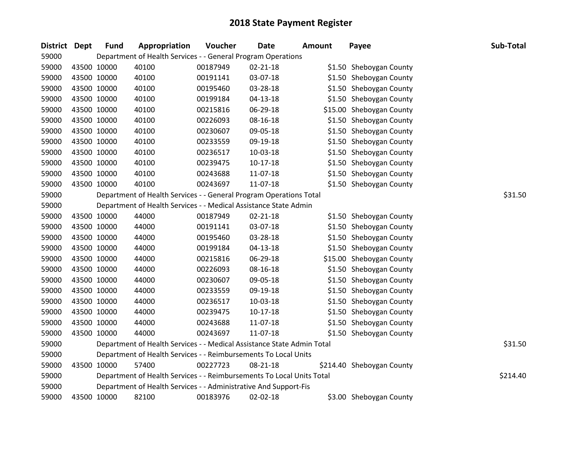| District Dept |             | <b>Fund</b> | Appropriation                                                | Voucher  | Date                                                                   | <b>Amount</b> | Payee                     | Sub-Total |
|---------------|-------------|-------------|--------------------------------------------------------------|----------|------------------------------------------------------------------------|---------------|---------------------------|-----------|
| 59000         |             |             | Department of Health Services - - General Program Operations |          |                                                                        |               |                           |           |
| 59000         | 43500 10000 |             | 40100                                                        | 00187949 | $02 - 21 - 18$                                                         |               | \$1.50 Sheboygan County   |           |
| 59000         | 43500 10000 |             | 40100                                                        | 00191141 | 03-07-18                                                               |               | \$1.50 Sheboygan County   |           |
| 59000         | 43500 10000 |             | 40100                                                        | 00195460 | 03-28-18                                                               |               | \$1.50 Sheboygan County   |           |
| 59000         | 43500 10000 |             | 40100                                                        | 00199184 | $04 - 13 - 18$                                                         |               | \$1.50 Sheboygan County   |           |
| 59000         |             | 43500 10000 | 40100                                                        | 00215816 | 06-29-18                                                               |               | \$15.00 Sheboygan County  |           |
| 59000         | 43500 10000 |             | 40100                                                        | 00226093 | 08-16-18                                                               |               | \$1.50 Sheboygan County   |           |
| 59000         | 43500 10000 |             | 40100                                                        | 00230607 | 09-05-18                                                               |               | \$1.50 Sheboygan County   |           |
| 59000         | 43500 10000 |             | 40100                                                        | 00233559 | 09-19-18                                                               |               | \$1.50 Sheboygan County   |           |
| 59000         |             | 43500 10000 | 40100                                                        | 00236517 | 10-03-18                                                               |               | \$1.50 Sheboygan County   |           |
| 59000         |             | 43500 10000 | 40100                                                        | 00239475 | $10-17-18$                                                             |               | \$1.50 Sheboygan County   |           |
| 59000         | 43500 10000 |             | 40100                                                        | 00243688 | 11-07-18                                                               |               | \$1.50 Sheboygan County   |           |
| 59000         | 43500 10000 |             | 40100                                                        | 00243697 | 11-07-18                                                               |               | \$1.50 Sheboygan County   |           |
| 59000         |             |             |                                                              |          | Department of Health Services - - General Program Operations Total     |               |                           | \$31.50   |
| 59000         |             |             |                                                              |          | Department of Health Services - - Medical Assistance State Admin       |               |                           |           |
| 59000         |             | 43500 10000 | 44000                                                        | 00187949 | $02 - 21 - 18$                                                         |               | \$1.50 Sheboygan County   |           |
| 59000         | 43500 10000 |             | 44000                                                        | 00191141 | 03-07-18                                                               |               | \$1.50 Sheboygan County   |           |
| 59000         | 43500 10000 |             | 44000                                                        | 00195460 | 03-28-18                                                               |               | \$1.50 Sheboygan County   |           |
| 59000         | 43500 10000 |             | 44000                                                        | 00199184 | $04 - 13 - 18$                                                         |               | \$1.50 Sheboygan County   |           |
| 59000         |             | 43500 10000 | 44000                                                        | 00215816 | 06-29-18                                                               |               | \$15.00 Sheboygan County  |           |
| 59000         |             | 43500 10000 | 44000                                                        | 00226093 | 08-16-18                                                               |               | \$1.50 Sheboygan County   |           |
| 59000         | 43500 10000 |             | 44000                                                        | 00230607 | 09-05-18                                                               |               | \$1.50 Sheboygan County   |           |
| 59000         | 43500 10000 |             | 44000                                                        | 00233559 | 09-19-18                                                               |               | \$1.50 Sheboygan County   |           |
| 59000         | 43500 10000 |             | 44000                                                        | 00236517 | 10-03-18                                                               |               | \$1.50 Sheboygan County   |           |
| 59000         | 43500 10000 |             | 44000                                                        | 00239475 | $10-17-18$                                                             |               | \$1.50 Sheboygan County   |           |
| 59000         |             | 43500 10000 | 44000                                                        | 00243688 | 11-07-18                                                               |               | \$1.50 Sheboygan County   |           |
| 59000         | 43500 10000 |             | 44000                                                        | 00243697 | 11-07-18                                                               |               | \$1.50 Sheboygan County   |           |
| 59000         |             |             |                                                              |          | Department of Health Services - - Medical Assistance State Admin Total |               |                           | \$31.50   |
| 59000         |             |             |                                                              |          | Department of Health Services - - Reimbursements To Local Units        |               |                           |           |
| 59000         | 43500 10000 |             | 57400                                                        | 00227723 | 08-21-18                                                               |               | \$214.40 Sheboygan County |           |
| 59000         |             |             |                                                              |          | Department of Health Services - - Reimbursements To Local Units Total  |               |                           | \$214.40  |
| 59000         |             |             |                                                              |          | Department of Health Services - - Administrative And Support-Fis       |               |                           |           |
| 59000         | 43500 10000 |             | 82100                                                        | 00183976 | 02-02-18                                                               |               | \$3.00 Sheboygan County   |           |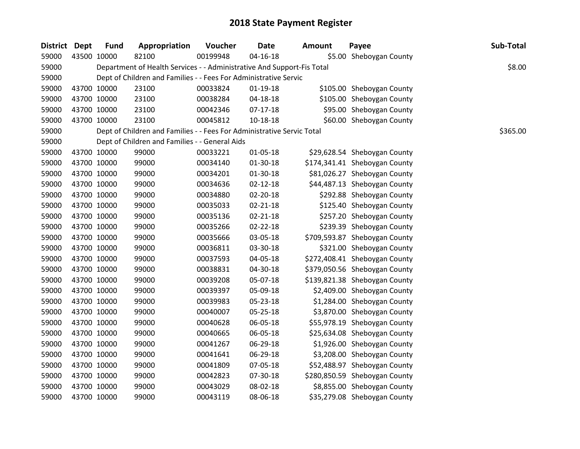| District Dept |             | <b>Fund</b> | Appropriation                                                          | Voucher  | <b>Date</b>    | <b>Amount</b> | Payee                         | Sub-Total |
|---------------|-------------|-------------|------------------------------------------------------------------------|----------|----------------|---------------|-------------------------------|-----------|
| 59000         |             | 43500 10000 | 82100                                                                  | 00199948 | $04 - 16 - 18$ |               | \$5.00 Sheboygan County       |           |
| 59000         |             |             | Department of Health Services - - Administrative And Support-Fis Total |          |                |               |                               | \$8.00    |
| 59000         |             |             | Dept of Children and Families - - Fees For Administrative Servic       |          |                |               |                               |           |
| 59000         |             | 43700 10000 | 23100                                                                  | 00033824 | 01-19-18       |               | \$105.00 Sheboygan County     |           |
| 59000         |             | 43700 10000 | 23100                                                                  | 00038284 | 04-18-18       |               | \$105.00 Sheboygan County     |           |
| 59000         |             | 43700 10000 | 23100                                                                  | 00042346 | $07-17-18$     |               | \$95.00 Sheboygan County      |           |
| 59000         |             | 43700 10000 | 23100                                                                  | 00045812 | $10 - 18 - 18$ |               | \$60.00 Sheboygan County      |           |
| 59000         |             |             | Dept of Children and Families - - Fees For Administrative Servic Total |          |                |               |                               | \$365.00  |
| 59000         |             |             | Dept of Children and Families - - General Aids                         |          |                |               |                               |           |
| 59000         |             | 43700 10000 | 99000                                                                  | 00033221 | 01-05-18       |               | \$29,628.54 Sheboygan County  |           |
| 59000         |             | 43700 10000 | 99000                                                                  | 00034140 | 01-30-18       |               | \$174,341.41 Sheboygan County |           |
| 59000         |             | 43700 10000 | 99000                                                                  | 00034201 | 01-30-18       |               | \$81,026.27 Sheboygan County  |           |
| 59000         |             | 43700 10000 | 99000                                                                  | 00034636 | $02 - 12 - 18$ |               | \$44,487.13 Sheboygan County  |           |
| 59000         | 43700 10000 |             | 99000                                                                  | 00034880 | $02 - 20 - 18$ |               | \$292.88 Sheboygan County     |           |
| 59000         |             | 43700 10000 | 99000                                                                  | 00035033 | $02 - 21 - 18$ |               | \$125.40 Sheboygan County     |           |
| 59000         |             | 43700 10000 | 99000                                                                  | 00035136 | $02 - 21 - 18$ |               | \$257.20 Sheboygan County     |           |
| 59000         |             | 43700 10000 | 99000                                                                  | 00035266 | $02 - 22 - 18$ |               | \$239.39 Sheboygan County     |           |
| 59000         |             | 43700 10000 | 99000                                                                  | 00035666 | 03-05-18       |               | \$709,593.87 Sheboygan County |           |
| 59000         |             | 43700 10000 | 99000                                                                  | 00036811 | 03-30-18       |               | \$321.00 Sheboygan County     |           |
| 59000         |             | 43700 10000 | 99000                                                                  | 00037593 | 04-05-18       |               | \$272,408.41 Sheboygan County |           |
| 59000         |             | 43700 10000 | 99000                                                                  | 00038831 | 04-30-18       |               | \$379,050.56 Sheboygan County |           |
| 59000         |             | 43700 10000 | 99000                                                                  | 00039208 | 05-07-18       |               | \$139,821.38 Sheboygan County |           |
| 59000         |             | 43700 10000 | 99000                                                                  | 00039397 | 05-09-18       |               | \$2,409.00 Sheboygan County   |           |
| 59000         |             | 43700 10000 | 99000                                                                  | 00039983 | 05-23-18       |               | \$1,284.00 Sheboygan County   |           |
| 59000         |             | 43700 10000 | 99000                                                                  | 00040007 | 05-25-18       |               | \$3,870.00 Sheboygan County   |           |
| 59000         |             | 43700 10000 | 99000                                                                  | 00040628 | 06-05-18       |               | \$55,978.19 Sheboygan County  |           |
| 59000         |             | 43700 10000 | 99000                                                                  | 00040665 | 06-05-18       |               | \$25,634.08 Sheboygan County  |           |
| 59000         |             | 43700 10000 | 99000                                                                  | 00041267 | 06-29-18       |               | \$1,926.00 Sheboygan County   |           |
| 59000         |             | 43700 10000 | 99000                                                                  | 00041641 | 06-29-18       |               | \$3,208.00 Sheboygan County   |           |
| 59000         |             | 43700 10000 | 99000                                                                  | 00041809 | 07-05-18       |               | \$52,488.97 Sheboygan County  |           |
| 59000         |             | 43700 10000 | 99000                                                                  | 00042823 | 07-30-18       |               | \$280,850.59 Sheboygan County |           |
| 59000         |             | 43700 10000 | 99000                                                                  | 00043029 | 08-02-18       |               | \$8,855.00 Sheboygan County   |           |
| 59000         |             | 43700 10000 | 99000                                                                  | 00043119 | 08-06-18       |               | \$35,279.08 Sheboygan County  |           |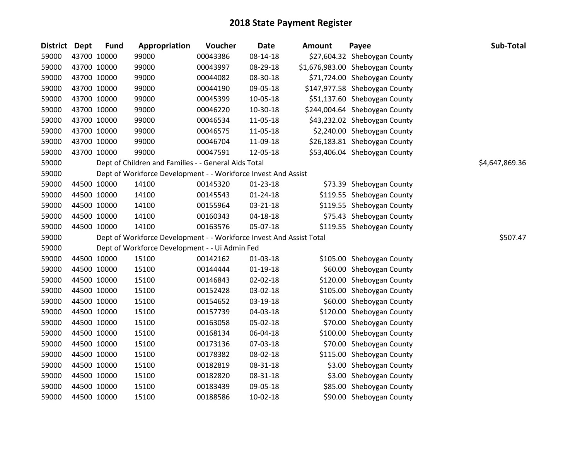| District Dept |             | <b>Fund</b> | Appropriation                                                       | Voucher  | <b>Date</b>    | <b>Amount</b> | Payee                           | Sub-Total      |
|---------------|-------------|-------------|---------------------------------------------------------------------|----------|----------------|---------------|---------------------------------|----------------|
| 59000         | 43700 10000 |             | 99000                                                               | 00043386 | 08-14-18       |               | \$27,604.32 Sheboygan County    |                |
| 59000         | 43700 10000 |             | 99000                                                               | 00043997 | 08-29-18       |               | \$1,676,983.00 Sheboygan County |                |
| 59000         | 43700 10000 |             | 99000                                                               | 00044082 | 08-30-18       |               | \$71,724.00 Sheboygan County    |                |
| 59000         | 43700 10000 |             | 99000                                                               | 00044190 | 09-05-18       |               | \$147,977.58 Sheboygan County   |                |
| 59000         | 43700 10000 |             | 99000                                                               | 00045399 | 10-05-18       |               | \$51,137.60 Sheboygan County    |                |
| 59000         | 43700 10000 |             | 99000                                                               | 00046220 | 10-30-18       |               | \$244,004.64 Sheboygan County   |                |
| 59000         | 43700 10000 |             | 99000                                                               | 00046534 | 11-05-18       |               | \$43,232.02 Sheboygan County    |                |
| 59000         | 43700 10000 |             | 99000                                                               | 00046575 | 11-05-18       |               | \$2,240.00 Sheboygan County     |                |
| 59000         | 43700 10000 |             | 99000                                                               | 00046704 | 11-09-18       |               | \$26,183.81 Sheboygan County    |                |
| 59000         | 43700 10000 |             | 99000                                                               | 00047591 | 12-05-18       |               | \$53,406.04 Sheboygan County    |                |
| 59000         |             |             | Dept of Children and Families - - General Aids Total                |          |                |               |                                 | \$4,647,869.36 |
| 59000         |             |             | Dept of Workforce Development - - Workforce Invest And Assist       |          |                |               |                                 |                |
| 59000         | 44500 10000 |             | 14100                                                               | 00145320 | $01 - 23 - 18$ |               | \$73.39 Sheboygan County        |                |
| 59000         | 44500 10000 |             | 14100                                                               | 00145543 | $01 - 24 - 18$ |               | \$119.55 Sheboygan County       |                |
| 59000         | 44500 10000 |             | 14100                                                               | 00155964 | 03-21-18       |               | \$119.55 Sheboygan County       |                |
| 59000         | 44500 10000 |             | 14100                                                               | 00160343 | 04-18-18       |               | \$75.43 Sheboygan County        |                |
| 59000         | 44500 10000 |             | 14100                                                               | 00163576 | 05-07-18       |               | \$119.55 Sheboygan County       |                |
| 59000         |             |             | Dept of Workforce Development - - Workforce Invest And Assist Total |          |                |               |                                 | \$507.47       |
| 59000         |             |             | Dept of Workforce Development - - Ui Admin Fed                      |          |                |               |                                 |                |
| 59000         | 44500 10000 |             | 15100                                                               | 00142162 | 01-03-18       |               | \$105.00 Sheboygan County       |                |
| 59000         | 44500 10000 |             | 15100                                                               | 00144444 | $01 - 19 - 18$ |               | \$60.00 Sheboygan County        |                |
| 59000         | 44500 10000 |             | 15100                                                               | 00146843 | 02-02-18       |               | \$120.00 Sheboygan County       |                |
| 59000         | 44500 10000 |             | 15100                                                               | 00152428 | 03-02-18       |               | \$105.00 Sheboygan County       |                |
| 59000         | 44500 10000 |             | 15100                                                               | 00154652 | 03-19-18       |               | \$60.00 Sheboygan County        |                |
| 59000         | 44500 10000 |             | 15100                                                               | 00157739 | 04-03-18       |               | \$120.00 Sheboygan County       |                |
| 59000         | 44500 10000 |             | 15100                                                               | 00163058 | 05-02-18       |               | \$70.00 Sheboygan County        |                |
| 59000         | 44500 10000 |             | 15100                                                               | 00168134 | 06-04-18       |               | \$100.00 Sheboygan County       |                |
| 59000         | 44500 10000 |             | 15100                                                               | 00173136 | 07-03-18       |               | \$70.00 Sheboygan County        |                |
| 59000         | 44500 10000 |             | 15100                                                               | 00178382 | 08-02-18       |               | \$115.00 Sheboygan County       |                |
| 59000         | 44500 10000 |             | 15100                                                               | 00182819 | 08-31-18       |               | \$3.00 Sheboygan County         |                |
| 59000         | 44500 10000 |             | 15100                                                               | 00182820 | 08-31-18       |               | \$3.00 Sheboygan County         |                |
| 59000         | 44500 10000 |             | 15100                                                               | 00183439 | 09-05-18       |               | \$85.00 Sheboygan County        |                |
| 59000         | 44500 10000 |             | 15100                                                               | 00188586 | $10-02-18$     |               | \$90.00 Sheboygan County        |                |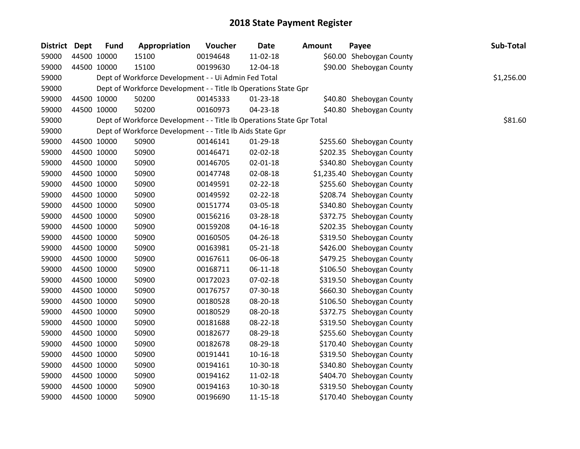| District Dept | <b>Fund</b> | Appropriation                                                         | Voucher  | <b>Date</b>    | <b>Amount</b> | Payee                       | Sub-Total  |
|---------------|-------------|-----------------------------------------------------------------------|----------|----------------|---------------|-----------------------------|------------|
| 59000         | 44500 10000 | 15100                                                                 | 00194648 | 11-02-18       |               | \$60.00 Sheboygan County    |            |
| 59000         | 44500 10000 | 15100                                                                 | 00199630 | 12-04-18       |               | \$90.00 Sheboygan County    |            |
| 59000         |             | Dept of Workforce Development - - Ui Admin Fed Total                  |          |                |               |                             | \$1,256.00 |
| 59000         |             | Dept of Workforce Development - - Title Ib Operations State Gpr       |          |                |               |                             |            |
| 59000         | 44500 10000 | 50200                                                                 | 00145333 | $01 - 23 - 18$ |               | \$40.80 Sheboygan County    |            |
| 59000         | 44500 10000 | 50200                                                                 | 00160973 | $04 - 23 - 18$ |               | \$40.80 Sheboygan County    |            |
| 59000         |             | Dept of Workforce Development - - Title Ib Operations State Gpr Total |          |                |               |                             | \$81.60    |
| 59000         |             | Dept of Workforce Development - - Title Ib Aids State Gpr             |          |                |               |                             |            |
| 59000         | 44500 10000 | 50900                                                                 | 00146141 | 01-29-18       |               | \$255.60 Sheboygan County   |            |
| 59000         | 44500 10000 | 50900                                                                 | 00146471 | 02-02-18       |               | \$202.35 Sheboygan County   |            |
| 59000         | 44500 10000 | 50900                                                                 | 00146705 | 02-01-18       |               | \$340.80 Sheboygan County   |            |
| 59000         | 44500 10000 | 50900                                                                 | 00147748 | 02-08-18       |               | \$1,235.40 Sheboygan County |            |
| 59000         | 44500 10000 | 50900                                                                 | 00149591 | $02 - 22 - 18$ |               | \$255.60 Sheboygan County   |            |
| 59000         | 44500 10000 | 50900                                                                 | 00149592 | 02-22-18       |               | \$208.74 Sheboygan County   |            |
| 59000         | 44500 10000 | 50900                                                                 | 00151774 | 03-05-18       |               | \$340.80 Sheboygan County   |            |
| 59000         | 44500 10000 | 50900                                                                 | 00156216 | 03-28-18       |               | \$372.75 Sheboygan County   |            |
| 59000         | 44500 10000 | 50900                                                                 | 00159208 | $04 - 16 - 18$ |               | \$202.35 Sheboygan County   |            |
| 59000         | 44500 10000 | 50900                                                                 | 00160505 | 04-26-18       |               | \$319.50 Sheboygan County   |            |
| 59000         | 44500 10000 | 50900                                                                 | 00163981 | 05-21-18       |               | \$426.00 Sheboygan County   |            |
| 59000         | 44500 10000 | 50900                                                                 | 00167611 | 06-06-18       |               | \$479.25 Sheboygan County   |            |
| 59000         | 44500 10000 | 50900                                                                 | 00168711 | 06-11-18       |               | \$106.50 Sheboygan County   |            |
| 59000         | 44500 10000 | 50900                                                                 | 00172023 | 07-02-18       |               | \$319.50 Sheboygan County   |            |
| 59000         | 44500 10000 | 50900                                                                 | 00176757 | 07-30-18       |               | \$660.30 Sheboygan County   |            |
| 59000         | 44500 10000 | 50900                                                                 | 00180528 | 08-20-18       |               | \$106.50 Sheboygan County   |            |
| 59000         | 44500 10000 | 50900                                                                 | 00180529 | 08-20-18       |               | \$372.75 Sheboygan County   |            |
| 59000         | 44500 10000 | 50900                                                                 | 00181688 | 08-22-18       |               | \$319.50 Sheboygan County   |            |
| 59000         | 44500 10000 | 50900                                                                 | 00182677 | 08-29-18       |               | \$255.60 Sheboygan County   |            |
| 59000         | 44500 10000 | 50900                                                                 | 00182678 | 08-29-18       |               | \$170.40 Sheboygan County   |            |
| 59000         | 44500 10000 | 50900                                                                 | 00191441 | 10-16-18       |               | \$319.50 Sheboygan County   |            |
| 59000         | 44500 10000 | 50900                                                                 | 00194161 | 10-30-18       |               | \$340.80 Sheboygan County   |            |
| 59000         | 44500 10000 | 50900                                                                 | 00194162 | 11-02-18       |               | \$404.70 Sheboygan County   |            |
| 59000         | 44500 10000 | 50900                                                                 | 00194163 | 10-30-18       |               | \$319.50 Sheboygan County   |            |
| 59000         | 44500 10000 | 50900                                                                 | 00196690 | 11-15-18       |               | \$170.40 Sheboygan County   |            |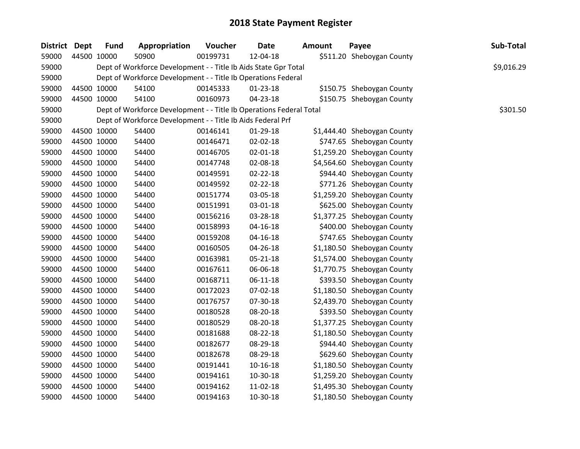| District Dept | <b>Fund</b> | Appropriation                                                       | Voucher  | <b>Date</b>    | <b>Amount</b> | Payee                       | Sub-Total  |
|---------------|-------------|---------------------------------------------------------------------|----------|----------------|---------------|-----------------------------|------------|
| 59000         | 44500 10000 | 50900                                                               | 00199731 | 12-04-18       |               | \$511.20 Sheboygan County   |            |
| 59000         |             | Dept of Workforce Development - - Title Ib Aids State Gpr Total     |          |                |               |                             | \$9,016.29 |
| 59000         |             | Dept of Workforce Development - - Title Ib Operations Federal       |          |                |               |                             |            |
| 59000         | 44500 10000 | 54100                                                               | 00145333 | 01-23-18       |               | \$150.75 Sheboygan County   |            |
| 59000         | 44500 10000 | 54100                                                               | 00160973 | 04-23-18       |               | \$150.75 Sheboygan County   |            |
| 59000         |             | Dept of Workforce Development - - Title Ib Operations Federal Total |          |                |               |                             | \$301.50   |
| 59000         |             | Dept of Workforce Development - - Title Ib Aids Federal Prf         |          |                |               |                             |            |
| 59000         | 44500 10000 | 54400                                                               | 00146141 | 01-29-18       |               | \$1,444.40 Sheboygan County |            |
| 59000         | 44500 10000 | 54400                                                               | 00146471 | 02-02-18       |               | \$747.65 Sheboygan County   |            |
| 59000         | 44500 10000 | 54400                                                               | 00146705 | $02 - 01 - 18$ |               | \$1,259.20 Sheboygan County |            |
| 59000         | 44500 10000 | 54400                                                               | 00147748 | 02-08-18       |               | \$4,564.60 Sheboygan County |            |
| 59000         | 44500 10000 | 54400                                                               | 00149591 | $02 - 22 - 18$ |               | \$944.40 Sheboygan County   |            |
| 59000         | 44500 10000 | 54400                                                               | 00149592 | 02-22-18       |               | \$771.26 Sheboygan County   |            |
| 59000         | 44500 10000 | 54400                                                               | 00151774 | 03-05-18       |               | \$1,259.20 Sheboygan County |            |
| 59000         | 44500 10000 | 54400                                                               | 00151991 | 03-01-18       |               | \$625.00 Sheboygan County   |            |
| 59000         | 44500 10000 | 54400                                                               | 00156216 | 03-28-18       |               | \$1,377.25 Sheboygan County |            |
| 59000         | 44500 10000 | 54400                                                               | 00158993 | $04 - 16 - 18$ |               | \$400.00 Sheboygan County   |            |
| 59000         | 44500 10000 | 54400                                                               | 00159208 | $04 - 16 - 18$ |               | \$747.65 Sheboygan County   |            |
| 59000         | 44500 10000 | 54400                                                               | 00160505 | 04-26-18       |               | \$1,180.50 Sheboygan County |            |
| 59000         | 44500 10000 | 54400                                                               | 00163981 | 05-21-18       |               | \$1,574.00 Sheboygan County |            |
| 59000         | 44500 10000 | 54400                                                               | 00167611 | 06-06-18       |               | \$1,770.75 Sheboygan County |            |
| 59000         | 44500 10000 | 54400                                                               | 00168711 | $06 - 11 - 18$ |               | \$393.50 Sheboygan County   |            |
| 59000         | 44500 10000 | 54400                                                               | 00172023 | 07-02-18       |               | \$1,180.50 Sheboygan County |            |
| 59000         | 44500 10000 | 54400                                                               | 00176757 | 07-30-18       |               | \$2,439.70 Sheboygan County |            |
| 59000         | 44500 10000 | 54400                                                               | 00180528 | 08-20-18       |               | \$393.50 Sheboygan County   |            |
| 59000         | 44500 10000 | 54400                                                               | 00180529 | 08-20-18       |               | \$1,377.25 Sheboygan County |            |
| 59000         | 44500 10000 | 54400                                                               | 00181688 | 08-22-18       |               | \$1,180.50 Sheboygan County |            |
| 59000         | 44500 10000 | 54400                                                               | 00182677 | 08-29-18       |               | \$944.40 Sheboygan County   |            |
| 59000         | 44500 10000 | 54400                                                               | 00182678 | 08-29-18       |               | \$629.60 Sheboygan County   |            |
| 59000         | 44500 10000 | 54400                                                               | 00191441 | $10 - 16 - 18$ |               | \$1,180.50 Sheboygan County |            |
| 59000         | 44500 10000 | 54400                                                               | 00194161 | 10-30-18       |               | \$1,259.20 Sheboygan County |            |
| 59000         | 44500 10000 | 54400                                                               | 00194162 | 11-02-18       |               | \$1,495.30 Sheboygan County |            |
| 59000         | 44500 10000 | 54400                                                               | 00194163 | 10-30-18       |               | \$1,180.50 Sheboygan County |            |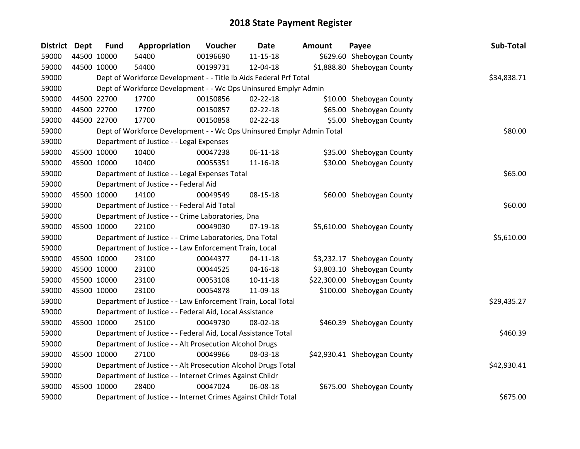| <b>District Dept</b> |             | <b>Fund</b> | Appropriation                                                         | Voucher  | <b>Date</b>    | <b>Amount</b> | Payee                        | Sub-Total   |
|----------------------|-------------|-------------|-----------------------------------------------------------------------|----------|----------------|---------------|------------------------------|-------------|
| 59000                | 44500 10000 |             | 54400                                                                 | 00196690 | $11 - 15 - 18$ |               | \$629.60 Sheboygan County    |             |
| 59000                | 44500 10000 |             | 54400                                                                 | 00199731 | 12-04-18       |               | \$1,888.80 Sheboygan County  |             |
| 59000                |             |             | Dept of Workforce Development - - Title Ib Aids Federal Prf Total     |          |                |               |                              | \$34,838.71 |
| 59000                |             |             | Dept of Workforce Development - - Wc Ops Uninsured Emplyr Admin       |          |                |               |                              |             |
| 59000                | 44500 22700 |             | 17700                                                                 | 00150856 | 02-22-18       |               | \$10.00 Sheboygan County     |             |
| 59000                | 44500 22700 |             | 17700                                                                 | 00150857 | 02-22-18       |               | \$65.00 Sheboygan County     |             |
| 59000                | 44500 22700 |             | 17700                                                                 | 00150858 | $02 - 22 - 18$ |               | \$5.00 Sheboygan County      |             |
| 59000                |             |             | Dept of Workforce Development - - Wc Ops Uninsured Emplyr Admin Total | \$80.00  |                |               |                              |             |
| 59000                |             |             | Department of Justice - - Legal Expenses                              |          |                |               |                              |             |
| 59000                | 45500 10000 |             | 10400                                                                 | 00047238 | 06-11-18       |               | \$35.00 Sheboygan County     |             |
| 59000                | 45500 10000 |             | 10400                                                                 | 00055351 | $11 - 16 - 18$ |               | \$30.00 Sheboygan County     |             |
| 59000                |             |             | Department of Justice - - Legal Expenses Total                        |          |                |               |                              | \$65.00     |
| 59000                |             |             | Department of Justice - - Federal Aid                                 |          |                |               |                              |             |
| 59000                | 45500 10000 |             | 14100                                                                 | 00049549 | 08-15-18       |               | \$60.00 Sheboygan County     |             |
| 59000                |             |             | Department of Justice - - Federal Aid Total                           |          |                |               |                              | \$60.00     |
| 59000                |             |             | Department of Justice - - Crime Laboratories, Dna                     |          |                |               |                              |             |
| 59000                | 45500 10000 |             | 22100                                                                 | 00049030 | $07-19-18$     |               | \$5,610.00 Sheboygan County  |             |
| 59000                |             |             | Department of Justice - - Crime Laboratories, Dna Total               |          |                |               |                              | \$5,610.00  |
| 59000                |             |             | Department of Justice - - Law Enforcement Train, Local                |          |                |               |                              |             |
| 59000                | 45500 10000 |             | 23100                                                                 | 00044377 | $04 - 11 - 18$ |               | \$3,232.17 Sheboygan County  |             |
| 59000                | 45500 10000 |             | 23100                                                                 | 00044525 | $04 - 16 - 18$ |               | \$3,803.10 Sheboygan County  |             |
| 59000                | 45500 10000 |             | 23100                                                                 | 00053108 | $10 - 11 - 18$ |               | \$22,300.00 Sheboygan County |             |
| 59000                | 45500 10000 |             | 23100                                                                 | 00054878 | 11-09-18       |               | \$100.00 Sheboygan County    |             |
| 59000                |             |             | Department of Justice - - Law Enforcement Train, Local Total          |          |                |               |                              | \$29,435.27 |
| 59000                |             |             | Department of Justice - - Federal Aid, Local Assistance               |          |                |               |                              |             |
| 59000                | 45500 10000 |             | 25100                                                                 | 00049730 | 08-02-18       |               | \$460.39 Sheboygan County    |             |
| 59000                |             |             | Department of Justice - - Federal Aid, Local Assistance Total         |          |                |               |                              | \$460.39    |
| 59000                |             |             | Department of Justice - - Alt Prosecution Alcohol Drugs               |          |                |               |                              |             |
| 59000                | 45500 10000 |             | 27100                                                                 | 00049966 | 08-03-18       |               | \$42,930.41 Sheboygan County |             |
| 59000                |             |             | Department of Justice - - Alt Prosecution Alcohol Drugs Total         |          |                |               |                              | \$42,930.41 |
| 59000                |             |             | Department of Justice - - Internet Crimes Against Childr              |          |                |               |                              |             |
| 59000                | 45500 10000 |             | 28400                                                                 | 00047024 | 06-08-18       |               | \$675.00 Sheboygan County    |             |
| 59000                |             |             | Department of Justice - - Internet Crimes Against Childr Total        |          |                |               |                              | \$675.00    |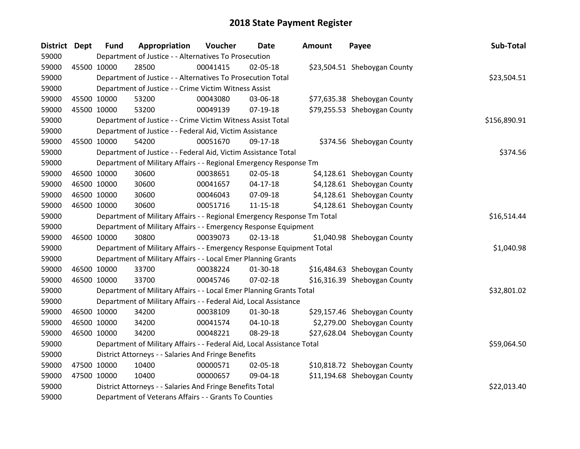| District Dept | <b>Fund</b> | Appropriation                                                           | Voucher  | <b>Date</b>    | <b>Amount</b> | Payee                        | Sub-Total    |
|---------------|-------------|-------------------------------------------------------------------------|----------|----------------|---------------|------------------------------|--------------|
| 59000         |             | Department of Justice - - Alternatives To Prosecution                   |          |                |               |                              |              |
| 59000         | 45500 10000 | 28500                                                                   | 00041415 | 02-05-18       |               | \$23,504.51 Sheboygan County |              |
| 59000         |             | Department of Justice - - Alternatives To Prosecution Total             |          |                |               |                              | \$23,504.51  |
| 59000         |             | Department of Justice - - Crime Victim Witness Assist                   |          |                |               |                              |              |
| 59000         | 45500 10000 | 53200                                                                   | 00043080 | 03-06-18       |               | \$77,635.38 Sheboygan County |              |
| 59000         | 45500 10000 | 53200                                                                   | 00049139 | $07-19-18$     |               | \$79,255.53 Sheboygan County |              |
| 59000         |             | Department of Justice - - Crime Victim Witness Assist Total             |          |                |               |                              | \$156,890.91 |
| 59000         |             | Department of Justice - - Federal Aid, Victim Assistance                |          |                |               |                              |              |
| 59000         | 45500 10000 | 54200                                                                   | 00051670 | 09-17-18       |               | \$374.56 Sheboygan County    |              |
| 59000         |             | Department of Justice - - Federal Aid, Victim Assistance Total          |          |                |               |                              | \$374.56     |
| 59000         |             | Department of Military Affairs - - Regional Emergency Response Tm       |          |                |               |                              |              |
| 59000         | 46500 10000 | 30600                                                                   | 00038651 | 02-05-18       |               | \$4,128.61 Sheboygan County  |              |
| 59000         | 46500 10000 | 30600                                                                   | 00041657 | $04 - 17 - 18$ |               | \$4,128.61 Sheboygan County  |              |
| 59000         | 46500 10000 | 30600                                                                   | 00046043 | 07-09-18       |               | \$4,128.61 Sheboygan County  |              |
| 59000         | 46500 10000 | 30600                                                                   | 00051716 | $11 - 15 - 18$ |               | \$4,128.61 Sheboygan County  |              |
| 59000         |             | Department of Military Affairs - - Regional Emergency Response Tm Total |          |                |               |                              | \$16,514.44  |
| 59000         |             | Department of Military Affairs - - Emergency Response Equipment         |          |                |               |                              |              |
| 59000         | 46500 10000 | 30800                                                                   | 00039073 | $02 - 13 - 18$ |               | \$1,040.98 Sheboygan County  |              |
| 59000         |             | Department of Military Affairs - - Emergency Response Equipment Total   |          |                |               |                              | \$1,040.98   |
| 59000         |             | Department of Military Affairs - - Local Emer Planning Grants           |          |                |               |                              |              |
| 59000         | 46500 10000 | 33700                                                                   | 00038224 | $01 - 30 - 18$ |               | \$16,484.63 Sheboygan County |              |
| 59000         | 46500 10000 | 33700                                                                   | 00045746 | 07-02-18       |               | \$16,316.39 Sheboygan County |              |
| 59000         |             | Department of Military Affairs - - Local Emer Planning Grants Total     |          |                |               |                              | \$32,801.02  |
| 59000         |             | Department of Military Affairs - - Federal Aid, Local Assistance        |          |                |               |                              |              |
| 59000         | 46500 10000 | 34200                                                                   | 00038109 | $01-30-18$     |               | \$29,157.46 Sheboygan County |              |
| 59000         | 46500 10000 | 34200                                                                   | 00041574 | $04 - 10 - 18$ |               | \$2,279.00 Sheboygan County  |              |
| 59000         | 46500 10000 | 34200                                                                   | 00048221 | 08-29-18       |               | \$27,628.04 Sheboygan County |              |
| 59000         |             | Department of Military Affairs - - Federal Aid, Local Assistance Total  |          |                |               |                              | \$59,064.50  |
| 59000         |             | District Attorneys - - Salaries And Fringe Benefits                     |          |                |               |                              |              |
| 59000         | 47500 10000 | 10400                                                                   | 00000571 | 02-05-18       |               | \$10,818.72 Sheboygan County |              |
| 59000         | 47500 10000 | 10400                                                                   | 00000657 | 09-04-18       |               | \$11,194.68 Sheboygan County |              |
| 59000         |             | District Attorneys - - Salaries And Fringe Benefits Total               |          |                |               |                              | \$22,013.40  |
| 59000         |             | Department of Veterans Affairs - - Grants To Counties                   |          |                |               |                              |              |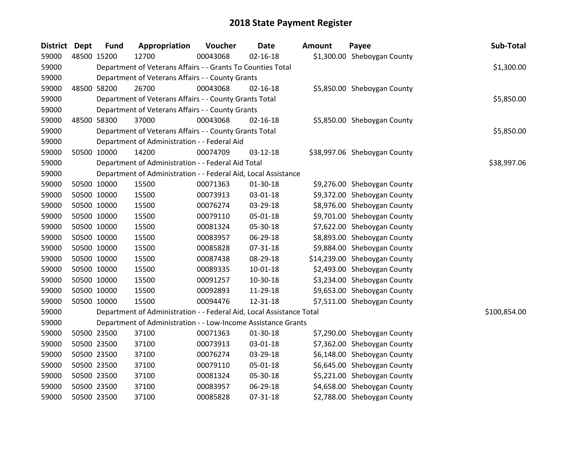| <b>District Dept</b> | <b>Fund</b> | Appropriation                                                        | Voucher  | <b>Date</b>    | <b>Amount</b> | Payee                        | Sub-Total    |
|----------------------|-------------|----------------------------------------------------------------------|----------|----------------|---------------|------------------------------|--------------|
| 59000                | 48500 15200 | 12700                                                                | 00043068 | $02 - 16 - 18$ |               | \$1,300.00 Sheboygan County  |              |
| 59000                |             | Department of Veterans Affairs - - Grants To Counties Total          |          |                |               |                              | \$1,300.00   |
| 59000                |             | Department of Veterans Affairs - - County Grants                     |          |                |               |                              |              |
| 59000                | 48500 58200 | 26700                                                                | 00043068 | $02 - 16 - 18$ |               | \$5,850.00 Sheboygan County  |              |
| 59000                |             | Department of Veterans Affairs - - County Grants Total               |          |                |               |                              | \$5,850.00   |
| 59000                |             | Department of Veterans Affairs - - County Grants                     |          |                |               |                              |              |
| 59000                | 48500 58300 | 37000                                                                | 00043068 | $02 - 16 - 18$ |               | \$5,850.00 Sheboygan County  |              |
| 59000                |             | Department of Veterans Affairs - - County Grants Total               |          |                |               |                              | \$5,850.00   |
| 59000                |             | Department of Administration - - Federal Aid                         |          |                |               |                              |              |
| 59000                | 50500 10000 | 14200                                                                | 00074709 | 03-12-18       |               | \$38,997.06 Sheboygan County |              |
| 59000                |             | Department of Administration - - Federal Aid Total                   |          |                |               |                              | \$38,997.06  |
| 59000                |             | Department of Administration - - Federal Aid, Local Assistance       |          |                |               |                              |              |
| 59000                | 50500 10000 | 15500                                                                | 00071363 | 01-30-18       |               | \$9,276.00 Sheboygan County  |              |
| 59000                | 50500 10000 | 15500                                                                | 00073913 | 03-01-18       |               | \$9,372.00 Sheboygan County  |              |
| 59000                | 50500 10000 | 15500                                                                | 00076274 | 03-29-18       |               | \$8,976.00 Sheboygan County  |              |
| 59000                | 50500 10000 | 15500                                                                | 00079110 | 05-01-18       |               | \$9,701.00 Sheboygan County  |              |
| 59000                | 50500 10000 | 15500                                                                | 00081324 | 05-30-18       |               | \$7,622.00 Sheboygan County  |              |
| 59000                | 50500 10000 | 15500                                                                | 00083957 | 06-29-18       |               | \$8,893.00 Sheboygan County  |              |
| 59000                | 50500 10000 | 15500                                                                | 00085828 | 07-31-18       |               | \$9,884.00 Sheboygan County  |              |
| 59000                | 50500 10000 | 15500                                                                | 00087438 | 08-29-18       |               | \$14,239.00 Sheboygan County |              |
| 59000                | 50500 10000 | 15500                                                                | 00089335 | $10 - 01 - 18$ |               | \$2,493.00 Sheboygan County  |              |
| 59000                | 50500 10000 | 15500                                                                | 00091257 | 10-30-18       |               | \$3,234.00 Sheboygan County  |              |
| 59000                | 50500 10000 | 15500                                                                | 00092893 | 11-29-18       |               | \$9,653.00 Sheboygan County  |              |
| 59000                | 50500 10000 | 15500                                                                | 00094476 | 12-31-18       |               | \$7,511.00 Sheboygan County  |              |
| 59000                |             | Department of Administration - - Federal Aid, Local Assistance Total |          |                |               |                              | \$100,854.00 |
| 59000                |             | Department of Administration - - Low-Income Assistance Grants        |          |                |               |                              |              |
| 59000                | 50500 23500 | 37100                                                                | 00071363 | 01-30-18       |               | \$7,290.00 Sheboygan County  |              |
| 59000                | 50500 23500 | 37100                                                                | 00073913 | 03-01-18       |               | \$7,362.00 Sheboygan County  |              |
| 59000                | 50500 23500 | 37100                                                                | 00076274 | 03-29-18       |               | \$6,148.00 Sheboygan County  |              |
| 59000                | 50500 23500 | 37100                                                                | 00079110 | 05-01-18       |               | \$6,645.00 Sheboygan County  |              |
| 59000                | 50500 23500 | 37100                                                                | 00081324 | 05-30-18       |               | \$5,221.00 Sheboygan County  |              |
| 59000                | 50500 23500 | 37100                                                                | 00083957 | 06-29-18       |               | \$4,658.00 Sheboygan County  |              |
| 59000                | 50500 23500 | 37100                                                                | 00085828 | 07-31-18       |               | \$2,788.00 Sheboygan County  |              |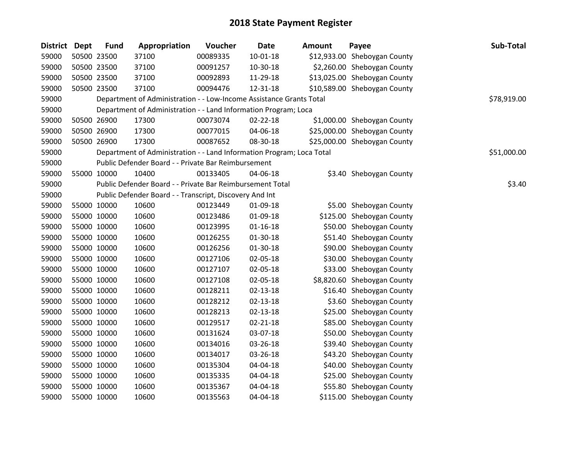| District Dept |             | <b>Fund</b> | Appropriation                                                         | Voucher  | <b>Date</b>    | <b>Amount</b> | Payee                        | Sub-Total   |
|---------------|-------------|-------------|-----------------------------------------------------------------------|----------|----------------|---------------|------------------------------|-------------|
| 59000         |             | 50500 23500 | 37100                                                                 | 00089335 | 10-01-18       |               | \$12,933.00 Sheboygan County |             |
| 59000         | 50500 23500 |             | 37100                                                                 | 00091257 | 10-30-18       |               | \$2,260.00 Sheboygan County  |             |
| 59000         | 50500 23500 |             | 37100                                                                 | 00092893 | 11-29-18       |               | \$13,025.00 Sheboygan County |             |
| 59000         | 50500 23500 |             | 37100                                                                 | 00094476 | 12-31-18       |               | \$10,589.00 Sheboygan County |             |
| 59000         |             |             | Department of Administration - - Low-Income Assistance Grants Total   |          |                |               |                              | \$78,919.00 |
| 59000         |             |             | Department of Administration - - Land Information Program; Loca       |          |                |               |                              |             |
| 59000         |             | 50500 26900 | 17300                                                                 | 00073074 | 02-22-18       |               | \$1,000.00 Sheboygan County  |             |
| 59000         | 50500 26900 |             | 17300                                                                 | 00077015 | 04-06-18       |               | \$25,000.00 Sheboygan County |             |
| 59000         | 50500 26900 |             | 17300                                                                 | 00087652 | 08-30-18       |               | \$25,000.00 Sheboygan County |             |
| 59000         |             |             | Department of Administration - - Land Information Program; Loca Total |          |                |               |                              | \$51,000.00 |
| 59000         |             |             | Public Defender Board - - Private Bar Reimbursement                   |          |                |               |                              |             |
| 59000         |             | 55000 10000 | 10400                                                                 | 00133405 | 04-06-18       |               | \$3.40 Sheboygan County      |             |
| 59000         |             |             | Public Defender Board - - Private Bar Reimbursement Total             |          |                |               |                              | \$3.40      |
| 59000         |             |             | Public Defender Board - - Transcript, Discovery And Int               |          |                |               |                              |             |
| 59000         | 55000 10000 |             | 10600                                                                 | 00123449 | 01-09-18       |               | \$5.00 Sheboygan County      |             |
| 59000         |             | 55000 10000 | 10600                                                                 | 00123486 | 01-09-18       |               | \$125.00 Sheboygan County    |             |
| 59000         | 55000 10000 |             | 10600                                                                 | 00123995 | $01 - 16 - 18$ |               | \$50.00 Sheboygan County     |             |
| 59000         | 55000 10000 |             | 10600                                                                 | 00126255 | 01-30-18       |               | \$51.40 Sheboygan County     |             |
| 59000         | 55000 10000 |             | 10600                                                                 | 00126256 | 01-30-18       |               | \$90.00 Sheboygan County     |             |
| 59000         | 55000 10000 |             | 10600                                                                 | 00127106 | 02-05-18       |               | \$30.00 Sheboygan County     |             |
| 59000         | 55000 10000 |             | 10600                                                                 | 00127107 | 02-05-18       |               | \$33.00 Sheboygan County     |             |
| 59000         | 55000 10000 |             | 10600                                                                 | 00127108 | 02-05-18       |               | \$8,820.60 Sheboygan County  |             |
| 59000         | 55000 10000 |             | 10600                                                                 | 00128211 | $02 - 13 - 18$ |               | \$16.40 Sheboygan County     |             |
| 59000         |             | 55000 10000 | 10600                                                                 | 00128212 | 02-13-18       |               | \$3.60 Sheboygan County      |             |
| 59000         | 55000 10000 |             | 10600                                                                 | 00128213 | $02 - 13 - 18$ |               | \$25.00 Sheboygan County     |             |
| 59000         |             | 55000 10000 | 10600                                                                 | 00129517 | 02-21-18       |               | \$85.00 Sheboygan County     |             |
| 59000         | 55000 10000 |             | 10600                                                                 | 00131624 | 03-07-18       |               | \$50.00 Sheboygan County     |             |
| 59000         | 55000 10000 |             | 10600                                                                 | 00134016 | 03-26-18       |               | \$39.40 Sheboygan County     |             |
| 59000         | 55000 10000 |             | 10600                                                                 | 00134017 | 03-26-18       |               | \$43.20 Sheboygan County     |             |
| 59000         | 55000 10000 |             | 10600                                                                 | 00135304 | 04-04-18       |               | \$40.00 Sheboygan County     |             |
| 59000         | 55000 10000 |             | 10600                                                                 | 00135335 | 04-04-18       |               | \$25.00 Sheboygan County     |             |
| 59000         | 55000 10000 |             | 10600                                                                 | 00135367 | 04-04-18       |               | \$55.80 Sheboygan County     |             |
| 59000         | 55000 10000 |             | 10600                                                                 | 00135563 | 04-04-18       |               | \$115.00 Sheboygan County    |             |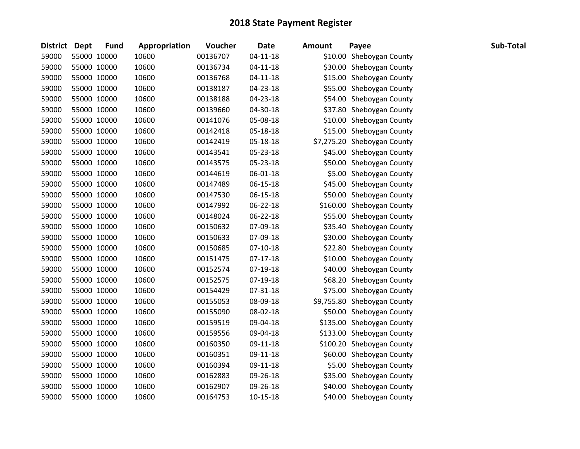| <b>District Dept</b> |             | <b>Fund</b> | Appropriation | Voucher  | <b>Date</b>    | <b>Amount</b> | Payee                       | Sub-Total |
|----------------------|-------------|-------------|---------------|----------|----------------|---------------|-----------------------------|-----------|
| 59000                | 55000 10000 |             | 10600         | 00136707 | $04 - 11 - 18$ |               | \$10.00 Sheboygan County    |           |
| 59000                | 55000 10000 |             | 10600         | 00136734 | $04 - 11 - 18$ |               | \$30.00 Sheboygan County    |           |
| 59000                | 55000 10000 |             | 10600         | 00136768 | $04 - 11 - 18$ |               | \$15.00 Sheboygan County    |           |
| 59000                | 55000 10000 |             | 10600         | 00138187 | 04-23-18       |               | \$55.00 Sheboygan County    |           |
| 59000                | 55000 10000 |             | 10600         | 00138188 | 04-23-18       |               | \$54.00 Sheboygan County    |           |
| 59000                | 55000 10000 |             | 10600         | 00139660 | 04-30-18       |               | \$37.80 Sheboygan County    |           |
| 59000                | 55000 10000 |             | 10600         | 00141076 | 05-08-18       |               | \$10.00 Sheboygan County    |           |
| 59000                | 55000 10000 |             | 10600         | 00142418 | 05-18-18       |               | \$15.00 Sheboygan County    |           |
| 59000                | 55000 10000 |             | 10600         | 00142419 | 05-18-18       |               | \$7,275.20 Sheboygan County |           |
| 59000                | 55000 10000 |             | 10600         | 00143541 | 05-23-18       |               | \$45.00 Sheboygan County    |           |
| 59000                | 55000 10000 |             | 10600         | 00143575 | 05-23-18       |               | \$50.00 Sheboygan County    |           |
| 59000                | 55000 10000 |             | 10600         | 00144619 | 06-01-18       |               | \$5.00 Sheboygan County     |           |
| 59000                | 55000 10000 |             | 10600         | 00147489 | 06-15-18       |               | \$45.00 Sheboygan County    |           |
| 59000                | 55000 10000 |             | 10600         | 00147530 | 06-15-18       |               | \$50.00 Sheboygan County    |           |
| 59000                | 55000 10000 |             | 10600         | 00147992 | 06-22-18       |               | \$160.00 Sheboygan County   |           |
| 59000                | 55000 10000 |             | 10600         | 00148024 | 06-22-18       |               | \$55.00 Sheboygan County    |           |
| 59000                | 55000 10000 |             | 10600         | 00150632 | 07-09-18       |               | \$35.40 Sheboygan County    |           |
| 59000                | 55000 10000 |             | 10600         | 00150633 | 07-09-18       |               | \$30.00 Sheboygan County    |           |
| 59000                | 55000 10000 |             | 10600         | 00150685 | $07-10-18$     |               | \$22.80 Sheboygan County    |           |
| 59000                | 55000 10000 |             | 10600         | 00151475 | $07-17-18$     |               | \$10.00 Sheboygan County    |           |
| 59000                |             | 55000 10000 | 10600         | 00152574 | 07-19-18       |               | \$40.00 Sheboygan County    |           |
| 59000                | 55000 10000 |             | 10600         | 00152575 | 07-19-18       |               | \$68.20 Sheboygan County    |           |
| 59000                | 55000 10000 |             | 10600         | 00154429 | 07-31-18       |               | \$75.00 Sheboygan County    |           |
| 59000                | 55000 10000 |             | 10600         | 00155053 | 08-09-18       |               | \$9,755.80 Sheboygan County |           |
| 59000                |             | 55000 10000 | 10600         | 00155090 | 08-02-18       |               | \$50.00 Sheboygan County    |           |
| 59000                | 55000 10000 |             | 10600         | 00159519 | 09-04-18       |               | \$135.00 Sheboygan County   |           |
| 59000                | 55000 10000 |             | 10600         | 00159556 | 09-04-18       |               | \$133.00 Sheboygan County   |           |
| 59000                | 55000 10000 |             | 10600         | 00160350 | 09-11-18       |               | \$100.20 Sheboygan County   |           |
| 59000                | 55000 10000 |             | 10600         | 00160351 | 09-11-18       |               | \$60.00 Sheboygan County    |           |
| 59000                | 55000 10000 |             | 10600         | 00160394 | 09-11-18       |               | \$5.00 Sheboygan County     |           |
| 59000                | 55000 10000 |             | 10600         | 00162883 | 09-26-18       |               | \$35.00 Sheboygan County    |           |
| 59000                | 55000 10000 |             | 10600         | 00162907 | 09-26-18       |               | \$40.00 Sheboygan County    |           |
| 59000                |             | 55000 10000 | 10600         | 00164753 | $10 - 15 - 18$ |               | \$40.00 Sheboygan County    |           |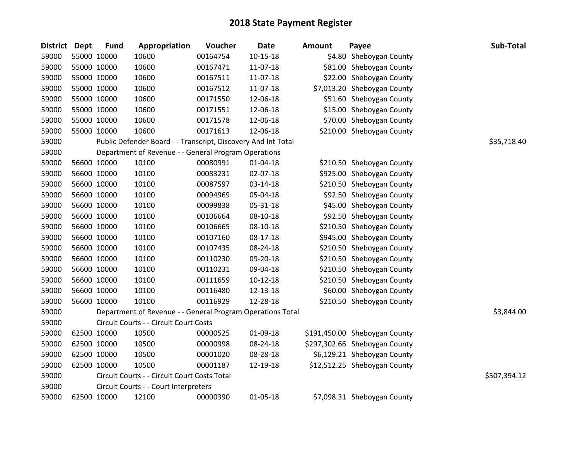| <b>District</b> | <b>Dept</b> | <b>Fund</b> | Appropriation                                                 | Voucher  | Date           | <b>Amount</b> | Payee                         | Sub-Total    |
|-----------------|-------------|-------------|---------------------------------------------------------------|----------|----------------|---------------|-------------------------------|--------------|
| 59000           |             | 55000 10000 | 10600                                                         | 00164754 | $10 - 15 - 18$ |               | \$4.80 Sheboygan County       |              |
| 59000           |             | 55000 10000 | 10600                                                         | 00167471 | 11-07-18       |               | \$81.00 Sheboygan County      |              |
| 59000           |             | 55000 10000 | 10600                                                         | 00167511 | 11-07-18       |               | \$22.00 Sheboygan County      |              |
| 59000           |             | 55000 10000 | 10600                                                         | 00167512 | 11-07-18       |               | \$7,013.20 Sheboygan County   |              |
| 59000           |             | 55000 10000 | 10600                                                         | 00171550 | 12-06-18       |               | \$51.60 Sheboygan County      |              |
| 59000           |             | 55000 10000 | 10600                                                         | 00171551 | 12-06-18       |               | \$15.00 Sheboygan County      |              |
| 59000           |             | 55000 10000 | 10600                                                         | 00171578 | 12-06-18       |               | \$70.00 Sheboygan County      |              |
| 59000           |             | 55000 10000 | 10600                                                         | 00171613 | 12-06-18       |               | \$210.00 Sheboygan County     |              |
| 59000           |             |             | Public Defender Board - - Transcript, Discovery And Int Total |          |                |               |                               | \$35,718.40  |
| 59000           |             |             | Department of Revenue - - General Program Operations          |          |                |               |                               |              |
| 59000           |             | 56600 10000 | 10100                                                         | 00080991 | $01 - 04 - 18$ |               | \$210.50 Sheboygan County     |              |
| 59000           |             | 56600 10000 | 10100                                                         | 00083231 | 02-07-18       |               | \$925.00 Sheboygan County     |              |
| 59000           |             | 56600 10000 | 10100                                                         | 00087597 | 03-14-18       |               | \$210.50 Sheboygan County     |              |
| 59000           |             | 56600 10000 | 10100                                                         | 00094969 | 05-04-18       |               | \$92.50 Sheboygan County      |              |
| 59000           |             | 56600 10000 | 10100                                                         | 00099838 | 05-31-18       |               | \$45.00 Sheboygan County      |              |
| 59000           |             | 56600 10000 | 10100                                                         | 00106664 | 08-10-18       |               | \$92.50 Sheboygan County      |              |
| 59000           |             | 56600 10000 | 10100                                                         | 00106665 | 08-10-18       |               | \$210.50 Sheboygan County     |              |
| 59000           |             | 56600 10000 | 10100                                                         | 00107160 | 08-17-18       |               | \$945.00 Sheboygan County     |              |
| 59000           |             | 56600 10000 | 10100                                                         | 00107435 | 08-24-18       |               | \$210.50 Sheboygan County     |              |
| 59000           |             | 56600 10000 | 10100                                                         | 00110230 | 09-20-18       |               | \$210.50 Sheboygan County     |              |
| 59000           |             | 56600 10000 | 10100                                                         | 00110231 | 09-04-18       |               | \$210.50 Sheboygan County     |              |
| 59000           |             | 56600 10000 | 10100                                                         | 00111659 | $10-12-18$     |               | \$210.50 Sheboygan County     |              |
| 59000           |             | 56600 10000 | 10100                                                         | 00116480 | 12-13-18       |               | \$60.00 Sheboygan County      |              |
| 59000           |             | 56600 10000 | 10100                                                         | 00116929 | 12-28-18       |               | \$210.50 Sheboygan County     |              |
| 59000           |             |             | Department of Revenue - - General Program Operations Total    |          |                |               |                               | \$3,844.00   |
| 59000           |             |             | Circuit Courts - - Circuit Court Costs                        |          |                |               |                               |              |
| 59000           |             | 62500 10000 | 10500                                                         | 00000525 | 01-09-18       |               | \$191,450.00 Sheboygan County |              |
| 59000           |             | 62500 10000 | 10500                                                         | 00000998 | 08-24-18       |               | \$297,302.66 Sheboygan County |              |
| 59000           |             | 62500 10000 | 10500                                                         | 00001020 | 08-28-18       |               | \$6,129.21 Sheboygan County   |              |
| 59000           |             | 62500 10000 | 10500                                                         | 00001187 | 12-19-18       |               | \$12,512.25 Sheboygan County  |              |
| 59000           |             |             | Circuit Courts - - Circuit Court Costs Total                  |          |                |               |                               | \$507,394.12 |
| 59000           |             |             | Circuit Courts - - Court Interpreters                         |          |                |               |                               |              |
| 59000           |             | 62500 10000 | 12100                                                         | 00000390 | 01-05-18       |               | \$7,098.31 Sheboygan County   |              |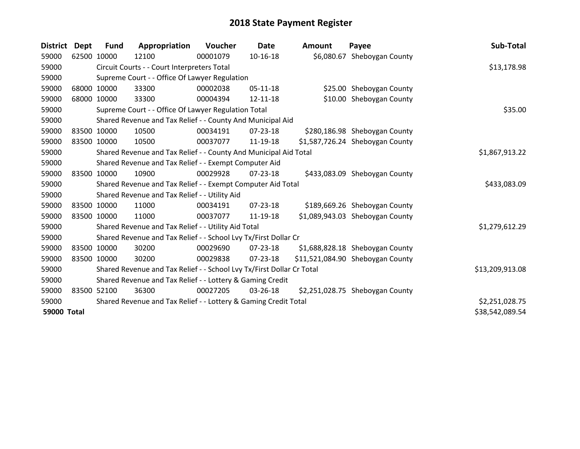| <b>District</b>    | <b>Dept</b> | <b>Fund</b> | Appropriation                                                         | <b>Voucher</b> | Date           | Amount | Payee                            | Sub-Total       |
|--------------------|-------------|-------------|-----------------------------------------------------------------------|----------------|----------------|--------|----------------------------------|-----------------|
| 59000              | 62500 10000 |             | 12100                                                                 | 00001079       | 10-16-18       |        | \$6,080.67 Sheboygan County      |                 |
| 59000              |             |             | Circuit Courts - - Court Interpreters Total                           |                |                |        |                                  | \$13,178.98     |
| 59000              |             |             | Supreme Court - - Office Of Lawyer Regulation                         |                |                |        |                                  |                 |
| 59000              |             | 68000 10000 | 33300                                                                 | 00002038       | $05 - 11 - 18$ |        | \$25.00 Sheboygan County         |                 |
| 59000              |             | 68000 10000 | 33300                                                                 | 00004394       | 12-11-18       |        | \$10.00 Sheboygan County         |                 |
| 59000              |             |             | Supreme Court - - Office Of Lawyer Regulation Total                   |                | \$35.00        |        |                                  |                 |
| 59000              |             |             | Shared Revenue and Tax Relief - - County And Municipal Aid            |                |                |        |                                  |                 |
| 59000              |             | 83500 10000 | 10500                                                                 | 00034191       | 07-23-18       |        | \$280,186.98 Sheboygan County    |                 |
| 59000              |             | 83500 10000 | 10500                                                                 | 00037077       | 11-19-18       |        | \$1,587,726.24 Sheboygan County  |                 |
| 59000              |             |             | Shared Revenue and Tax Relief - - County And Municipal Aid Total      |                |                |        |                                  | \$1,867,913.22  |
| 59000              |             |             | Shared Revenue and Tax Relief - - Exempt Computer Aid                 |                |                |        |                                  |                 |
| 59000              |             | 83500 10000 | 10900                                                                 | 00029928       | 07-23-18       |        | \$433,083.09 Sheboygan County    |                 |
| 59000              |             |             | Shared Revenue and Tax Relief - - Exempt Computer Aid Total           |                |                |        |                                  | \$433,083.09    |
| 59000              |             |             | Shared Revenue and Tax Relief - - Utility Aid                         |                |                |        |                                  |                 |
| 59000              |             | 83500 10000 | 11000                                                                 | 00034191       | $07 - 23 - 18$ |        | \$189,669.26 Sheboygan County    |                 |
| 59000              | 83500 10000 |             | 11000                                                                 | 00037077       | 11-19-18       |        | \$1,089,943.03 Sheboygan County  |                 |
| 59000              |             |             | Shared Revenue and Tax Relief - - Utility Aid Total                   |                |                |        |                                  | \$1,279,612.29  |
| 59000              |             |             | Shared Revenue and Tax Relief - - School Lvy Tx/First Dollar Cr       |                |                |        |                                  |                 |
| 59000              |             | 83500 10000 | 30200                                                                 | 00029690       | $07 - 23 - 18$ |        | \$1,688,828.18 Sheboygan County  |                 |
| 59000              | 83500 10000 |             | 30200                                                                 | 00029838       | $07 - 23 - 18$ |        | \$11,521,084.90 Sheboygan County |                 |
| 59000              |             |             | Shared Revenue and Tax Relief - - School Lvy Tx/First Dollar Cr Total |                |                |        |                                  | \$13,209,913.08 |
| 59000              |             |             | Shared Revenue and Tax Relief - - Lottery & Gaming Credit             |                |                |        |                                  |                 |
| 59000              | 83500       | 52100       | 36300                                                                 | 00027205       | 03-26-18       |        | \$2,251,028.75 Sheboygan County  |                 |
| 59000              |             |             | Shared Revenue and Tax Relief - - Lottery & Gaming Credit Total       |                |                |        |                                  | \$2,251,028.75  |
| <b>59000 Total</b> |             |             |                                                                       |                |                |        |                                  | \$38,542,089.54 |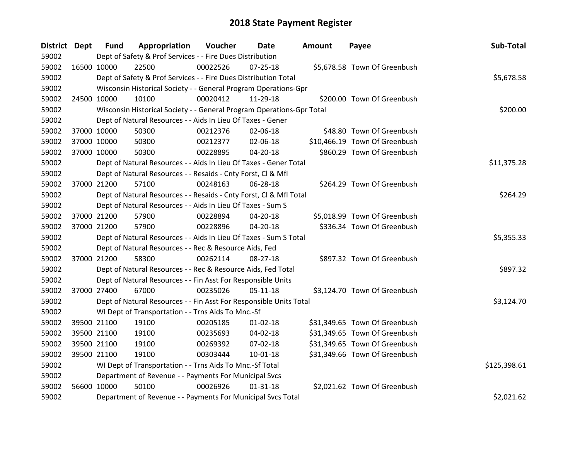| District Dept |             | <b>Fund</b> | Appropriation                                                         | Voucher  | Date           | <b>Amount</b> | Payee                         | Sub-Total    |
|---------------|-------------|-------------|-----------------------------------------------------------------------|----------|----------------|---------------|-------------------------------|--------------|
| 59002         |             |             | Dept of Safety & Prof Services - - Fire Dues Distribution             |          |                |               |                               |              |
| 59002         | 16500 10000 |             | 22500                                                                 | 00022526 | 07-25-18       |               | \$5,678.58 Town Of Greenbush  |              |
| 59002         |             |             | Dept of Safety & Prof Services - - Fire Dues Distribution Total       |          |                |               |                               | \$5,678.58   |
| 59002         |             |             | Wisconsin Historical Society - - General Program Operations-Gpr       |          |                |               |                               |              |
| 59002         |             | 24500 10000 | 10100                                                                 | 00020412 | 11-29-18       |               | \$200.00 Town Of Greenbush    |              |
| 59002         |             |             | Wisconsin Historical Society - - General Program Operations-Gpr Total |          |                |               |                               | \$200.00     |
| 59002         |             |             | Dept of Natural Resources - - Aids In Lieu Of Taxes - Gener           |          |                |               |                               |              |
| 59002         |             | 37000 10000 | 50300                                                                 | 00212376 | 02-06-18       |               | \$48.80 Town Of Greenbush     |              |
| 59002         |             | 37000 10000 | 50300                                                                 | 00212377 | 02-06-18       |               | \$10,466.19 Town Of Greenbush |              |
| 59002         |             | 37000 10000 | 50300                                                                 | 00228895 | 04-20-18       |               | \$860.29 Town Of Greenbush    |              |
| 59002         |             |             | Dept of Natural Resources - - Aids In Lieu Of Taxes - Gener Total     |          |                |               |                               | \$11,375.28  |
| 59002         |             |             | Dept of Natural Resources - - Resaids - Cnty Forst, Cl & Mfl          |          |                |               |                               |              |
| 59002         |             | 37000 21200 | 57100                                                                 | 00248163 | 06-28-18       |               | \$264.29 Town Of Greenbush    |              |
| 59002         |             |             | Dept of Natural Resources - - Resaids - Cnty Forst, Cl & Mfl Total    |          |                |               |                               | \$264.29     |
| 59002         |             |             | Dept of Natural Resources - - Aids In Lieu Of Taxes - Sum S           |          |                |               |                               |              |
| 59002         |             | 37000 21200 | 57900                                                                 | 00228894 | 04-20-18       |               | \$5,018.99 Town Of Greenbush  |              |
| 59002         |             | 37000 21200 | 57900                                                                 | 00228896 | 04-20-18       |               | \$336.34 Town Of Greenbush    |              |
| 59002         |             |             | Dept of Natural Resources - - Aids In Lieu Of Taxes - Sum S Total     |          |                |               |                               | \$5,355.33   |
| 59002         |             |             | Dept of Natural Resources - - Rec & Resource Aids, Fed                |          |                |               |                               |              |
| 59002         |             | 37000 21200 | 58300                                                                 | 00262114 | 08-27-18       |               | \$897.32 Town Of Greenbush    |              |
| 59002         |             |             | Dept of Natural Resources - - Rec & Resource Aids, Fed Total          |          |                |               |                               | \$897.32     |
| 59002         |             |             | Dept of Natural Resources - - Fin Asst For Responsible Units          |          |                |               |                               |              |
| 59002         |             | 37000 27400 | 67000                                                                 | 00235026 | $05 - 11 - 18$ |               | \$3,124.70 Town Of Greenbush  |              |
| 59002         |             |             | Dept of Natural Resources - - Fin Asst For Responsible Units Total    |          |                |               |                               | \$3,124.70   |
| 59002         |             |             | WI Dept of Transportation - - Trns Aids To Mnc.-Sf                    |          |                |               |                               |              |
| 59002         |             | 39500 21100 | 19100                                                                 | 00205185 | $01 - 02 - 18$ |               | \$31,349.65 Town Of Greenbush |              |
| 59002         |             | 39500 21100 | 19100                                                                 | 00235693 | 04-02-18       |               | \$31,349.65 Town Of Greenbush |              |
| 59002         |             | 39500 21100 | 19100                                                                 | 00269392 | 07-02-18       |               | \$31,349.65 Town Of Greenbush |              |
| 59002         |             | 39500 21100 | 19100                                                                 | 00303444 | 10-01-18       |               | \$31,349.66 Town Of Greenbush |              |
| 59002         |             |             | WI Dept of Transportation - - Trns Aids To Mnc.-Sf Total              |          |                |               |                               | \$125,398.61 |
| 59002         |             |             | Department of Revenue - - Payments For Municipal Svcs                 |          |                |               |                               |              |
| 59002         | 56600 10000 |             | 50100                                                                 | 00026926 | $01 - 31 - 18$ |               | \$2,021.62 Town Of Greenbush  |              |
| 59002         |             |             | Department of Revenue - - Payments For Municipal Svcs Total           |          |                |               |                               | \$2,021.62   |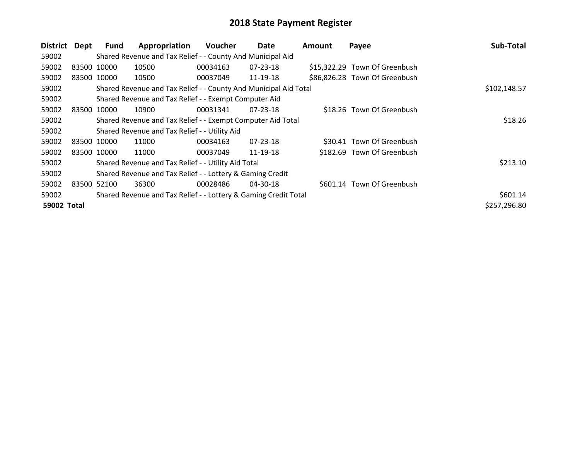| <b>District</b> | Dept        | Fund  | Appropriation                                                    | <b>Voucher</b> | Date           | <b>Amount</b> | Payee                         | Sub-Total    |
|-----------------|-------------|-------|------------------------------------------------------------------|----------------|----------------|---------------|-------------------------------|--------------|
| 59002           |             |       | Shared Revenue and Tax Relief - - County And Municipal Aid       |                |                |               |                               |              |
| 59002           | 83500 10000 |       | 10500                                                            | 00034163       | $07 - 23 - 18$ |               | \$15,322.29 Town Of Greenbush |              |
| 59002           | 83500 10000 |       | 10500                                                            | 00037049       | 11-19-18       |               | \$86,826.28 Town Of Greenbush |              |
| 59002           |             |       | Shared Revenue and Tax Relief - - County And Municipal Aid Total | \$102,148.57   |                |               |                               |              |
| 59002           |             |       | Shared Revenue and Tax Relief - - Exempt Computer Aid            |                |                |               |                               |              |
| 59002           | 83500       | 10000 | 10900                                                            | 00031341       | 07-23-18       |               | \$18.26 Town Of Greenbush     |              |
| 59002           |             |       | Shared Revenue and Tax Relief - - Exempt Computer Aid Total      | \$18.26        |                |               |                               |              |
| 59002           |             |       | Shared Revenue and Tax Relief - - Utility Aid                    |                |                |               |                               |              |
| 59002           | 83500 10000 |       | 11000                                                            | 00034163       | $07 - 23 - 18$ |               | \$30.41 Town Of Greenbush     |              |
| 59002           | 83500 10000 |       | 11000                                                            | 00037049       | 11-19-18       |               | \$182.69 Town Of Greenbush    |              |
| 59002           |             |       | Shared Revenue and Tax Relief - - Utility Aid Total              |                |                |               |                               | \$213.10     |
| 59002           |             |       | Shared Revenue and Tax Relief - - Lottery & Gaming Credit        |                |                |               |                               |              |
| 59002           | 83500 52100 |       | 36300                                                            | 00028486       | 04-30-18       |               | \$601.14 Town Of Greenbush    |              |
| 59002           |             |       | Shared Revenue and Tax Relief - - Lottery & Gaming Credit Total  |                |                |               |                               | \$601.14     |
| 59002 Total     |             |       |                                                                  |                |                |               |                               | \$257,296.80 |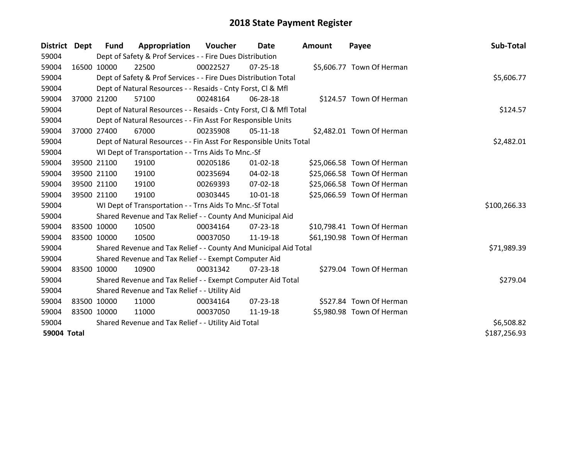| District Dept | <b>Fund</b>                                         | Appropriation                                                      | Voucher  | Date           | Amount | Payee                      | Sub-Total    |
|---------------|-----------------------------------------------------|--------------------------------------------------------------------|----------|----------------|--------|----------------------------|--------------|
| 59004         |                                                     | Dept of Safety & Prof Services - - Fire Dues Distribution          |          |                |        |                            |              |
| 59004         | 16500 10000                                         | 22500                                                              | 00022527 | $07 - 25 - 18$ |        | \$5,606.77 Town Of Herman  |              |
| 59004         |                                                     | Dept of Safety & Prof Services - - Fire Dues Distribution Total    |          |                |        |                            | \$5,606.77   |
| 59004         |                                                     | Dept of Natural Resources - - Resaids - Cnty Forst, CI & Mfl       |          |                |        |                            |              |
| 59004         | 37000 21200                                         | 57100                                                              | 00248164 | 06-28-18       |        | \$124.57 Town Of Herman    |              |
| 59004         |                                                     | Dept of Natural Resources - - Resaids - Cnty Forst, Cl & Mfl Total | \$124.57 |                |        |                            |              |
| 59004         |                                                     | Dept of Natural Resources - - Fin Asst For Responsible Units       |          |                |        |                            |              |
| 59004         | 37000 27400                                         | 67000                                                              | 00235908 | $05-11-18$     |        | \$2,482.01 Town Of Herman  |              |
| 59004         |                                                     | Dept of Natural Resources - - Fin Asst For Responsible Units Total |          |                |        |                            | \$2,482.01   |
| 59004         |                                                     | WI Dept of Transportation - - Trns Aids To Mnc.-Sf                 |          |                |        |                            |              |
| 59004         | 39500 21100                                         | 19100                                                              | 00205186 | $01 - 02 - 18$ |        | \$25,066.58 Town Of Herman |              |
| 59004         | 39500 21100                                         | 19100                                                              | 00235694 | $04 - 02 - 18$ |        | \$25,066.58 Town Of Herman |              |
| 59004         | 39500 21100                                         | 19100                                                              | 00269393 | 07-02-18       |        | \$25,066.58 Town Of Herman |              |
| 59004         | 39500 21100                                         | 19100                                                              | 00303445 | $10 - 01 - 18$ |        | \$25,066.59 Town Of Herman |              |
| 59004         |                                                     | WI Dept of Transportation - - Trns Aids To Mnc.-Sf Total           |          |                |        |                            | \$100,266.33 |
| 59004         |                                                     | Shared Revenue and Tax Relief - - County And Municipal Aid         |          |                |        |                            |              |
| 59004         | 83500 10000                                         | 10500                                                              | 00034164 | 07-23-18       |        | \$10,798.41 Town Of Herman |              |
| 59004         | 83500 10000                                         | 10500                                                              | 00037050 | 11-19-18       |        | \$61,190.98 Town Of Herman |              |
| 59004         |                                                     | Shared Revenue and Tax Relief - - County And Municipal Aid Total   |          |                |        |                            | \$71,989.39  |
| 59004         |                                                     | Shared Revenue and Tax Relief - - Exempt Computer Aid              |          |                |        |                            |              |
| 59004         | 83500 10000                                         | 10900                                                              | 00031342 | $07 - 23 - 18$ |        | \$279.04 Town Of Herman    |              |
| 59004         |                                                     | Shared Revenue and Tax Relief - - Exempt Computer Aid Total        |          |                |        |                            | \$279.04     |
| 59004         |                                                     | Shared Revenue and Tax Relief - - Utility Aid                      |          |                |        |                            |              |
| 59004         | 83500 10000                                         | 11000                                                              | 00034164 | $07 - 23 - 18$ |        | \$527.84 Town Of Herman    |              |
| 59004         | 83500 10000                                         | 11000                                                              | 00037050 | 11-19-18       |        | \$5,980.98 Town Of Herman  |              |
| 59004         | Shared Revenue and Tax Relief - - Utility Aid Total | \$6,508.82                                                         |          |                |        |                            |              |
| 59004 Total   |                                                     |                                                                    |          |                |        |                            | \$187,256.93 |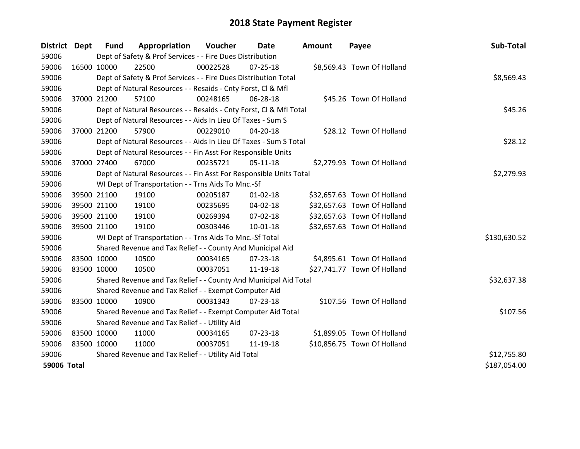| District Dept |             | <b>Fund</b> | Appropriation                                                      | Voucher  | <b>Date</b>    | <b>Amount</b> | Payee                       | Sub-Total    |
|---------------|-------------|-------------|--------------------------------------------------------------------|----------|----------------|---------------|-----------------------------|--------------|
| 59006         |             |             | Dept of Safety & Prof Services - - Fire Dues Distribution          |          |                |               |                             |              |
| 59006         | 16500 10000 |             | 22500                                                              | 00022528 | $07 - 25 - 18$ |               | \$8,569.43 Town Of Holland  |              |
| 59006         |             |             | Dept of Safety & Prof Services - - Fire Dues Distribution Total    |          |                |               |                             | \$8,569.43   |
| 59006         |             |             | Dept of Natural Resources - - Resaids - Cnty Forst, CI & Mfl       |          |                |               |                             |              |
| 59006         | 37000 21200 |             | 57100                                                              | 00248165 | 06-28-18       |               | \$45.26 Town Of Holland     |              |
| 59006         |             |             | Dept of Natural Resources - - Resaids - Cnty Forst, Cl & Mfl Total |          |                |               |                             | \$45.26      |
| 59006         |             |             | Dept of Natural Resources - - Aids In Lieu Of Taxes - Sum S        |          |                |               |                             |              |
| 59006         | 37000 21200 |             | 57900                                                              | 00229010 | 04-20-18       |               | \$28.12 Town Of Holland     |              |
| 59006         |             |             | Dept of Natural Resources - - Aids In Lieu Of Taxes - Sum S Total  |          |                |               |                             | \$28.12      |
| 59006         |             |             | Dept of Natural Resources - - Fin Asst For Responsible Units       |          |                |               |                             |              |
| 59006         | 37000 27400 |             | 67000                                                              | 00235721 | $05-11-18$     |               | \$2,279.93 Town Of Holland  |              |
| 59006         |             |             | Dept of Natural Resources - - Fin Asst For Responsible Units Total |          |                |               |                             | \$2,279.93   |
| 59006         |             |             | WI Dept of Transportation - - Trns Aids To Mnc.-Sf                 |          |                |               |                             |              |
| 59006         | 39500 21100 |             | 19100                                                              | 00205187 | $01 - 02 - 18$ |               | \$32,657.63 Town Of Holland |              |
| 59006         |             | 39500 21100 | 19100                                                              | 00235695 | 04-02-18       |               | \$32,657.63 Town Of Holland |              |
| 59006         |             | 39500 21100 | 19100                                                              | 00269394 | 07-02-18       |               | \$32,657.63 Town Of Holland |              |
| 59006         | 39500 21100 |             | 19100                                                              | 00303446 | $10 - 01 - 18$ |               | \$32,657.63 Town Of Holland |              |
| 59006         |             |             | WI Dept of Transportation - - Trns Aids To Mnc.-Sf Total           |          |                |               |                             | \$130,630.52 |
| 59006         |             |             | Shared Revenue and Tax Relief - - County And Municipal Aid         |          |                |               |                             |              |
| 59006         | 83500 10000 |             | 10500                                                              | 00034165 | 07-23-18       |               | \$4,895.61 Town Of Holland  |              |
| 59006         | 83500 10000 |             | 10500                                                              | 00037051 | 11-19-18       |               | \$27,741.77 Town Of Holland |              |
| 59006         |             |             | Shared Revenue and Tax Relief - - County And Municipal Aid Total   |          |                |               |                             | \$32,637.38  |
| 59006         |             |             | Shared Revenue and Tax Relief - - Exempt Computer Aid              |          |                |               |                             |              |
| 59006         | 83500 10000 |             | 10900                                                              | 00031343 | $07 - 23 - 18$ |               | \$107.56 Town Of Holland    |              |
| 59006         |             |             | Shared Revenue and Tax Relief - - Exempt Computer Aid Total        |          |                |               |                             | \$107.56     |
| 59006         |             |             | Shared Revenue and Tax Relief - - Utility Aid                      |          |                |               |                             |              |
| 59006         | 83500 10000 |             | 11000                                                              | 00034165 | 07-23-18       |               | \$1,899.05 Town Of Holland  |              |
| 59006         | 83500 10000 |             | 11000                                                              | 00037051 | 11-19-18       |               | \$10,856.75 Town Of Holland |              |
| 59006         |             |             | Shared Revenue and Tax Relief - - Utility Aid Total                |          |                |               |                             | \$12,755.80  |
| 59006 Total   |             |             |                                                                    |          |                |               |                             | \$187,054.00 |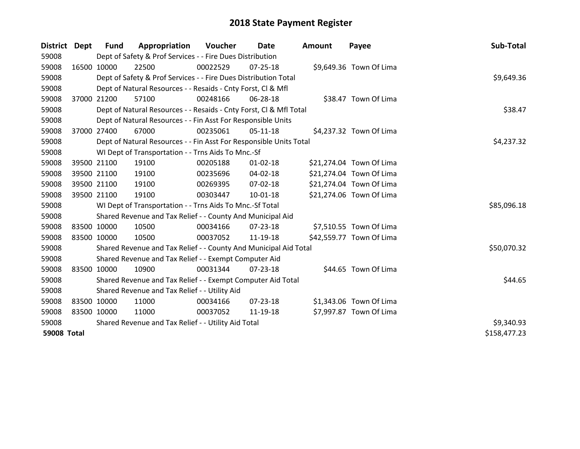| District    | Dept        | <b>Fund</b> | Appropriation                                                      | Voucher  | Date           | <b>Amount</b> | Payee                    | Sub-Total    |
|-------------|-------------|-------------|--------------------------------------------------------------------|----------|----------------|---------------|--------------------------|--------------|
| 59008       |             |             | Dept of Safety & Prof Services - - Fire Dues Distribution          |          |                |               |                          |              |
| 59008       |             | 16500 10000 | 22500                                                              | 00022529 | $07 - 25 - 18$ |               | \$9,649.36 Town Of Lima  |              |
| 59008       |             |             | Dept of Safety & Prof Services - - Fire Dues Distribution Total    |          |                |               |                          | \$9,649.36   |
| 59008       |             |             | Dept of Natural Resources - - Resaids - Cnty Forst, CI & Mfl       |          |                |               |                          |              |
| 59008       |             | 37000 21200 | 57100                                                              | 00248166 | 06-28-18       |               | \$38.47 Town Of Lima     |              |
| 59008       |             |             | Dept of Natural Resources - - Resaids - Cnty Forst, Cl & Mfl Total |          |                |               |                          | \$38.47      |
| 59008       |             |             | Dept of Natural Resources - - Fin Asst For Responsible Units       |          |                |               |                          |              |
| 59008       | 37000 27400 |             | 67000                                                              | 00235061 | $05-11-18$     |               | \$4,237.32 Town Of Lima  |              |
| 59008       |             |             | Dept of Natural Resources - - Fin Asst For Responsible Units Total |          |                |               |                          | \$4,237.32   |
| 59008       |             |             | WI Dept of Transportation - - Trns Aids To Mnc.-Sf                 |          |                |               |                          |              |
| 59008       |             | 39500 21100 | 19100                                                              | 00205188 | $01 - 02 - 18$ |               | \$21,274.04 Town Of Lima |              |
| 59008       |             | 39500 21100 | 19100                                                              | 00235696 | 04-02-18       |               | \$21,274.04 Town Of Lima |              |
| 59008       | 39500 21100 |             | 19100                                                              | 00269395 | 07-02-18       |               | \$21,274.04 Town Of Lima |              |
| 59008       | 39500 21100 |             | 19100                                                              | 00303447 | $10 - 01 - 18$ |               | \$21,274.06 Town Of Lima |              |
| 59008       |             |             | WI Dept of Transportation - - Trns Aids To Mnc.-Sf Total           |          |                |               |                          | \$85,096.18  |
| 59008       |             |             | Shared Revenue and Tax Relief - - County And Municipal Aid         |          |                |               |                          |              |
| 59008       | 83500 10000 |             | 10500                                                              | 00034166 | $07 - 23 - 18$ |               | \$7,510.55 Town Of Lima  |              |
| 59008       |             | 83500 10000 | 10500                                                              | 00037052 | 11-19-18       |               | \$42,559.77 Town Of Lima |              |
| 59008       |             |             | Shared Revenue and Tax Relief - - County And Municipal Aid Total   |          |                |               |                          | \$50,070.32  |
| 59008       |             |             | Shared Revenue and Tax Relief - - Exempt Computer Aid              |          |                |               |                          |              |
| 59008       |             | 83500 10000 | 10900                                                              | 00031344 | 07-23-18       |               | \$44.65 Town Of Lima     |              |
| 59008       |             |             | Shared Revenue and Tax Relief - - Exempt Computer Aid Total        |          |                |               |                          | \$44.65      |
| 59008       |             |             | Shared Revenue and Tax Relief - - Utility Aid                      |          |                |               |                          |              |
| 59008       |             | 83500 10000 | 11000                                                              | 00034166 | $07 - 23 - 18$ |               | \$1,343.06 Town Of Lima  |              |
| 59008       | 83500 10000 |             | 11000                                                              | 00037052 | 11-19-18       |               | \$7,997.87 Town Of Lima  |              |
| 59008       |             |             | Shared Revenue and Tax Relief - - Utility Aid Total                |          |                |               |                          | \$9,340.93   |
| 59008 Total |             |             |                                                                    |          |                |               |                          | \$158,477.23 |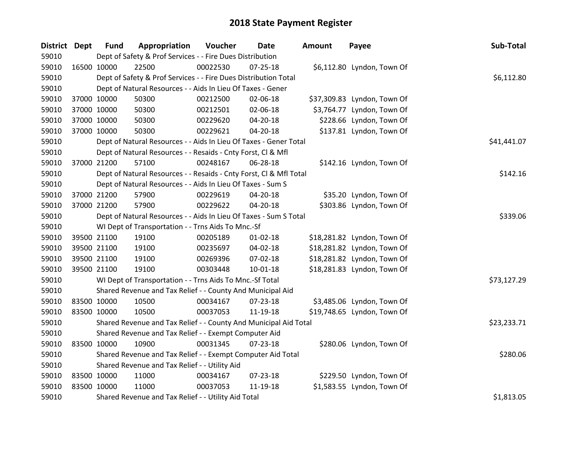| District Dept |             | <b>Fund</b> | Appropriation                                                      | Voucher  | Date           | Amount | Payee                       | Sub-Total   |
|---------------|-------------|-------------|--------------------------------------------------------------------|----------|----------------|--------|-----------------------------|-------------|
| 59010         |             |             | Dept of Safety & Prof Services - - Fire Dues Distribution          |          |                |        |                             |             |
| 59010         | 16500 10000 |             | 22500                                                              | 00022530 | $07 - 25 - 18$ |        | \$6,112.80 Lyndon, Town Of  |             |
| 59010         |             |             | Dept of Safety & Prof Services - - Fire Dues Distribution Total    |          |                |        |                             | \$6,112.80  |
| 59010         |             |             | Dept of Natural Resources - - Aids In Lieu Of Taxes - Gener        |          |                |        |                             |             |
| 59010         | 37000 10000 |             | 50300                                                              | 00212500 | 02-06-18       |        | \$37,309.83 Lyndon, Town Of |             |
| 59010         | 37000 10000 |             | 50300                                                              | 00212501 | 02-06-18       |        | \$3,764.77 Lyndon, Town Of  |             |
| 59010         | 37000 10000 |             | 50300                                                              | 00229620 | 04-20-18       |        | \$228.66 Lyndon, Town Of    |             |
| 59010         | 37000 10000 |             | 50300                                                              | 00229621 | $04 - 20 - 18$ |        | \$137.81 Lyndon, Town Of    |             |
| 59010         |             |             | Dept of Natural Resources - - Aids In Lieu Of Taxes - Gener Total  |          |                |        |                             | \$41,441.07 |
| 59010         |             |             | Dept of Natural Resources - - Resaids - Cnty Forst, Cl & Mfl       |          |                |        |                             |             |
| 59010         | 37000 21200 |             | 57100                                                              | 00248167 | 06-28-18       |        | \$142.16 Lyndon, Town Of    |             |
| 59010         |             |             | Dept of Natural Resources - - Resaids - Cnty Forst, CI & Mfl Total |          |                |        |                             | \$142.16    |
| 59010         |             |             | Dept of Natural Resources - - Aids In Lieu Of Taxes - Sum S        |          |                |        |                             |             |
| 59010         | 37000 21200 |             | 57900                                                              | 00229619 | 04-20-18       |        | \$35.20 Lyndon, Town Of     |             |
| 59010         | 37000 21200 |             | 57900                                                              | 00229622 | 04-20-18       |        | \$303.86 Lyndon, Town Of    |             |
| 59010         |             |             | Dept of Natural Resources - - Aids In Lieu Of Taxes - Sum S Total  |          |                |        |                             | \$339.06    |
| 59010         |             |             | WI Dept of Transportation - - Trns Aids To Mnc.-Sf                 |          |                |        |                             |             |
| 59010         | 39500 21100 |             | 19100                                                              | 00205189 | $01 - 02 - 18$ |        | \$18,281.82 Lyndon, Town Of |             |
| 59010         | 39500 21100 |             | 19100                                                              | 00235697 | 04-02-18       |        | \$18,281.82 Lyndon, Town Of |             |
| 59010         | 39500 21100 |             | 19100                                                              | 00269396 | 07-02-18       |        | \$18,281.82 Lyndon, Town Of |             |
| 59010         | 39500 21100 |             | 19100                                                              | 00303448 | $10 - 01 - 18$ |        | \$18,281.83 Lyndon, Town Of |             |
| 59010         |             |             | WI Dept of Transportation - - Trns Aids To Mnc.-Sf Total           |          |                |        |                             | \$73,127.29 |
| 59010         |             |             | Shared Revenue and Tax Relief - - County And Municipal Aid         |          |                |        |                             |             |
| 59010         | 83500 10000 |             | 10500                                                              | 00034167 | 07-23-18       |        | \$3,485.06 Lyndon, Town Of  |             |
| 59010         | 83500 10000 |             | 10500                                                              | 00037053 | 11-19-18       |        | \$19,748.65 Lyndon, Town Of |             |
| 59010         |             |             | Shared Revenue and Tax Relief - - County And Municipal Aid Total   |          |                |        |                             | \$23,233.71 |
| 59010         |             |             | Shared Revenue and Tax Relief - - Exempt Computer Aid              |          |                |        |                             |             |
| 59010         | 83500 10000 |             | 10900                                                              | 00031345 | $07 - 23 - 18$ |        | \$280.06 Lyndon, Town Of    |             |
| 59010         |             |             | Shared Revenue and Tax Relief - - Exempt Computer Aid Total        |          |                |        |                             | \$280.06    |
| 59010         |             |             | Shared Revenue and Tax Relief - - Utility Aid                      |          |                |        |                             |             |
| 59010         | 83500 10000 |             | 11000                                                              | 00034167 | 07-23-18       |        | \$229.50 Lyndon, Town Of    |             |
| 59010         | 83500 10000 |             | 11000                                                              | 00037053 | 11-19-18       |        | \$1,583.55 Lyndon, Town Of  |             |
| 59010         |             |             | Shared Revenue and Tax Relief - - Utility Aid Total                |          |                |        |                             | \$1,813.05  |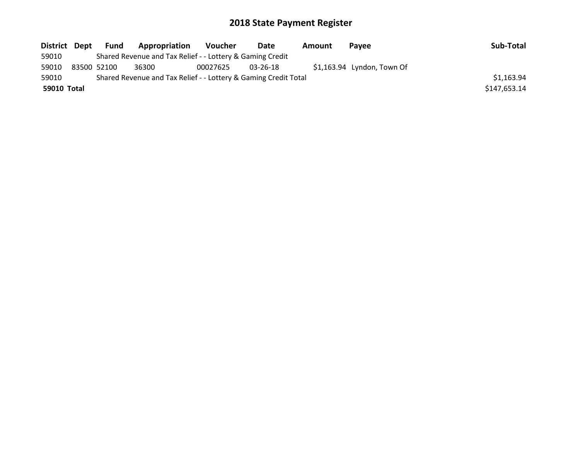| District Dept |             | Fund | Appropriation                                                   | <b>Voucher</b> | Date     | Amount | <b>Pavee</b>                | Sub-Total    |
|---------------|-------------|------|-----------------------------------------------------------------|----------------|----------|--------|-----------------------------|--------------|
| 59010         |             |      | Shared Revenue and Tax Relief - - Lottery & Gaming Credit       |                |          |        |                             |              |
| 59010         | 83500 52100 |      | 36300                                                           | 00027625       | 03-26-18 |        | $$1,163.94$ Lyndon, Town Of |              |
| 59010         |             |      | Shared Revenue and Tax Relief - - Lottery & Gaming Credit Total |                |          |        |                             | \$1,163.94   |
| 59010 Total   |             |      |                                                                 |                |          |        |                             | \$147,653.14 |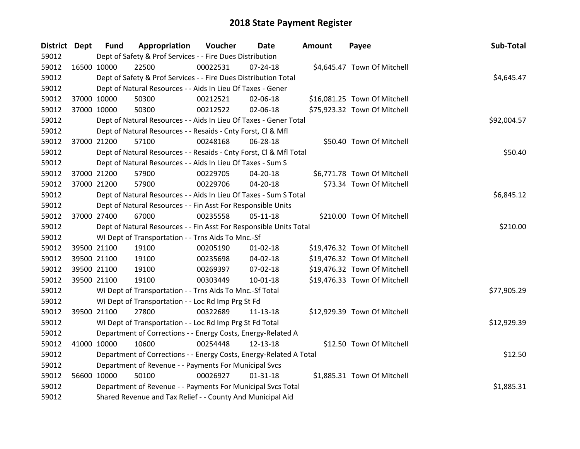| <b>District Dept</b> |             | <b>Fund</b> | Appropriation                                                      | Voucher  | Date           | Amount | Payee                        | Sub-Total   |
|----------------------|-------------|-------------|--------------------------------------------------------------------|----------|----------------|--------|------------------------------|-------------|
| 59012                |             |             | Dept of Safety & Prof Services - - Fire Dues Distribution          |          |                |        |                              |             |
| 59012                | 16500 10000 |             | 22500                                                              | 00022531 | $07 - 24 - 18$ |        | \$4,645.47 Town Of Mitchell  |             |
| 59012                |             |             | Dept of Safety & Prof Services - - Fire Dues Distribution Total    |          |                |        |                              | \$4,645.47  |
| 59012                |             |             | Dept of Natural Resources - - Aids In Lieu Of Taxes - Gener        |          |                |        |                              |             |
| 59012                | 37000 10000 |             | 50300                                                              | 00212521 | 02-06-18       |        | \$16,081.25 Town Of Mitchell |             |
| 59012                | 37000 10000 |             | 50300                                                              | 00212522 | 02-06-18       |        | \$75,923.32 Town Of Mitchell |             |
| 59012                |             |             | Dept of Natural Resources - - Aids In Lieu Of Taxes - Gener Total  |          |                |        |                              | \$92,004.57 |
| 59012                |             |             | Dept of Natural Resources - - Resaids - Cnty Forst, Cl & Mfl       |          |                |        |                              |             |
| 59012                | 37000 21200 |             | 57100                                                              | 00248168 | 06-28-18       |        | \$50.40 Town Of Mitchell     |             |
| 59012                |             |             | Dept of Natural Resources - - Resaids - Cnty Forst, CI & Mfl Total |          |                |        |                              | \$50.40     |
| 59012                |             |             | Dept of Natural Resources - - Aids In Lieu Of Taxes - Sum S        |          |                |        |                              |             |
| 59012                |             | 37000 21200 | 57900                                                              | 00229705 | 04-20-18       |        | \$6,771.78 Town Of Mitchell  |             |
| 59012                | 37000 21200 |             | 57900                                                              | 00229706 | 04-20-18       |        | \$73.34 Town Of Mitchell     |             |
| 59012                |             |             | Dept of Natural Resources - - Aids In Lieu Of Taxes - Sum S Total  |          |                |        |                              | \$6,845.12  |
| 59012                |             |             | Dept of Natural Resources - - Fin Asst For Responsible Units       |          |                |        |                              |             |
| 59012                | 37000 27400 |             | 67000                                                              | 00235558 | $05-11-18$     |        | \$210.00 Town Of Mitchell    |             |
| 59012                |             |             | Dept of Natural Resources - - Fin Asst For Responsible Units Total |          |                |        |                              | \$210.00    |
| 59012                |             |             | WI Dept of Transportation - - Trns Aids To Mnc.-Sf                 |          |                |        |                              |             |
| 59012                |             | 39500 21100 | 19100                                                              | 00205190 | $01 - 02 - 18$ |        | \$19,476.32 Town Of Mitchell |             |
| 59012                |             | 39500 21100 | 19100                                                              | 00235698 | 04-02-18       |        | \$19,476.32 Town Of Mitchell |             |
| 59012                |             | 39500 21100 | 19100                                                              | 00269397 | 07-02-18       |        | \$19,476.32 Town Of Mitchell |             |
| 59012                | 39500 21100 |             | 19100                                                              | 00303449 | $10-01-18$     |        | \$19,476.33 Town Of Mitchell |             |
| 59012                |             |             | WI Dept of Transportation - - Trns Aids To Mnc.-Sf Total           |          |                |        |                              | \$77,905.29 |
| 59012                |             |             | WI Dept of Transportation - - Loc Rd Imp Prg St Fd                 |          |                |        |                              |             |
| 59012                | 39500 21100 |             | 27800                                                              | 00322689 | 11-13-18       |        | \$12,929.39 Town Of Mitchell |             |
| 59012                |             |             | WI Dept of Transportation - - Loc Rd Imp Prg St Fd Total           |          |                |        |                              | \$12,929.39 |
| 59012                |             |             | Department of Corrections - - Energy Costs, Energy-Related A       |          |                |        |                              |             |
| 59012                | 41000 10000 |             | 10600                                                              | 00254448 | 12-13-18       |        | \$12.50 Town Of Mitchell     |             |
| 59012                |             |             | Department of Corrections - - Energy Costs, Energy-Related A Total |          |                |        |                              | \$12.50     |
| 59012                |             |             | Department of Revenue - - Payments For Municipal Svcs              |          |                |        |                              |             |
| 59012                | 56600 10000 |             | 50100                                                              | 00026927 | $01 - 31 - 18$ |        | \$1,885.31 Town Of Mitchell  |             |
| 59012                |             |             | Department of Revenue - - Payments For Municipal Svcs Total        |          |                |        |                              | \$1,885.31  |
| 59012                |             |             | Shared Revenue and Tax Relief - - County And Municipal Aid         |          |                |        |                              |             |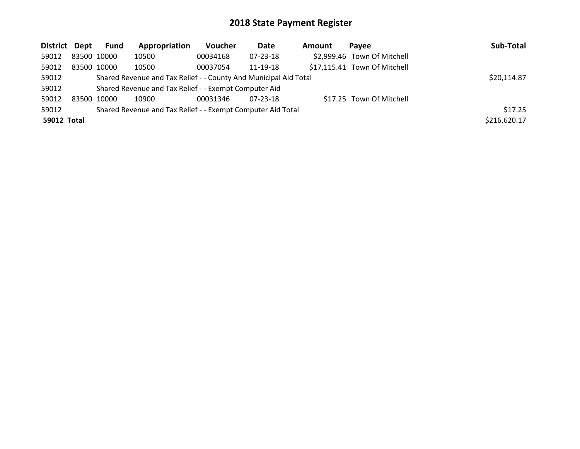| District Dept | Fund        | Appropriation                                                    | <b>Voucher</b> | Date           | <b>Amount</b> | Pavee                        | Sub-Total    |
|---------------|-------------|------------------------------------------------------------------|----------------|----------------|---------------|------------------------------|--------------|
| 59012         | 83500 10000 | 10500                                                            | 00034168       | $07 - 23 - 18$ |               | \$2,999.46 Town Of Mitchell  |              |
| 59012         | 83500 10000 | 10500                                                            | 00037054       | 11-19-18       |               | \$17,115.41 Town Of Mitchell |              |
| 59012         |             | Shared Revenue and Tax Relief - - County And Municipal Aid Total |                |                |               |                              | \$20,114.87  |
| 59012         |             | Shared Revenue and Tax Relief - - Exempt Computer Aid            |                |                |               |                              |              |
| 59012         | 83500 10000 | 10900                                                            | 00031346       | $07 - 23 - 18$ |               | \$17.25 Town Of Mitchell     |              |
| 59012         |             | Shared Revenue and Tax Relief - - Exempt Computer Aid Total      |                |                |               |                              | \$17.25      |
| 59012 Total   |             |                                                                  |                |                |               |                              | \$216,620.17 |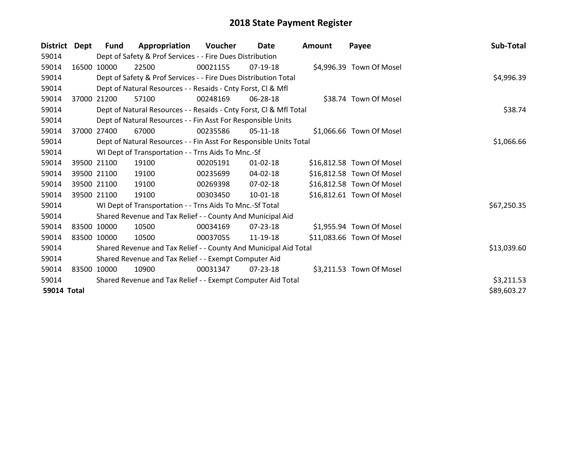| <b>District</b>    | Dept        | <b>Fund</b> | Appropriation                                                      | Voucher  | Date           | <b>Amount</b> | Payee                     | Sub-Total   |
|--------------------|-------------|-------------|--------------------------------------------------------------------|----------|----------------|---------------|---------------------------|-------------|
| 59014              |             |             | Dept of Safety & Prof Services - - Fire Dues Distribution          |          |                |               |                           |             |
| 59014              |             | 16500 10000 | 22500                                                              | 00021155 | $07-19-18$     |               | \$4,996.39 Town Of Mosel  |             |
| 59014              |             |             | Dept of Safety & Prof Services - - Fire Dues Distribution Total    |          |                |               |                           | \$4,996.39  |
| 59014              |             |             | Dept of Natural Resources - - Resaids - Cnty Forst, CI & Mfl       |          |                |               |                           |             |
| 59014              | 37000       | 21200       | 57100                                                              | 00248169 | 06-28-18       |               | \$38.74 Town Of Mosel     |             |
| 59014              |             |             | Dept of Natural Resources - - Resaids - Cnty Forst, Cl & Mfl Total |          |                |               |                           | \$38.74     |
| 59014              |             |             | Dept of Natural Resources - - Fin Asst For Responsible Units       |          |                |               |                           |             |
| 59014              | 37000       | 27400       | 67000                                                              | 00235586 | 05-11-18       |               | \$1,066.66 Town Of Mosel  |             |
| 59014              |             |             | Dept of Natural Resources - - Fin Asst For Responsible Units Total |          |                |               |                           | \$1,066.66  |
| 59014              |             |             | WI Dept of Transportation - - Trns Aids To Mnc.-Sf                 |          |                |               |                           |             |
| 59014              |             | 39500 21100 | 19100                                                              | 00205191 | $01 - 02 - 18$ |               | \$16,812.58 Town Of Mosel |             |
| 59014              |             | 39500 21100 | 19100                                                              | 00235699 | 04-02-18       |               | \$16,812.58 Town Of Mosel |             |
| 59014              |             | 39500 21100 | 19100                                                              | 00269398 | 07-02-18       |               | \$16,812.58 Town Of Mosel |             |
| 59014              |             | 39500 21100 | 19100                                                              | 00303450 | $10 - 01 - 18$ |               | \$16,812.61 Town Of Mosel |             |
| 59014              |             |             | WI Dept of Transportation - - Trns Aids To Mnc.-Sf Total           |          |                |               |                           | \$67,250.35 |
| 59014              |             |             | Shared Revenue and Tax Relief - - County And Municipal Aid         |          |                |               |                           |             |
| 59014              |             | 83500 10000 | 10500                                                              | 00034169 | 07-23-18       |               | \$1,955.94 Town Of Mosel  |             |
| 59014              |             | 83500 10000 | 10500                                                              | 00037055 | 11-19-18       |               | \$11,083.66 Town Of Mosel |             |
| 59014              |             |             | Shared Revenue and Tax Relief - - County And Municipal Aid Total   |          |                |               |                           | \$13,039.60 |
| 59014              |             |             | Shared Revenue and Tax Relief - - Exempt Computer Aid              |          |                |               |                           |             |
| 59014              | 83500 10000 |             | 10900                                                              | 00031347 | $07 - 23 - 18$ |               | \$3,211.53 Town Of Mosel  |             |
| 59014              |             |             | Shared Revenue and Tax Relief - - Exempt Computer Aid Total        |          |                |               |                           | \$3,211.53  |
| <b>59014 Total</b> |             |             |                                                                    |          |                |               |                           | \$89,603.27 |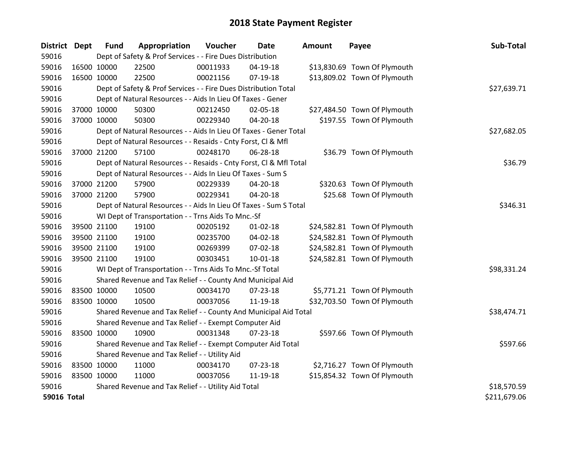| District Dept      |             | <b>Fund</b> | Appropriation                                                      | Voucher  | <b>Date</b>    | <b>Amount</b> | Payee                        | Sub-Total    |
|--------------------|-------------|-------------|--------------------------------------------------------------------|----------|----------------|---------------|------------------------------|--------------|
| 59016              |             |             | Dept of Safety & Prof Services - - Fire Dues Distribution          |          |                |               |                              |              |
| 59016              | 16500 10000 |             | 22500                                                              | 00011933 | 04-19-18       |               | \$13,830.69 Town Of Plymouth |              |
| 59016              | 16500 10000 |             | 22500                                                              | 00021156 | 07-19-18       |               | \$13,809.02 Town Of Plymouth |              |
| 59016              |             |             | Dept of Safety & Prof Services - - Fire Dues Distribution Total    |          |                |               |                              | \$27,639.71  |
| 59016              |             |             | Dept of Natural Resources - - Aids In Lieu Of Taxes - Gener        |          |                |               |                              |              |
| 59016              | 37000 10000 |             | 50300                                                              | 00212450 | 02-05-18       |               | \$27,484.50 Town Of Plymouth |              |
| 59016              | 37000 10000 |             | 50300                                                              | 00229340 | 04-20-18       |               | \$197.55 Town Of Plymouth    |              |
| 59016              |             |             | Dept of Natural Resources - - Aids In Lieu Of Taxes - Gener Total  |          |                |               |                              | \$27,682.05  |
| 59016              |             |             | Dept of Natural Resources - - Resaids - Cnty Forst, CI & Mfl       |          |                |               |                              |              |
| 59016              | 37000 21200 |             | 57100                                                              | 00248170 | 06-28-18       |               | \$36.79 Town Of Plymouth     |              |
| 59016              |             |             | Dept of Natural Resources - - Resaids - Cnty Forst, Cl & Mfl Total |          |                |               |                              | \$36.79      |
| 59016              |             |             | Dept of Natural Resources - - Aids In Lieu Of Taxes - Sum S        |          |                |               |                              |              |
| 59016              |             | 37000 21200 | 57900                                                              | 00229339 | 04-20-18       |               | \$320.63 Town Of Plymouth    |              |
| 59016              | 37000 21200 |             | 57900                                                              | 00229341 | 04-20-18       |               | \$25.68 Town Of Plymouth     |              |
| 59016              |             |             | Dept of Natural Resources - - Aids In Lieu Of Taxes - Sum S Total  |          | \$346.31       |               |                              |              |
| 59016              |             |             | WI Dept of Transportation - - Trns Aids To Mnc.-Sf                 |          |                |               |                              |              |
| 59016              | 39500 21100 |             | 19100                                                              | 00205192 | $01 - 02 - 18$ |               | \$24,582.81 Town Of Plymouth |              |
| 59016              |             | 39500 21100 | 19100                                                              | 00235700 | 04-02-18       |               | \$24,582.81 Town Of Plymouth |              |
| 59016              | 39500 21100 |             | 19100                                                              | 00269399 | 07-02-18       |               | \$24,582.81 Town Of Plymouth |              |
| 59016              | 39500 21100 |             | 19100                                                              | 00303451 | $10 - 01 - 18$ |               | \$24,582.81 Town Of Plymouth |              |
| 59016              |             |             | WI Dept of Transportation - - Trns Aids To Mnc.-Sf Total           |          |                |               |                              | \$98,331.24  |
| 59016              |             |             | Shared Revenue and Tax Relief - - County And Municipal Aid         |          |                |               |                              |              |
| 59016              |             | 83500 10000 | 10500                                                              | 00034170 | 07-23-18       |               | \$5,771.21 Town Of Plymouth  |              |
| 59016              | 83500 10000 |             | 10500                                                              | 00037056 | 11-19-18       |               | \$32,703.50 Town Of Plymouth |              |
| 59016              |             |             | Shared Revenue and Tax Relief - - County And Municipal Aid Total   |          |                |               |                              | \$38,474.71  |
| 59016              |             |             | Shared Revenue and Tax Relief - - Exempt Computer Aid              |          |                |               |                              |              |
| 59016              | 83500 10000 |             | 10900                                                              | 00031348 | 07-23-18       |               | \$597.66 Town Of Plymouth    |              |
| 59016              |             |             | Shared Revenue and Tax Relief - - Exempt Computer Aid Total        |          |                |               |                              | \$597.66     |
| 59016              |             |             | Shared Revenue and Tax Relief - - Utility Aid                      |          |                |               |                              |              |
| 59016              | 83500 10000 |             | 11000                                                              | 00034170 | 07-23-18       |               | \$2,716.27 Town Of Plymouth  |              |
| 59016              | 83500 10000 |             | 11000                                                              | 00037056 | 11-19-18       |               | \$15,854.32 Town Of Plymouth |              |
| 59016              |             |             | Shared Revenue and Tax Relief - - Utility Aid Total                |          |                |               |                              | \$18,570.59  |
| <b>59016 Total</b> |             |             |                                                                    |          |                |               |                              | \$211,679.06 |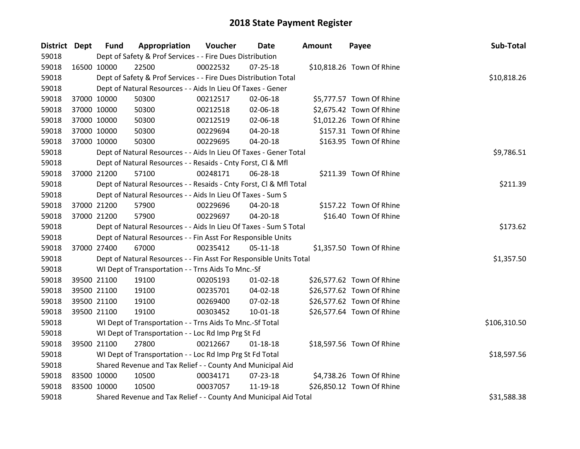| District Dept |             | <b>Fund</b> | Appropriation                                                      | Voucher  | Date           | <b>Amount</b> | Payee                     | Sub-Total    |
|---------------|-------------|-------------|--------------------------------------------------------------------|----------|----------------|---------------|---------------------------|--------------|
| 59018         |             |             | Dept of Safety & Prof Services - - Fire Dues Distribution          |          |                |               |                           |              |
| 59018         | 16500 10000 |             | 22500                                                              | 00022532 | $07 - 25 - 18$ |               | \$10,818.26 Town Of Rhine |              |
| 59018         |             |             | Dept of Safety & Prof Services - - Fire Dues Distribution Total    |          |                |               |                           | \$10,818.26  |
| 59018         |             |             | Dept of Natural Resources - - Aids In Lieu Of Taxes - Gener        |          |                |               |                           |              |
| 59018         |             | 37000 10000 | 50300                                                              | 00212517 | 02-06-18       |               | \$5,777.57 Town Of Rhine  |              |
| 59018         |             | 37000 10000 | 50300                                                              | 00212518 | 02-06-18       |               | \$2,675.42 Town Of Rhine  |              |
| 59018         |             | 37000 10000 | 50300                                                              | 00212519 | 02-06-18       |               | \$1,012.26 Town Of Rhine  |              |
| 59018         |             | 37000 10000 | 50300                                                              | 00229694 | $04 - 20 - 18$ |               | \$157.31 Town Of Rhine    |              |
| 59018         |             | 37000 10000 | 50300                                                              | 00229695 | 04-20-18       |               | \$163.95 Town Of Rhine    |              |
| 59018         |             |             | Dept of Natural Resources - - Aids In Lieu Of Taxes - Gener Total  |          |                |               |                           | \$9,786.51   |
| 59018         |             |             | Dept of Natural Resources - - Resaids - Cnty Forst, Cl & Mfl       |          |                |               |                           |              |
| 59018         |             | 37000 21200 | 57100                                                              | 00248171 | 06-28-18       |               | \$211.39 Town Of Rhine    |              |
| 59018         |             |             | Dept of Natural Resources - - Resaids - Cnty Forst, CI & Mfl Total |          |                |               |                           | \$211.39     |
| 59018         |             |             | Dept of Natural Resources - - Aids In Lieu Of Taxes - Sum S        |          |                |               |                           |              |
| 59018         |             | 37000 21200 | 57900                                                              | 00229696 | 04-20-18       |               | \$157.22 Town Of Rhine    |              |
| 59018         |             | 37000 21200 | 57900                                                              | 00229697 | $04 - 20 - 18$ |               | \$16.40 Town Of Rhine     |              |
| 59018         |             |             | Dept of Natural Resources - - Aids In Lieu Of Taxes - Sum S Total  |          |                |               |                           | \$173.62     |
| 59018         |             |             | Dept of Natural Resources - - Fin Asst For Responsible Units       |          |                |               |                           |              |
| 59018         |             | 37000 27400 | 67000                                                              | 00235412 | 05-11-18       |               | \$1,357.50 Town Of Rhine  |              |
| 59018         |             |             | Dept of Natural Resources - - Fin Asst For Responsible Units Total |          |                |               |                           | \$1,357.50   |
| 59018         |             |             | WI Dept of Transportation - - Trns Aids To Mnc.-Sf                 |          |                |               |                           |              |
| 59018         |             | 39500 21100 | 19100                                                              | 00205193 | $01 - 02 - 18$ |               | \$26,577.62 Town Of Rhine |              |
| 59018         |             | 39500 21100 | 19100                                                              | 00235701 | 04-02-18       |               | \$26,577.62 Town Of Rhine |              |
| 59018         |             | 39500 21100 | 19100                                                              | 00269400 | 07-02-18       |               | \$26,577.62 Town Of Rhine |              |
| 59018         |             | 39500 21100 | 19100                                                              | 00303452 | $10 - 01 - 18$ |               | \$26,577.64 Town Of Rhine |              |
| 59018         |             |             | WI Dept of Transportation - - Trns Aids To Mnc.-Sf Total           |          |                |               |                           | \$106,310.50 |
| 59018         |             |             | WI Dept of Transportation - - Loc Rd Imp Prg St Fd                 |          |                |               |                           |              |
| 59018         |             | 39500 21100 | 27800                                                              | 00212667 | $01 - 18 - 18$ |               | \$18,597.56 Town Of Rhine |              |
| 59018         |             |             | WI Dept of Transportation - - Loc Rd Imp Prg St Fd Total           |          |                |               |                           | \$18,597.56  |
| 59018         |             |             | Shared Revenue and Tax Relief - - County And Municipal Aid         |          |                |               |                           |              |
| 59018         | 83500 10000 |             | 10500                                                              | 00034171 | 07-23-18       |               | \$4,738.26 Town Of Rhine  |              |
| 59018         | 83500 10000 |             | 10500                                                              | 00037057 | 11-19-18       |               | \$26,850.12 Town Of Rhine |              |
| 59018         |             |             | Shared Revenue and Tax Relief - - County And Municipal Aid Total   |          |                |               |                           | \$31,588.38  |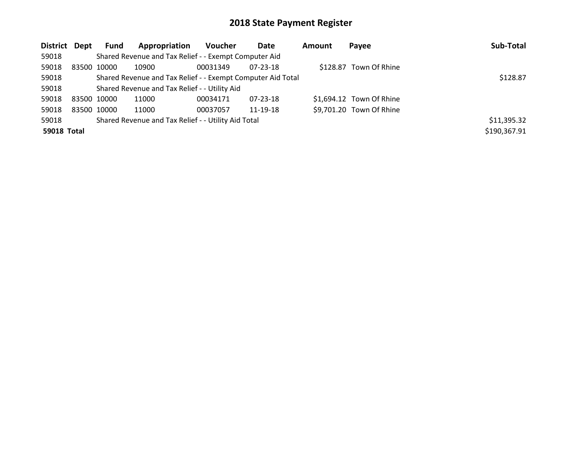| District Dept |             | <b>Fund</b> | Appropriation                                               | Voucher  | Date           | Amount | Payee                    | Sub-Total    |
|---------------|-------------|-------------|-------------------------------------------------------------|----------|----------------|--------|--------------------------|--------------|
| 59018         |             |             | Shared Revenue and Tax Relief - - Exempt Computer Aid       |          |                |        |                          |              |
| 59018         | 83500 10000 |             | 10900                                                       | 00031349 | 07-23-18       |        | \$128.87 Town Of Rhine   |              |
| 59018         |             |             | Shared Revenue and Tax Relief - - Exempt Computer Aid Total |          |                |        |                          | \$128.87     |
| 59018         |             |             | Shared Revenue and Tax Relief - - Utility Aid               |          |                |        |                          |              |
| 59018         | 83500 10000 |             | 11000                                                       | 00034171 | $07 - 23 - 18$ |        | \$1,694.12 Town Of Rhine |              |
| 59018         | 83500 10000 |             | 11000                                                       | 00037057 | 11-19-18       |        | \$9,701.20 Town Of Rhine |              |
| 59018         |             |             | Shared Revenue and Tax Relief - - Utility Aid Total         |          |                |        |                          | \$11,395.32  |
| 59018 Total   |             |             |                                                             |          |                |        |                          | \$190,367.91 |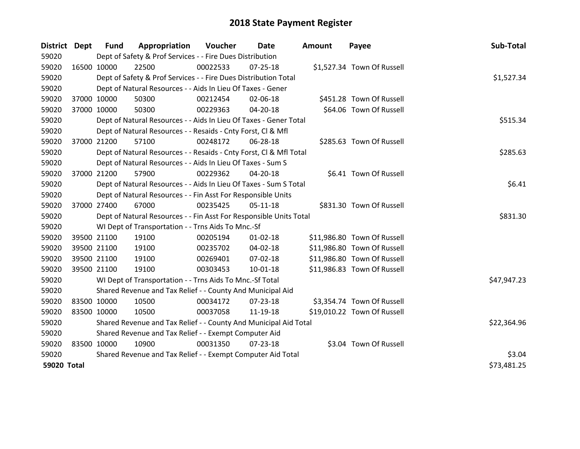| District Dept      |             | <b>Fund</b> | Appropriation                                                      | Voucher  | Date           | <b>Amount</b> | Payee                       | Sub-Total   |
|--------------------|-------------|-------------|--------------------------------------------------------------------|----------|----------------|---------------|-----------------------------|-------------|
| 59020              |             |             | Dept of Safety & Prof Services - - Fire Dues Distribution          |          |                |               |                             |             |
| 59020              | 16500 10000 |             | 22500                                                              | 00022533 | $07 - 25 - 18$ |               | \$1,527.34 Town Of Russell  |             |
| 59020              |             |             | Dept of Safety & Prof Services - - Fire Dues Distribution Total    |          |                |               |                             | \$1,527.34  |
| 59020              |             |             | Dept of Natural Resources - - Aids In Lieu Of Taxes - Gener        |          |                |               |                             |             |
| 59020              | 37000 10000 |             | 50300                                                              | 00212454 | 02-06-18       |               | \$451.28 Town Of Russell    |             |
| 59020              | 37000 10000 |             | 50300                                                              | 00229363 | $04 - 20 - 18$ |               | \$64.06 Town Of Russell     |             |
| 59020              |             |             | Dept of Natural Resources - - Aids In Lieu Of Taxes - Gener Total  |          | \$515.34       |               |                             |             |
| 59020              |             |             | Dept of Natural Resources - - Resaids - Cnty Forst, Cl & Mfl       |          |                |               |                             |             |
| 59020              | 37000 21200 |             | 57100                                                              | 00248172 | 06-28-18       |               | \$285.63 Town Of Russell    |             |
| 59020              |             |             | Dept of Natural Resources - - Resaids - Cnty Forst, Cl & Mfl Total |          |                |               |                             | \$285.63    |
| 59020              |             |             | Dept of Natural Resources - - Aids In Lieu Of Taxes - Sum S        |          |                |               |                             |             |
| 59020              | 37000 21200 |             | 57900                                                              | 00229362 | 04-20-18       |               | \$6.41 Town Of Russell      |             |
| 59020              |             |             | Dept of Natural Resources - - Aids In Lieu Of Taxes - Sum S Total  |          |                |               |                             | \$6.41      |
| 59020              |             |             | Dept of Natural Resources - - Fin Asst For Responsible Units       |          |                |               |                             |             |
| 59020              | 37000 27400 |             | 67000                                                              | 00235425 | $05-11-18$     |               | \$831.30 Town Of Russell    |             |
| 59020              |             |             | Dept of Natural Resources - - Fin Asst For Responsible Units Total |          |                |               |                             | \$831.30    |
| 59020              |             |             | WI Dept of Transportation - - Trns Aids To Mnc.-Sf                 |          |                |               |                             |             |
| 59020              | 39500 21100 |             | 19100                                                              | 00205194 | $01 - 02 - 18$ |               | \$11,986.80 Town Of Russell |             |
| 59020              |             | 39500 21100 | 19100                                                              | 00235702 | $04 - 02 - 18$ |               | \$11,986.80 Town Of Russell |             |
| 59020              |             | 39500 21100 | 19100                                                              | 00269401 | 07-02-18       |               | \$11,986.80 Town Of Russell |             |
| 59020              | 39500 21100 |             | 19100                                                              | 00303453 | $10 - 01 - 18$ |               | \$11,986.83 Town Of Russell |             |
| 59020              |             |             | WI Dept of Transportation - - Trns Aids To Mnc.-Sf Total           |          |                |               |                             | \$47,947.23 |
| 59020              |             |             | Shared Revenue and Tax Relief - - County And Municipal Aid         |          |                |               |                             |             |
| 59020              | 83500 10000 |             | 10500                                                              | 00034172 | $07 - 23 - 18$ |               | \$3,354.74 Town Of Russell  |             |
| 59020              |             | 83500 10000 | 10500                                                              | 00037058 | 11-19-18       |               | \$19,010.22 Town Of Russell |             |
| 59020              |             |             | Shared Revenue and Tax Relief - - County And Municipal Aid Total   |          |                |               |                             | \$22,364.96 |
| 59020              |             |             | Shared Revenue and Tax Relief - - Exempt Computer Aid              |          |                |               |                             |             |
| 59020              | 83500 10000 |             | 10900                                                              | 00031350 | $07 - 23 - 18$ |               | \$3.04 Town Of Russell      |             |
| 59020              |             |             | Shared Revenue and Tax Relief - - Exempt Computer Aid Total        |          |                |               |                             | \$3.04      |
| <b>59020 Total</b> |             |             |                                                                    |          |                |               |                             | \$73,481.25 |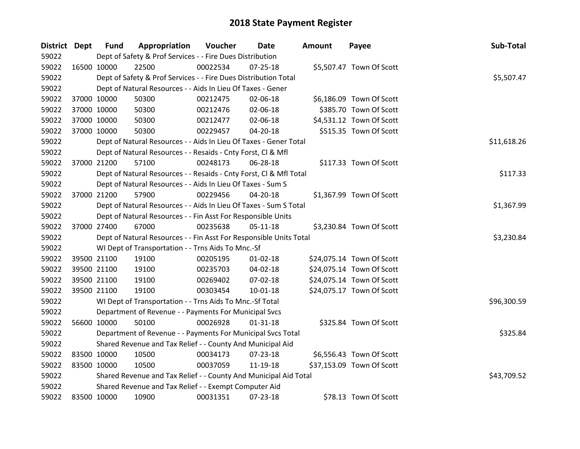| District Dept |             | <b>Fund</b> | Appropriation                                                      | Voucher  | <b>Date</b>    | Amount | Payee                     | Sub-Total   |
|---------------|-------------|-------------|--------------------------------------------------------------------|----------|----------------|--------|---------------------------|-------------|
| 59022         |             |             | Dept of Safety & Prof Services - - Fire Dues Distribution          |          |                |        |                           |             |
| 59022         | 16500 10000 |             | 22500                                                              | 00022534 | $07 - 25 - 18$ |        | \$5,507.47 Town Of Scott  |             |
| 59022         |             |             | Dept of Safety & Prof Services - - Fire Dues Distribution Total    |          |                |        |                           | \$5,507.47  |
| 59022         |             |             | Dept of Natural Resources - - Aids In Lieu Of Taxes - Gener        |          |                |        |                           |             |
| 59022         |             | 37000 10000 | 50300                                                              | 00212475 | 02-06-18       |        | \$6,186.09 Town Of Scott  |             |
| 59022         |             | 37000 10000 | 50300                                                              | 00212476 | 02-06-18       |        | \$385.70 Town Of Scott    |             |
| 59022         |             | 37000 10000 | 50300                                                              | 00212477 | 02-06-18       |        | \$4,531.12 Town Of Scott  |             |
| 59022         |             | 37000 10000 | 50300                                                              | 00229457 | 04-20-18       |        | \$515.35 Town Of Scott    |             |
| 59022         |             |             | Dept of Natural Resources - - Aids In Lieu Of Taxes - Gener Total  |          |                |        |                           | \$11,618.26 |
| 59022         |             |             | Dept of Natural Resources - - Resaids - Cnty Forst, Cl & Mfl       |          |                |        |                           |             |
| 59022         |             | 37000 21200 | 57100                                                              | 00248173 | 06-28-18       |        | \$117.33 Town Of Scott    |             |
| 59022         |             |             | Dept of Natural Resources - - Resaids - Cnty Forst, Cl & Mfl Total |          |                |        |                           | \$117.33    |
| 59022         |             |             | Dept of Natural Resources - - Aids In Lieu Of Taxes - Sum S        |          |                |        |                           |             |
| 59022         |             | 37000 21200 | 57900                                                              | 00229456 | $04 - 20 - 18$ |        | \$1,367.99 Town Of Scott  |             |
| 59022         |             |             | Dept of Natural Resources - - Aids In Lieu Of Taxes - Sum S Total  |          |                |        |                           | \$1,367.99  |
| 59022         |             |             | Dept of Natural Resources - - Fin Asst For Responsible Units       |          |                |        |                           |             |
| 59022         |             | 37000 27400 | 67000                                                              | 00235638 | $05 - 11 - 18$ |        | \$3,230.84 Town Of Scott  |             |
| 59022         |             |             | Dept of Natural Resources - - Fin Asst For Responsible Units Total |          |                |        |                           | \$3,230.84  |
| 59022         |             |             | WI Dept of Transportation - - Trns Aids To Mnc.-Sf                 |          |                |        |                           |             |
| 59022         |             | 39500 21100 | 19100                                                              | 00205195 | $01 - 02 - 18$ |        | \$24,075.14 Town Of Scott |             |
| 59022         |             | 39500 21100 | 19100                                                              | 00235703 | 04-02-18       |        | \$24,075.14 Town Of Scott |             |
| 59022         |             | 39500 21100 | 19100                                                              | 00269402 | 07-02-18       |        | \$24,075.14 Town Of Scott |             |
| 59022         |             | 39500 21100 | 19100                                                              | 00303454 | $10 - 01 - 18$ |        | \$24,075.17 Town Of Scott |             |
| 59022         |             |             | WI Dept of Transportation - - Trns Aids To Mnc.-Sf Total           |          |                |        |                           | \$96,300.59 |
| 59022         |             |             | Department of Revenue - - Payments For Municipal Svcs              |          |                |        |                           |             |
| 59022         |             | 56600 10000 | 50100                                                              | 00026928 | $01 - 31 - 18$ |        | \$325.84 Town Of Scott    |             |
| 59022         |             |             | Department of Revenue - - Payments For Municipal Svcs Total        |          |                |        |                           | \$325.84    |
| 59022         |             |             | Shared Revenue and Tax Relief - - County And Municipal Aid         |          |                |        |                           |             |
| 59022         | 83500 10000 |             | 10500                                                              | 00034173 | $07 - 23 - 18$ |        | \$6,556.43 Town Of Scott  |             |
| 59022         | 83500 10000 |             | 10500                                                              | 00037059 | 11-19-18       |        | \$37,153.09 Town Of Scott |             |
| 59022         |             |             | Shared Revenue and Tax Relief - - County And Municipal Aid Total   |          |                |        |                           | \$43,709.52 |
| 59022         |             |             | Shared Revenue and Tax Relief - - Exempt Computer Aid              |          |                |        |                           |             |
| 59022         | 83500 10000 |             | 10900                                                              | 00031351 | 07-23-18       |        | \$78.13 Town Of Scott     |             |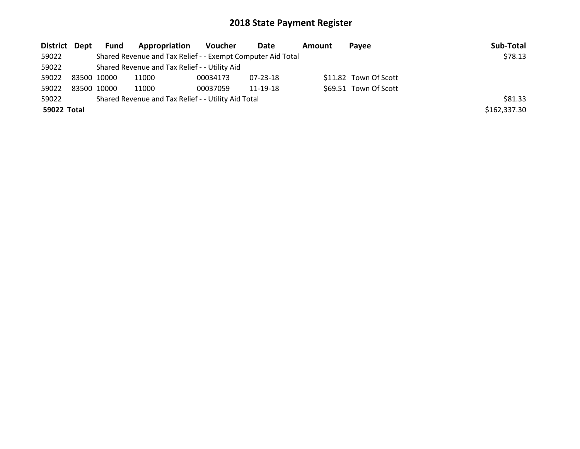| District Dept | Fund        | <b>Appropriation</b>                                        | Voucher  | Date     | <b>Amount</b> | <b>Pavee</b>          | Sub-Total    |
|---------------|-------------|-------------------------------------------------------------|----------|----------|---------------|-----------------------|--------------|
| 59022         |             | Shared Revenue and Tax Relief - - Exempt Computer Aid Total |          |          |               |                       | \$78.13      |
| 59022         |             | Shared Revenue and Tax Relief - - Utility Aid               |          |          |               |                       |              |
| 59022         | 83500 10000 | 11000                                                       | 00034173 | 07-23-18 |               | \$11.82 Town Of Scott |              |
| 59022         | 83500 10000 | 11000                                                       | 00037059 | 11-19-18 |               | \$69.51 Town Of Scott |              |
| 59022         |             | Shared Revenue and Tax Relief - - Utility Aid Total         |          |          |               |                       | \$81.33      |
| 59022 Total   |             |                                                             |          |          |               |                       | \$162,337.30 |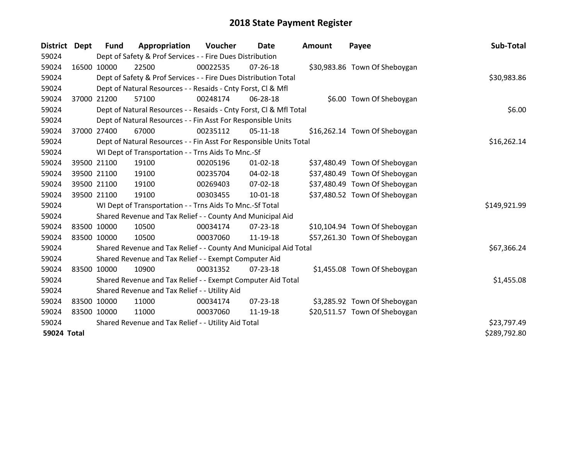| District Dept | <b>Fund</b> | Appropriation                                                      | Voucher  | Date           | <b>Amount</b> | Payee                         | Sub-Total    |
|---------------|-------------|--------------------------------------------------------------------|----------|----------------|---------------|-------------------------------|--------------|
| 59024         |             | Dept of Safety & Prof Services - - Fire Dues Distribution          |          |                |               |                               |              |
| 59024         | 16500 10000 | 22500                                                              | 00022535 | $07 - 26 - 18$ |               | \$30,983.86 Town Of Sheboygan |              |
| 59024         |             | Dept of Safety & Prof Services - - Fire Dues Distribution Total    |          |                |               |                               | \$30,983.86  |
| 59024         |             | Dept of Natural Resources - - Resaids - Cnty Forst, CI & Mfl       |          |                |               |                               |              |
| 59024         | 37000 21200 | 57100                                                              | 00248174 | 06-28-18       |               | \$6.00 Town Of Sheboygan      |              |
| 59024         |             | Dept of Natural Resources - - Resaids - Cnty Forst, Cl & Mfl Total |          | \$6.00         |               |                               |              |
| 59024         |             | Dept of Natural Resources - - Fin Asst For Responsible Units       |          |                |               |                               |              |
| 59024         | 37000 27400 | 67000                                                              | 00235112 | $05-11-18$     |               | \$16,262.14 Town Of Sheboygan |              |
| 59024         |             | Dept of Natural Resources - - Fin Asst For Responsible Units Total |          |                |               |                               | \$16,262.14  |
| 59024         |             | WI Dept of Transportation - - Trns Aids To Mnc.-Sf                 |          |                |               |                               |              |
| 59024         | 39500 21100 | 19100                                                              | 00205196 | $01 - 02 - 18$ |               | \$37,480.49 Town Of Sheboygan |              |
| 59024         | 39500 21100 | 19100                                                              | 00235704 | 04-02-18       |               | \$37,480.49 Town Of Sheboygan |              |
| 59024         | 39500 21100 | 19100                                                              | 00269403 | 07-02-18       |               | \$37,480.49 Town Of Sheboygan |              |
| 59024         | 39500 21100 | 19100                                                              | 00303455 | $10 - 01 - 18$ |               | \$37,480.52 Town Of Sheboygan |              |
| 59024         |             | WI Dept of Transportation - - Trns Aids To Mnc.-Sf Total           |          |                |               |                               | \$149,921.99 |
| 59024         |             | Shared Revenue and Tax Relief - - County And Municipal Aid         |          |                |               |                               |              |
| 59024         | 83500 10000 | 10500                                                              | 00034174 | $07 - 23 - 18$ |               | \$10,104.94 Town Of Sheboygan |              |
| 59024         | 83500 10000 | 10500                                                              | 00037060 | 11-19-18       |               | \$57,261.30 Town Of Sheboygan |              |
| 59024         |             | Shared Revenue and Tax Relief - - County And Municipal Aid Total   |          |                |               |                               | \$67,366.24  |
| 59024         |             | Shared Revenue and Tax Relief - - Exempt Computer Aid              |          |                |               |                               |              |
| 59024         | 83500 10000 | 10900                                                              | 00031352 | $07 - 23 - 18$ |               | \$1,455.08 Town Of Sheboygan  |              |
| 59024         |             | Shared Revenue and Tax Relief - - Exempt Computer Aid Total        |          |                |               |                               | \$1,455.08   |
| 59024         |             | Shared Revenue and Tax Relief - - Utility Aid                      |          |                |               |                               |              |
| 59024         | 83500 10000 | 11000                                                              | 00034174 | $07 - 23 - 18$ |               | \$3,285.92 Town Of Sheboygan  |              |
| 59024         | 83500 10000 | 11000                                                              | 00037060 | 11-19-18       |               | \$20,511.57 Town Of Sheboygan |              |
| 59024         |             | Shared Revenue and Tax Relief - - Utility Aid Total                |          |                |               |                               | \$23,797.49  |
| 59024 Total   |             |                                                                    |          |                |               |                               | \$289,792.80 |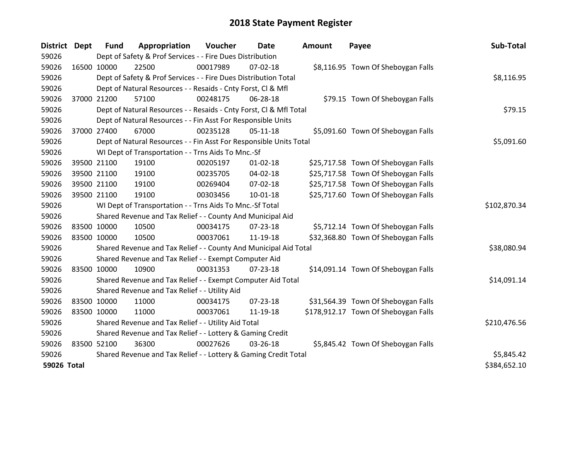| <b>District</b> | <b>Dept</b> | <b>Fund</b>                                                     | Appropriation                                                      | Voucher  | Date           | <b>Amount</b> | Payee                                | Sub-Total    |
|-----------------|-------------|-----------------------------------------------------------------|--------------------------------------------------------------------|----------|----------------|---------------|--------------------------------------|--------------|
| 59026           |             |                                                                 | Dept of Safety & Prof Services - - Fire Dues Distribution          |          |                |               |                                      |              |
| 59026           | 16500 10000 |                                                                 | 22500                                                              | 00017989 | $07 - 02 - 18$ |               | \$8,116.95 Town Of Sheboygan Falls   |              |
| 59026           |             |                                                                 | Dept of Safety & Prof Services - - Fire Dues Distribution Total    |          |                |               |                                      | \$8,116.95   |
| 59026           |             |                                                                 | Dept of Natural Resources - - Resaids - Cnty Forst, CI & Mfl       |          |                |               |                                      |              |
| 59026           | 37000 21200 |                                                                 | 57100                                                              | 00248175 | 06-28-18       |               | \$79.15 Town Of Sheboygan Falls      |              |
| 59026           |             |                                                                 | Dept of Natural Resources - - Resaids - Cnty Forst, Cl & Mfl Total |          | \$79.15        |               |                                      |              |
| 59026           |             |                                                                 | Dept of Natural Resources - - Fin Asst For Responsible Units       |          |                |               |                                      |              |
| 59026           | 37000 27400 |                                                                 | 67000                                                              | 00235128 | $05-11-18$     |               | \$5,091.60 Town Of Sheboygan Falls   |              |
| 59026           |             |                                                                 | Dept of Natural Resources - - Fin Asst For Responsible Units Total |          | \$5,091.60     |               |                                      |              |
| 59026           |             |                                                                 | WI Dept of Transportation - - Trns Aids To Mnc.-Sf                 |          |                |               |                                      |              |
| 59026           |             | 39500 21100                                                     | 19100                                                              | 00205197 | $01 - 02 - 18$ |               | \$25,717.58 Town Of Sheboygan Falls  |              |
| 59026           |             | 39500 21100                                                     | 19100                                                              | 00235705 | $04 - 02 - 18$ |               | \$25,717.58 Town Of Sheboygan Falls  |              |
| 59026           |             | 39500 21100                                                     | 19100                                                              | 00269404 | 07-02-18       |               | \$25,717.58 Town Of Sheboygan Falls  |              |
| 59026           | 39500 21100 |                                                                 | 19100                                                              | 00303456 | $10-01-18$     |               | \$25,717.60 Town Of Sheboygan Falls  |              |
| 59026           |             |                                                                 | WI Dept of Transportation - - Trns Aids To Mnc.-Sf Total           |          |                |               |                                      | \$102,870.34 |
| 59026           |             |                                                                 | Shared Revenue and Tax Relief - - County And Municipal Aid         |          |                |               |                                      |              |
| 59026           |             | 83500 10000                                                     | 10500                                                              | 00034175 | 07-23-18       |               | \$5,712.14 Town Of Sheboygan Falls   |              |
| 59026           | 83500 10000 |                                                                 | 10500                                                              | 00037061 | 11-19-18       |               | \$32,368.80 Town Of Sheboygan Falls  |              |
| 59026           |             |                                                                 | Shared Revenue and Tax Relief - - County And Municipal Aid Total   |          |                |               |                                      | \$38,080.94  |
| 59026           |             |                                                                 | Shared Revenue and Tax Relief - - Exempt Computer Aid              |          |                |               |                                      |              |
| 59026           |             | 83500 10000                                                     | 10900                                                              | 00031353 | $07 - 23 - 18$ |               | \$14,091.14 Town Of Sheboygan Falls  |              |
| 59026           |             |                                                                 | Shared Revenue and Tax Relief - - Exempt Computer Aid Total        |          |                |               |                                      | \$14,091.14  |
| 59026           |             |                                                                 | Shared Revenue and Tax Relief - - Utility Aid                      |          |                |               |                                      |              |
| 59026           | 83500 10000 |                                                                 | 11000                                                              | 00034175 | $07 - 23 - 18$ |               | \$31,564.39 Town Of Sheboygan Falls  |              |
| 59026           |             | 83500 10000                                                     | 11000                                                              | 00037061 | 11-19-18       |               | \$178,912.17 Town Of Sheboygan Falls |              |
| 59026           |             |                                                                 | Shared Revenue and Tax Relief - - Utility Aid Total                |          |                |               |                                      | \$210,476.56 |
| 59026           |             |                                                                 | Shared Revenue and Tax Relief - - Lottery & Gaming Credit          |          |                |               |                                      |              |
| 59026           | 83500 52100 |                                                                 | 36300                                                              | 00027626 | 03-26-18       |               | \$5,845.42 Town Of Sheboygan Falls   |              |
| 59026           |             | Shared Revenue and Tax Relief - - Lottery & Gaming Credit Total | \$5,845.42                                                         |          |                |               |                                      |              |
| 59026 Total     |             |                                                                 |                                                                    |          |                |               |                                      | \$384,652.10 |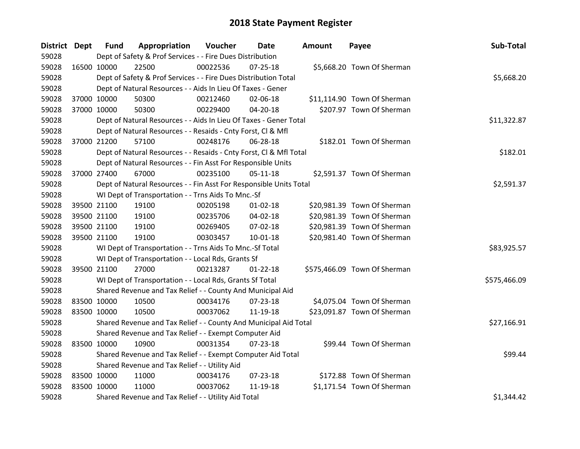| District Dept |             | <b>Fund</b> | Appropriation                                                      | Voucher  | <b>Date</b>    | <b>Amount</b> | Payee                        | Sub-Total    |
|---------------|-------------|-------------|--------------------------------------------------------------------|----------|----------------|---------------|------------------------------|--------------|
| 59028         |             |             | Dept of Safety & Prof Services - - Fire Dues Distribution          |          |                |               |                              |              |
| 59028         | 16500 10000 |             | 22500                                                              | 00022536 | $07 - 25 - 18$ |               | \$5,668.20 Town Of Sherman   |              |
| 59028         |             |             | Dept of Safety & Prof Services - - Fire Dues Distribution Total    |          |                |               |                              | \$5,668.20   |
| 59028         |             |             | Dept of Natural Resources - - Aids In Lieu Of Taxes - Gener        |          |                |               |                              |              |
| 59028         | 37000 10000 |             | 50300                                                              | 00212460 | 02-06-18       |               | \$11,114.90 Town Of Sherman  |              |
| 59028         | 37000 10000 |             | 50300                                                              | 00229400 | 04-20-18       |               | \$207.97 Town Of Sherman     |              |
| 59028         |             |             | Dept of Natural Resources - - Aids In Lieu Of Taxes - Gener Total  |          |                |               |                              | \$11,322.87  |
| 59028         |             |             | Dept of Natural Resources - - Resaids - Cnty Forst, CI & Mfl       |          |                |               |                              |              |
| 59028         | 37000 21200 |             | 57100                                                              | 00248176 | 06-28-18       |               | \$182.01 Town Of Sherman     |              |
| 59028         |             |             | Dept of Natural Resources - - Resaids - Cnty Forst, Cl & Mfl Total |          |                |               |                              | \$182.01     |
| 59028         |             |             | Dept of Natural Resources - - Fin Asst For Responsible Units       |          |                |               |                              |              |
| 59028         | 37000 27400 |             | 67000                                                              | 00235100 | $05-11-18$     |               | \$2,591.37 Town Of Sherman   |              |
| 59028         |             |             | Dept of Natural Resources - - Fin Asst For Responsible Units Total |          |                |               |                              | \$2,591.37   |
| 59028         |             |             | WI Dept of Transportation - - Trns Aids To Mnc.-Sf                 |          |                |               |                              |              |
| 59028         | 39500 21100 |             | 19100                                                              | 00205198 | $01 - 02 - 18$ |               | \$20,981.39 Town Of Sherman  |              |
| 59028         | 39500 21100 |             | 19100                                                              | 00235706 | $04 - 02 - 18$ |               | \$20,981.39 Town Of Sherman  |              |
| 59028         | 39500 21100 |             | 19100                                                              | 00269405 | 07-02-18       |               | \$20,981.39 Town Of Sherman  |              |
| 59028         | 39500 21100 |             | 19100                                                              | 00303457 | $10 - 01 - 18$ |               | \$20,981.40 Town Of Sherman  |              |
| 59028         |             |             | WI Dept of Transportation - - Trns Aids To Mnc.-Sf Total           |          |                |               |                              | \$83,925.57  |
| 59028         |             |             | WI Dept of Transportation - - Local Rds, Grants Sf                 |          |                |               |                              |              |
| 59028         | 39500 21100 |             | 27000                                                              | 00213287 | $01 - 22 - 18$ |               | \$575,466.09 Town Of Sherman |              |
| 59028         |             |             | WI Dept of Transportation - - Local Rds, Grants Sf Total           |          |                |               |                              | \$575,466.09 |
| 59028         |             |             | Shared Revenue and Tax Relief - - County And Municipal Aid         |          |                |               |                              |              |
| 59028         | 83500 10000 |             | 10500                                                              | 00034176 | 07-23-18       |               | \$4,075.04 Town Of Sherman   |              |
| 59028         | 83500 10000 |             | 10500                                                              | 00037062 | 11-19-18       |               | \$23,091.87 Town Of Sherman  |              |
| 59028         |             |             | Shared Revenue and Tax Relief - - County And Municipal Aid Total   |          |                |               |                              | \$27,166.91  |
| 59028         |             |             | Shared Revenue and Tax Relief - - Exempt Computer Aid              |          |                |               |                              |              |
| 59028         | 83500 10000 |             | 10900                                                              | 00031354 | $07 - 23 - 18$ |               | \$99.44 Town Of Sherman      |              |
| 59028         |             |             | Shared Revenue and Tax Relief - - Exempt Computer Aid Total        |          |                |               |                              | \$99.44      |
| 59028         |             |             | Shared Revenue and Tax Relief - - Utility Aid                      |          |                |               |                              |              |
| 59028         | 83500 10000 |             | 11000                                                              | 00034176 | 07-23-18       |               | \$172.88 Town Of Sherman     |              |
| 59028         | 83500 10000 |             | 11000                                                              | 00037062 | 11-19-18       |               | \$1,171.54 Town Of Sherman   |              |
| 59028         |             |             | Shared Revenue and Tax Relief - - Utility Aid Total                |          |                |               |                              | \$1,344.42   |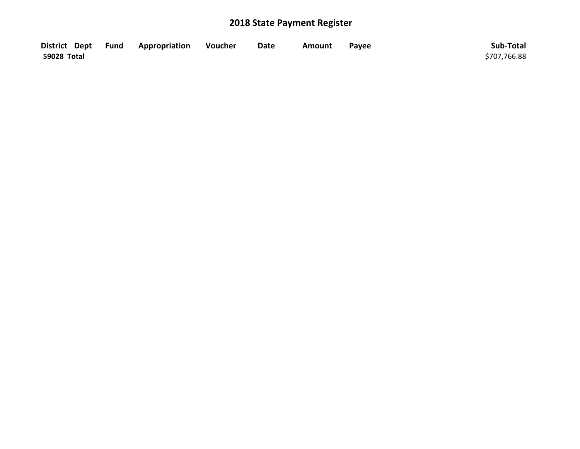|             | District Dept Fund Appropriation | Voucher | <b>Date</b> | <b>Amount</b> | Payee | Sub-Total    |
|-------------|----------------------------------|---------|-------------|---------------|-------|--------------|
| 59028 Total |                                  |         |             |               |       | \$707,766.88 |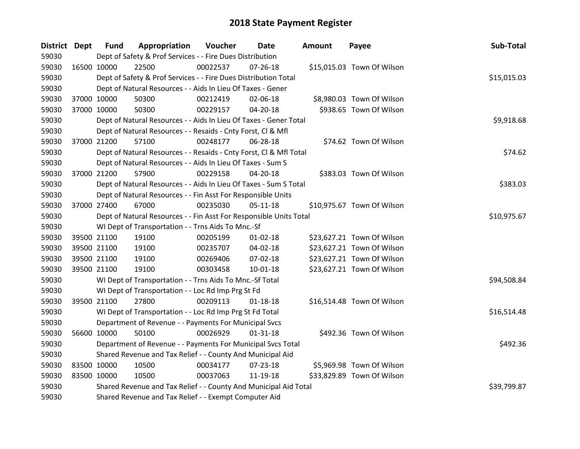| District Dept |             | <b>Fund</b> | Appropriation                                                      | Voucher     | Date           | <b>Amount</b> | Payee                      | Sub-Total   |
|---------------|-------------|-------------|--------------------------------------------------------------------|-------------|----------------|---------------|----------------------------|-------------|
| 59030         |             |             | Dept of Safety & Prof Services - - Fire Dues Distribution          |             |                |               |                            |             |
| 59030         | 16500 10000 |             | 22500                                                              | 00022537    | $07 - 26 - 18$ |               | \$15,015.03 Town Of Wilson |             |
| 59030         |             |             | Dept of Safety & Prof Services - - Fire Dues Distribution Total    |             |                |               |                            | \$15,015.03 |
| 59030         |             |             | Dept of Natural Resources - - Aids In Lieu Of Taxes - Gener        |             |                |               |                            |             |
| 59030         |             | 37000 10000 | 50300                                                              | 00212419    | 02-06-18       |               | \$8,980.03 Town Of Wilson  |             |
| 59030         |             | 37000 10000 | 50300                                                              | 00229157    | 04-20-18       |               | \$938.65 Town Of Wilson    |             |
| 59030         |             |             | Dept of Natural Resources - - Aids In Lieu Of Taxes - Gener Total  |             |                |               |                            | \$9,918.68  |
| 59030         |             |             | Dept of Natural Resources - - Resaids - Cnty Forst, Cl & Mfl       |             |                |               |                            |             |
| 59030         |             | 37000 21200 | 57100                                                              | 00248177    | 06-28-18       |               | \$74.62 Town Of Wilson     |             |
| 59030         |             |             | Dept of Natural Resources - - Resaids - Cnty Forst, Cl & Mfl Total |             |                |               |                            | \$74.62     |
| 59030         |             |             | Dept of Natural Resources - - Aids In Lieu Of Taxes - Sum S        |             |                |               |                            |             |
| 59030         |             | 37000 21200 | 57900                                                              | 00229158    | 04-20-18       |               | \$383.03 Town Of Wilson    |             |
| 59030         |             |             | Dept of Natural Resources - - Aids In Lieu Of Taxes - Sum S Total  |             |                |               |                            | \$383.03    |
| 59030         |             |             | Dept of Natural Resources - - Fin Asst For Responsible Units       |             |                |               |                            |             |
| 59030         | 37000 27400 |             | 67000                                                              | 00235030    | $05 - 11 - 18$ |               | \$10,975.67 Town Of Wilson |             |
| 59030         |             |             | Dept of Natural Resources - - Fin Asst For Responsible Units Total | \$10,975.67 |                |               |                            |             |
| 59030         |             |             | WI Dept of Transportation - - Trns Aids To Mnc.-Sf                 |             |                |               |                            |             |
| 59030         |             | 39500 21100 | 19100                                                              | 00205199    | $01 - 02 - 18$ |               | \$23,627.21 Town Of Wilson |             |
| 59030         |             | 39500 21100 | 19100                                                              | 00235707    | 04-02-18       |               | \$23,627.21 Town Of Wilson |             |
| 59030         |             | 39500 21100 | 19100                                                              | 00269406    | 07-02-18       |               | \$23,627.21 Town Of Wilson |             |
| 59030         |             | 39500 21100 | 19100                                                              | 00303458    | $10 - 01 - 18$ |               | \$23,627.21 Town Of Wilson |             |
| 59030         |             |             | WI Dept of Transportation - - Trns Aids To Mnc.-Sf Total           |             |                |               |                            | \$94,508.84 |
| 59030         |             |             | WI Dept of Transportation - - Loc Rd Imp Prg St Fd                 |             |                |               |                            |             |
| 59030         |             | 39500 21100 | 27800                                                              | 00209113    | $01 - 18 - 18$ |               | \$16,514.48 Town Of Wilson |             |
| 59030         |             |             | WI Dept of Transportation - - Loc Rd Imp Prg St Fd Total           |             |                |               |                            | \$16,514.48 |
| 59030         |             |             | Department of Revenue - - Payments For Municipal Svcs              |             |                |               |                            |             |
| 59030         |             | 56600 10000 | 50100                                                              | 00026929    | $01 - 31 - 18$ |               | \$492.36 Town Of Wilson    |             |
| 59030         |             |             | Department of Revenue - - Payments For Municipal Svcs Total        |             |                |               |                            | \$492.36    |
| 59030         |             |             | Shared Revenue and Tax Relief - - County And Municipal Aid         |             |                |               |                            |             |
| 59030         | 83500 10000 |             | 10500                                                              | 00034177    | 07-23-18       |               | \$5,969.98 Town Of Wilson  |             |
| 59030         | 83500 10000 |             | 10500                                                              | 00037063    | 11-19-18       |               | \$33,829.89 Town Of Wilson |             |
| 59030         |             |             | Shared Revenue and Tax Relief - - County And Municipal Aid Total   |             |                |               |                            | \$39,799.87 |
| 59030         |             |             | Shared Revenue and Tax Relief - - Exempt Computer Aid              |             |                |               |                            |             |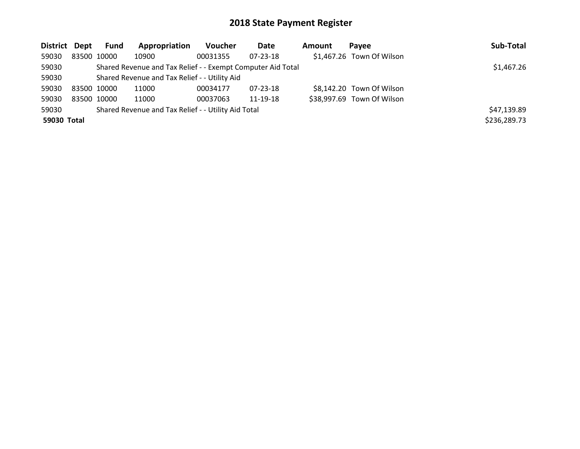| District Dept |             | Fund | Appropriation                                               | Voucher  | Date           | Amount | Pavee                      | Sub-Total    |
|---------------|-------------|------|-------------------------------------------------------------|----------|----------------|--------|----------------------------|--------------|
| 59030         | 83500 10000 |      | 10900                                                       | 00031355 | $07 - 23 - 18$ |        | \$1,467.26 Town Of Wilson  |              |
| 59030         |             |      | Shared Revenue and Tax Relief - - Exempt Computer Aid Total |          |                |        |                            | \$1,467.26   |
| 59030         |             |      | Shared Revenue and Tax Relief - - Utility Aid               |          |                |        |                            |              |
| 59030         | 83500 10000 |      | 11000                                                       | 00034177 | $07 - 23 - 18$ |        | \$8,142.20 Town Of Wilson  |              |
| 59030         | 83500 10000 |      | 11000                                                       | 00037063 | 11-19-18       |        | \$38,997.69 Town Of Wilson |              |
| 59030         |             |      | Shared Revenue and Tax Relief - - Utility Aid Total         |          |                |        |                            | \$47,139.89  |
| 59030 Total   |             |      |                                                             |          |                |        |                            | \$236,289.73 |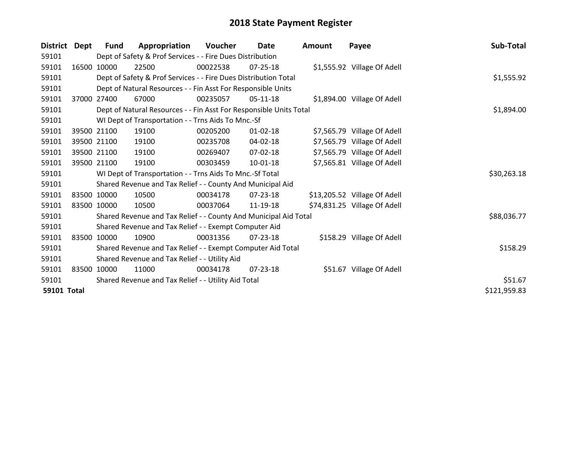| <b>District</b>    | Dept        | <b>Fund</b> | Appropriation                                                      | <b>Voucher</b> | Date           | <b>Amount</b> | Payee                        | Sub-Total    |
|--------------------|-------------|-------------|--------------------------------------------------------------------|----------------|----------------|---------------|------------------------------|--------------|
| 59101              |             |             | Dept of Safety & Prof Services - - Fire Dues Distribution          |                |                |               |                              |              |
| 59101              |             | 16500 10000 | 22500                                                              | 00022538       | 07-25-18       |               | \$1,555.92 Village Of Adell  |              |
| 59101              |             |             | Dept of Safety & Prof Services - - Fire Dues Distribution Total    |                |                |               |                              | \$1,555.92   |
| 59101              |             |             | Dept of Natural Resources - - Fin Asst For Responsible Units       |                |                |               |                              |              |
| 59101              | 37000       | 27400       | 67000                                                              | 00235057       | 05-11-18       |               | \$1,894.00 Village Of Adell  |              |
| 59101              |             |             | Dept of Natural Resources - - Fin Asst For Responsible Units Total |                |                |               |                              | \$1,894.00   |
| 59101              |             |             | WI Dept of Transportation - - Trns Aids To Mnc.-Sf                 |                |                |               |                              |              |
| 59101              |             | 39500 21100 | 19100                                                              | 00205200       | $01 - 02 - 18$ |               | \$7,565.79 Village Of Adell  |              |
| 59101              |             | 39500 21100 | 19100                                                              | 00235708       | $04 - 02 - 18$ |               | \$7,565.79 Village Of Adell  |              |
| 59101              |             | 39500 21100 | 19100                                                              | 00269407       | $07 - 02 - 18$ |               | \$7,565.79 Village Of Adell  |              |
| 59101              |             | 39500 21100 | 19100                                                              | 00303459       | 10-01-18       |               | \$7,565.81 Village Of Adell  |              |
| 59101              |             |             | WI Dept of Transportation - - Trns Aids To Mnc.-Sf Total           |                |                |               |                              | \$30,263.18  |
| 59101              |             |             | Shared Revenue and Tax Relief - - County And Municipal Aid         |                |                |               |                              |              |
| 59101              |             | 83500 10000 | 10500                                                              | 00034178       | 07-23-18       |               | \$13,205.52 Village Of Adell |              |
| 59101              | 83500 10000 |             | 10500                                                              | 00037064       | 11-19-18       |               | \$74,831.25 Village Of Adell |              |
| 59101              |             |             | Shared Revenue and Tax Relief - - County And Municipal Aid Total   |                |                |               |                              | \$88,036.77  |
| 59101              |             |             | Shared Revenue and Tax Relief - - Exempt Computer Aid              |                |                |               |                              |              |
| 59101              |             | 83500 10000 | 10900                                                              | 00031356       | 07-23-18       |               | \$158.29 Village Of Adell    |              |
| 59101              |             |             | Shared Revenue and Tax Relief - - Exempt Computer Aid Total        |                |                |               |                              | \$158.29     |
| 59101              |             |             | Shared Revenue and Tax Relief - - Utility Aid                      |                |                |               |                              |              |
| 59101              |             | 83500 10000 | 11000                                                              | 00034178       | 07-23-18       |               | \$51.67 Village Of Adell     |              |
| 59101              |             |             | Shared Revenue and Tax Relief - - Utility Aid Total                |                |                |               |                              | \$51.67      |
| <b>59101 Total</b> |             |             |                                                                    |                |                |               |                              | \$121,959.83 |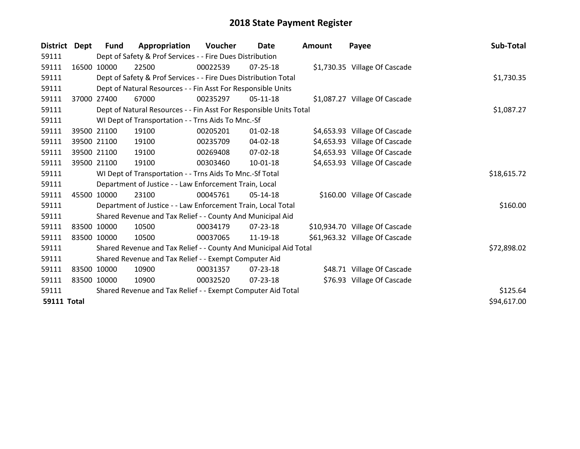| <b>District</b>    | Dept  | <b>Fund</b> | Appropriation                                                      | <b>Voucher</b> | Date           | <b>Amount</b> | Payee                          | Sub-Total   |
|--------------------|-------|-------------|--------------------------------------------------------------------|----------------|----------------|---------------|--------------------------------|-------------|
| 59111              |       |             | Dept of Safety & Prof Services - - Fire Dues Distribution          |                |                |               |                                |             |
| 59111              |       | 16500 10000 | 22500                                                              | 00022539       | $07 - 25 - 18$ |               | \$1,730.35 Village Of Cascade  |             |
| 59111              |       |             | Dept of Safety & Prof Services - - Fire Dues Distribution Total    |                |                |               |                                | \$1,730.35  |
| 59111              |       |             | Dept of Natural Resources - - Fin Asst For Responsible Units       |                |                |               |                                |             |
| 59111              | 37000 | 27400       | 67000                                                              | 00235297       | $05-11-18$     |               | \$1,087.27 Village Of Cascade  |             |
| 59111              |       |             | Dept of Natural Resources - - Fin Asst For Responsible Units Total |                | \$1,087.27     |               |                                |             |
| 59111              |       |             | WI Dept of Transportation - - Trns Aids To Mnc.-Sf                 |                |                |               |                                |             |
| 59111              |       | 39500 21100 | 19100                                                              | 00205201       | $01 - 02 - 18$ |               | \$4,653.93 Village Of Cascade  |             |
| 59111              |       | 39500 21100 | 19100                                                              | 00235709       | 04-02-18       |               | \$4,653.93 Village Of Cascade  |             |
| 59111              |       | 39500 21100 | 19100                                                              | 00269408       | $07 - 02 - 18$ |               | \$4,653.93 Village Of Cascade  |             |
| 59111              |       | 39500 21100 | 19100                                                              | 00303460       | $10 - 01 - 18$ |               | \$4,653.93 Village Of Cascade  |             |
| 59111              |       |             | WI Dept of Transportation - - Trns Aids To Mnc.-Sf Total           |                |                |               |                                | \$18,615.72 |
| 59111              |       |             | Department of Justice - - Law Enforcement Train, Local             |                |                |               |                                |             |
| 59111              |       | 45500 10000 | 23100                                                              | 00045761       | $05-14-18$     |               | \$160.00 Village Of Cascade    |             |
| 59111              |       |             | Department of Justice - - Law Enforcement Train, Local Total       |                |                |               |                                | \$160.00    |
| 59111              |       |             | Shared Revenue and Tax Relief - - County And Municipal Aid         |                |                |               |                                |             |
| 59111              |       | 83500 10000 | 10500                                                              | 00034179       | 07-23-18       |               | \$10,934.70 Village Of Cascade |             |
| 59111              |       | 83500 10000 | 10500                                                              | 00037065       | 11-19-18       |               | \$61,963.32 Village Of Cascade |             |
| 59111              |       |             | Shared Revenue and Tax Relief - - County And Municipal Aid Total   |                |                |               |                                | \$72,898.02 |
| 59111              |       |             | Shared Revenue and Tax Relief - - Exempt Computer Aid              |                |                |               |                                |             |
| 59111              |       | 83500 10000 | 10900                                                              | 00031357       | $07 - 23 - 18$ |               | \$48.71 Village Of Cascade     |             |
| 59111              |       | 83500 10000 | 10900                                                              | 00032520       | 07-23-18       |               | \$76.93 Village Of Cascade     |             |
| 59111              |       |             | Shared Revenue and Tax Relief - - Exempt Computer Aid Total        |                |                |               |                                | \$125.64    |
| <b>59111 Total</b> |       |             |                                                                    |                |                |               |                                | \$94,617.00 |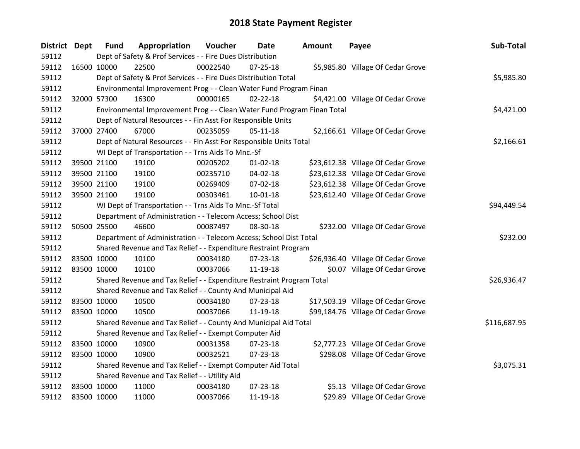| District Dept |             | <b>Fund</b> | Appropriation                                                           | Voucher  | <b>Date</b>    | <b>Amount</b> | Payee                              | Sub-Total    |
|---------------|-------------|-------------|-------------------------------------------------------------------------|----------|----------------|---------------|------------------------------------|--------------|
| 59112         |             |             | Dept of Safety & Prof Services - - Fire Dues Distribution               |          |                |               |                                    |              |
| 59112         | 16500 10000 |             | 22500                                                                   | 00022540 | $07 - 25 - 18$ |               | \$5,985.80 Village Of Cedar Grove  |              |
| 59112         |             |             | Dept of Safety & Prof Services - - Fire Dues Distribution Total         |          |                |               |                                    | \$5,985.80   |
| 59112         |             |             | Environmental Improvement Prog - - Clean Water Fund Program Finan       |          |                |               |                                    |              |
| 59112         | 32000 57300 |             | 16300                                                                   | 00000165 | $02 - 22 - 18$ |               | \$4,421.00 Village Of Cedar Grove  |              |
| 59112         |             |             | Environmental Improvement Prog - - Clean Water Fund Program Finan Total |          |                |               |                                    | \$4,421.00   |
| 59112         |             |             | Dept of Natural Resources - - Fin Asst For Responsible Units            |          |                |               |                                    |              |
| 59112         | 37000 27400 |             | 67000                                                                   | 00235059 | $05-11-18$     |               | \$2,166.61 Village Of Cedar Grove  |              |
| 59112         |             |             | Dept of Natural Resources - - Fin Asst For Responsible Units Total      |          |                |               |                                    | \$2,166.61   |
| 59112         |             |             | WI Dept of Transportation - - Trns Aids To Mnc.-Sf                      |          |                |               |                                    |              |
| 59112         |             | 39500 21100 | 19100                                                                   | 00205202 | $01 - 02 - 18$ |               | \$23,612.38 Village Of Cedar Grove |              |
| 59112         | 39500 21100 |             | 19100                                                                   | 00235710 | 04-02-18       |               | \$23,612.38 Village Of Cedar Grove |              |
| 59112         | 39500 21100 |             | 19100                                                                   | 00269409 | 07-02-18       |               | \$23,612.38 Village Of Cedar Grove |              |
| 59112         |             | 39500 21100 | 19100                                                                   | 00303461 | $10 - 01 - 18$ |               | \$23,612.40 Village Of Cedar Grove |              |
| 59112         |             |             | WI Dept of Transportation - - Trns Aids To Mnc.-Sf Total                |          |                |               |                                    | \$94,449.54  |
| 59112         |             |             | Department of Administration - - Telecom Access; School Dist            |          |                |               |                                    |              |
| 59112         | 50500 25500 |             | 46600                                                                   | 00087497 | 08-30-18       |               | \$232.00 Village Of Cedar Grove    |              |
| 59112         |             |             | Department of Administration - - Telecom Access; School Dist Total      |          |                |               |                                    | \$232.00     |
| 59112         |             |             | Shared Revenue and Tax Relief - - Expenditure Restraint Program         |          |                |               |                                    |              |
| 59112         | 83500 10000 |             | 10100                                                                   | 00034180 | 07-23-18       |               | \$26,936.40 Village Of Cedar Grove |              |
| 59112         | 83500 10000 |             | 10100                                                                   | 00037066 | 11-19-18       |               | \$0.07 Village Of Cedar Grove      |              |
| 59112         |             |             | Shared Revenue and Tax Relief - - Expenditure Restraint Program Total   |          |                |               |                                    | \$26,936.47  |
| 59112         |             |             | Shared Revenue and Tax Relief - - County And Municipal Aid              |          |                |               |                                    |              |
| 59112         | 83500 10000 |             | 10500                                                                   | 00034180 | 07-23-18       |               | \$17,503.19 Village Of Cedar Grove |              |
| 59112         | 83500 10000 |             | 10500                                                                   | 00037066 | 11-19-18       |               | \$99,184.76 Village Of Cedar Grove |              |
| 59112         |             |             | Shared Revenue and Tax Relief - - County And Municipal Aid Total        |          |                |               |                                    | \$116,687.95 |
| 59112         |             |             | Shared Revenue and Tax Relief - - Exempt Computer Aid                   |          |                |               |                                    |              |
| 59112         | 83500 10000 |             | 10900                                                                   | 00031358 | 07-23-18       |               | \$2,777.23 Village Of Cedar Grove  |              |
| 59112         | 83500 10000 |             | 10900                                                                   | 00032521 | 07-23-18       |               | \$298.08 Village Of Cedar Grove    |              |
| 59112         |             |             | Shared Revenue and Tax Relief - - Exempt Computer Aid Total             |          |                |               |                                    | \$3,075.31   |
| 59112         |             |             | Shared Revenue and Tax Relief - - Utility Aid                           |          |                |               |                                    |              |
| 59112         | 83500 10000 |             | 11000                                                                   | 00034180 | 07-23-18       |               | \$5.13 Village Of Cedar Grove      |              |
| 59112         | 83500 10000 |             | 11000                                                                   | 00037066 | 11-19-18       |               | \$29.89 Village Of Cedar Grove     |              |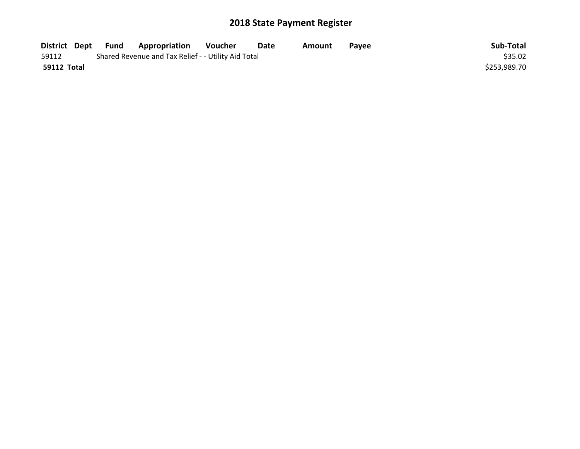| District Dept | Fund | Appropriation                                       | Voucher | Date | Amount | Pavee | Sub-Total    |
|---------------|------|-----------------------------------------------------|---------|------|--------|-------|--------------|
| 59112         |      | Shared Revenue and Tax Relief - - Utility Aid Total |         |      |        |       | \$35.02      |
| 59112 Total   |      |                                                     |         |      |        |       | \$253,989.70 |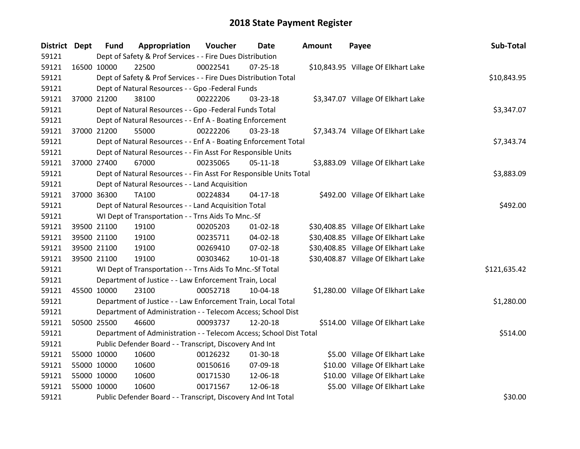| District Dept |             | <b>Fund</b> | Appropriation                                                      | Voucher  | Date           | Amount | Payee                               | Sub-Total    |
|---------------|-------------|-------------|--------------------------------------------------------------------|----------|----------------|--------|-------------------------------------|--------------|
| 59121         |             |             | Dept of Safety & Prof Services - - Fire Dues Distribution          |          |                |        |                                     |              |
| 59121         | 16500 10000 |             | 22500                                                              | 00022541 | $07 - 25 - 18$ |        | \$10,843.95 Village Of Elkhart Lake |              |
| 59121         |             |             | Dept of Safety & Prof Services - - Fire Dues Distribution Total    |          |                |        |                                     | \$10,843.95  |
| 59121         |             |             | Dept of Natural Resources - - Gpo -Federal Funds                   |          |                |        |                                     |              |
| 59121         |             | 37000 21200 | 38100                                                              | 00222206 | 03-23-18       |        | \$3,347.07 Village Of Elkhart Lake  |              |
| 59121         |             |             | Dept of Natural Resources - - Gpo -Federal Funds Total             |          |                |        |                                     | \$3,347.07   |
| 59121         |             |             | Dept of Natural Resources - - Enf A - Boating Enforcement          |          |                |        |                                     |              |
| 59121         |             | 37000 21200 | 55000                                                              | 00222206 | 03-23-18       |        | \$7,343.74 Village Of Elkhart Lake  |              |
| 59121         |             |             | Dept of Natural Resources - - Enf A - Boating Enforcement Total    |          |                |        |                                     | \$7,343.74   |
| 59121         |             |             | Dept of Natural Resources - - Fin Asst For Responsible Units       |          |                |        |                                     |              |
| 59121         |             | 37000 27400 | 67000                                                              | 00235065 | $05-11-18$     |        | \$3,883.09 Village Of Elkhart Lake  |              |
| 59121         |             |             | Dept of Natural Resources - - Fin Asst For Responsible Units Total |          |                |        |                                     | \$3,883.09   |
| 59121         |             |             | Dept of Natural Resources - - Land Acquisition                     |          |                |        |                                     |              |
| 59121         |             | 37000 36300 | TA100                                                              | 00224834 | $04 - 17 - 18$ |        | \$492.00 Village Of Elkhart Lake    |              |
| 59121         |             |             | Dept of Natural Resources - - Land Acquisition Total               | \$492.00 |                |        |                                     |              |
| 59121         |             |             | WI Dept of Transportation - - Trns Aids To Mnc.-Sf                 |          |                |        |                                     |              |
| 59121         |             | 39500 21100 | 19100                                                              | 00205203 | $01 - 02 - 18$ |        | \$30,408.85 Village Of Elkhart Lake |              |
| 59121         |             | 39500 21100 | 19100                                                              | 00235711 | 04-02-18       |        | \$30,408.85 Village Of Elkhart Lake |              |
| 59121         |             | 39500 21100 | 19100                                                              | 00269410 | 07-02-18       |        | \$30,408.85 Village Of Elkhart Lake |              |
| 59121         |             | 39500 21100 | 19100                                                              | 00303462 | 10-01-18       |        | \$30,408.87 Village Of Elkhart Lake |              |
| 59121         |             |             | WI Dept of Transportation - - Trns Aids To Mnc.-Sf Total           |          |                |        |                                     | \$121,635.42 |
| 59121         |             |             | Department of Justice - - Law Enforcement Train, Local             |          |                |        |                                     |              |
| 59121         | 45500 10000 |             | 23100                                                              | 00052718 | 10-04-18       |        | \$1,280.00 Village Of Elkhart Lake  |              |
| 59121         |             |             | Department of Justice - - Law Enforcement Train, Local Total       |          |                |        |                                     | \$1,280.00   |
| 59121         |             |             | Department of Administration - - Telecom Access; School Dist       |          |                |        |                                     |              |
| 59121         |             | 50500 25500 | 46600                                                              | 00093737 | 12-20-18       |        | \$514.00 Village Of Elkhart Lake    |              |
| 59121         |             |             | Department of Administration - - Telecom Access; School Dist Total |          |                |        |                                     | \$514.00     |
| 59121         |             |             | Public Defender Board - - Transcript, Discovery And Int            |          |                |        |                                     |              |
| 59121         |             | 55000 10000 | 10600                                                              | 00126232 | 01-30-18       |        | \$5.00 Village Of Elkhart Lake      |              |
| 59121         |             | 55000 10000 | 10600                                                              | 00150616 | 07-09-18       |        | \$10.00 Village Of Elkhart Lake     |              |
| 59121         | 55000 10000 |             | 10600                                                              | 00171530 | 12-06-18       |        | \$10.00 Village Of Elkhart Lake     |              |
| 59121         | 55000 10000 |             | 10600                                                              | 00171567 | 12-06-18       |        | \$5.00 Village Of Elkhart Lake      |              |
| 59121         |             |             | Public Defender Board - - Transcript, Discovery And Int Total      |          |                |        |                                     | \$30.00      |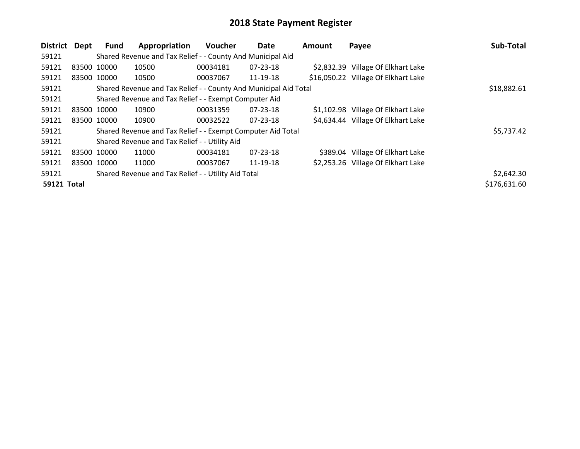| District           | Dept | Fund        | Appropriation                                                    | <b>Voucher</b> | Date           | Amount | Payee                               | Sub-Total    |
|--------------------|------|-------------|------------------------------------------------------------------|----------------|----------------|--------|-------------------------------------|--------------|
| 59121              |      |             | Shared Revenue and Tax Relief - - County And Municipal Aid       |                |                |        |                                     |              |
| 59121              |      | 83500 10000 | 10500                                                            | 00034181       | 07-23-18       |        | \$2,832.39 Village Of Elkhart Lake  |              |
| 59121              |      | 83500 10000 | 10500                                                            | 00037067       | 11-19-18       |        | \$16,050.22 Village Of Elkhart Lake |              |
| 59121              |      |             | Shared Revenue and Tax Relief - - County And Municipal Aid Total |                |                |        |                                     | \$18,882.61  |
| 59121              |      |             | Shared Revenue and Tax Relief - - Exempt Computer Aid            |                |                |        |                                     |              |
| 59121              |      | 83500 10000 | 10900                                                            | 00031359       | $07 - 23 - 18$ |        | \$1,102.98 Village Of Elkhart Lake  |              |
| 59121              |      | 83500 10000 | 10900                                                            | 00032522       | $07 - 23 - 18$ |        | \$4,634.44 Village Of Elkhart Lake  |              |
| 59121              |      |             | Shared Revenue and Tax Relief - - Exempt Computer Aid Total      |                |                |        |                                     | \$5,737.42   |
| 59121              |      |             | Shared Revenue and Tax Relief - - Utility Aid                    |                |                |        |                                     |              |
| 59121              |      | 83500 10000 | 11000                                                            | 00034181       | 07-23-18       |        | \$389.04 Village Of Elkhart Lake    |              |
| 59121              |      | 83500 10000 | 11000                                                            | 00037067       | 11-19-18       |        | \$2,253.26 Village Of Elkhart Lake  |              |
| 59121              |      |             | Shared Revenue and Tax Relief - - Utility Aid Total              |                |                |        |                                     | \$2,642.30   |
| <b>59121 Total</b> |      |             |                                                                  |                |                |        |                                     | \$176,631.60 |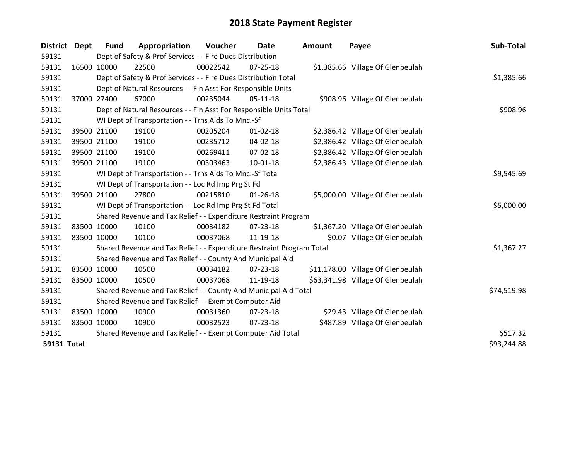| District           | <b>Dept</b> | <b>Fund</b> | Appropriation                                                         | <b>Voucher</b> | Date           | <b>Amount</b> | Payee                             | Sub-Total   |
|--------------------|-------------|-------------|-----------------------------------------------------------------------|----------------|----------------|---------------|-----------------------------------|-------------|
| 59131              |             |             | Dept of Safety & Prof Services - - Fire Dues Distribution             |                |                |               |                                   |             |
| 59131              | 16500       | 10000       | 22500                                                                 | 00022542       | $07 - 25 - 18$ |               | \$1,385.66 Village Of Glenbeulah  |             |
| 59131              |             |             | Dept of Safety & Prof Services - - Fire Dues Distribution Total       |                |                |               |                                   | \$1,385.66  |
| 59131              |             |             | Dept of Natural Resources - - Fin Asst For Responsible Units          |                |                |               |                                   |             |
| 59131              | 37000 27400 |             | 67000                                                                 | 00235044       | $05-11-18$     |               | \$908.96 Village Of Glenbeulah    |             |
| 59131              |             |             | Dept of Natural Resources - - Fin Asst For Responsible Units Total    |                |                |               |                                   | \$908.96    |
| 59131              |             |             | WI Dept of Transportation - - Trns Aids To Mnc.-Sf                    |                |                |               |                                   |             |
| 59131              | 39500 21100 |             | 19100                                                                 | 00205204       | $01 - 02 - 18$ |               | \$2,386.42 Village Of Glenbeulah  |             |
| 59131              | 39500 21100 |             | 19100                                                                 | 00235712       | $04 - 02 - 18$ |               | \$2,386.42 Village Of Glenbeulah  |             |
| 59131              | 39500 21100 |             | 19100                                                                 | 00269411       | $07 - 02 - 18$ |               | \$2,386.42 Village Of Glenbeulah  |             |
| 59131              | 39500 21100 |             | 19100                                                                 | 00303463       | $10 - 01 - 18$ |               | \$2,386.43 Village Of Glenbeulah  |             |
| 59131              |             |             | WI Dept of Transportation - - Trns Aids To Mnc.-Sf Total              |                |                |               |                                   | \$9,545.69  |
| 59131              |             |             | WI Dept of Transportation - - Loc Rd Imp Prg St Fd                    |                |                |               |                                   |             |
| 59131              | 39500 21100 |             | 27800                                                                 | 00215810       | $01 - 26 - 18$ |               | \$5,000.00 Village Of Glenbeulah  |             |
| 59131              |             |             | WI Dept of Transportation - - Loc Rd Imp Prg St Fd Total              |                |                |               |                                   | \$5,000.00  |
| 59131              |             |             | Shared Revenue and Tax Relief - - Expenditure Restraint Program       |                |                |               |                                   |             |
| 59131              | 83500 10000 |             | 10100                                                                 | 00034182       | $07 - 23 - 18$ |               | \$1,367.20 Village Of Glenbeulah  |             |
| 59131              | 83500 10000 |             | 10100                                                                 | 00037068       | 11-19-18       |               | \$0.07 Village Of Glenbeulah      |             |
| 59131              |             |             | Shared Revenue and Tax Relief - - Expenditure Restraint Program Total |                |                |               |                                   | \$1,367.27  |
| 59131              |             |             | Shared Revenue and Tax Relief - - County And Municipal Aid            |                |                |               |                                   |             |
| 59131              | 83500 10000 |             | 10500                                                                 | 00034182       | 07-23-18       |               | \$11,178.00 Village Of Glenbeulah |             |
| 59131              | 83500 10000 |             | 10500                                                                 | 00037068       | 11-19-18       |               | \$63,341.98 Village Of Glenbeulah |             |
| 59131              |             |             | Shared Revenue and Tax Relief - - County And Municipal Aid Total      |                |                |               |                                   | \$74,519.98 |
| 59131              |             |             | Shared Revenue and Tax Relief - - Exempt Computer Aid                 |                |                |               |                                   |             |
| 59131              | 83500 10000 |             | 10900                                                                 | 00031360       | 07-23-18       |               | \$29.43 Village Of Glenbeulah     |             |
| 59131              | 83500 10000 |             | 10900                                                                 | 00032523       | $07 - 23 - 18$ |               | \$487.89 Village Of Glenbeulah    |             |
| 59131              |             |             | Shared Revenue and Tax Relief - - Exempt Computer Aid Total           |                |                |               |                                   | \$517.32    |
| <b>59131 Total</b> |             |             |                                                                       |                |                |               |                                   | \$93,244.88 |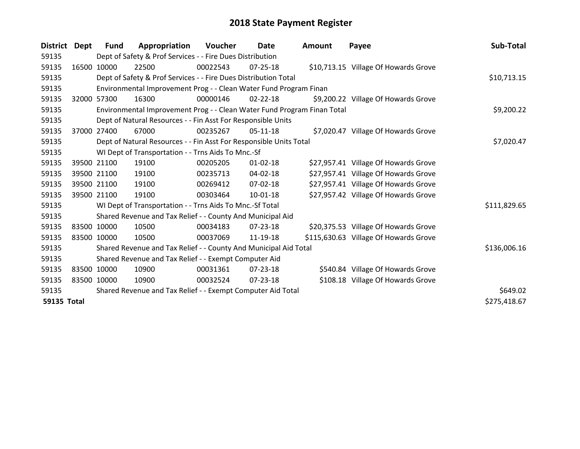| <b>District</b>    | Dept        | <b>Fund</b> | Appropriation                                                           | <b>Voucher</b> | Date           | <b>Amount</b> | Payee                                 | Sub-Total    |
|--------------------|-------------|-------------|-------------------------------------------------------------------------|----------------|----------------|---------------|---------------------------------------|--------------|
| 59135              |             |             | Dept of Safety & Prof Services - - Fire Dues Distribution               |                |                |               |                                       |              |
| 59135              | 16500       | 10000       | 22500                                                                   | 00022543       | 07-25-18       |               | \$10,713.15 Village Of Howards Grove  |              |
| 59135              |             |             | Dept of Safety & Prof Services - - Fire Dues Distribution Total         |                |                |               |                                       | \$10,713.15  |
| 59135              |             |             | Environmental Improvement Prog - - Clean Water Fund Program Finan       |                |                |               |                                       |              |
| 59135              | 32000       | 57300       | 16300                                                                   | 00000146       | $02 - 22 - 18$ |               | \$9,200.22 Village Of Howards Grove   |              |
| 59135              |             |             | Environmental Improvement Prog - - Clean Water Fund Program Finan Total |                |                |               |                                       | \$9,200.22   |
| 59135              |             |             | Dept of Natural Resources - - Fin Asst For Responsible Units            |                |                |               |                                       |              |
| 59135              |             | 37000 27400 | 67000                                                                   | 00235267       | 05-11-18       |               | \$7,020.47 Village Of Howards Grove   |              |
| 59135              |             |             | Dept of Natural Resources - - Fin Asst For Responsible Units Total      |                |                |               |                                       | \$7,020.47   |
| 59135              |             |             | WI Dept of Transportation - - Trns Aids To Mnc.-Sf                      |                |                |               |                                       |              |
| 59135              |             | 39500 21100 | 19100                                                                   | 00205205       | $01 - 02 - 18$ |               | \$27,957.41 Village Of Howards Grove  |              |
| 59135              |             | 39500 21100 | 19100                                                                   | 00235713       | 04-02-18       |               | \$27,957.41 Village Of Howards Grove  |              |
| 59135              |             | 39500 21100 | 19100                                                                   | 00269412       | 07-02-18       |               | \$27,957.41 Village Of Howards Grove  |              |
| 59135              | 39500 21100 |             | 19100                                                                   | 00303464       | $10 - 01 - 18$ |               | \$27,957.42 Village Of Howards Grove  |              |
| 59135              |             |             | WI Dept of Transportation - - Trns Aids To Mnc.-Sf Total                |                |                |               |                                       | \$111,829.65 |
| 59135              |             |             | Shared Revenue and Tax Relief - - County And Municipal Aid              |                |                |               |                                       |              |
| 59135              |             | 83500 10000 | 10500                                                                   | 00034183       | $07 - 23 - 18$ |               | \$20,375.53 Village Of Howards Grove  |              |
| 59135              |             | 83500 10000 | 10500                                                                   | 00037069       | 11-19-18       |               | \$115,630.63 Village Of Howards Grove |              |
| 59135              |             |             | Shared Revenue and Tax Relief - - County And Municipal Aid Total        |                |                |               |                                       | \$136,006.16 |
| 59135              |             |             | Shared Revenue and Tax Relief - - Exempt Computer Aid                   |                |                |               |                                       |              |
| 59135              | 83500 10000 |             | 10900                                                                   | 00031361       | 07-23-18       |               | \$540.84 Village Of Howards Grove     |              |
| 59135              | 83500 10000 |             | 10900                                                                   | 00032524       | $07 - 23 - 18$ |               | \$108.18 Village Of Howards Grove     |              |
| 59135              |             |             | Shared Revenue and Tax Relief - - Exempt Computer Aid Total             |                |                |               |                                       | \$649.02     |
| <b>59135 Total</b> |             |             |                                                                         |                |                |               |                                       | \$275,418.67 |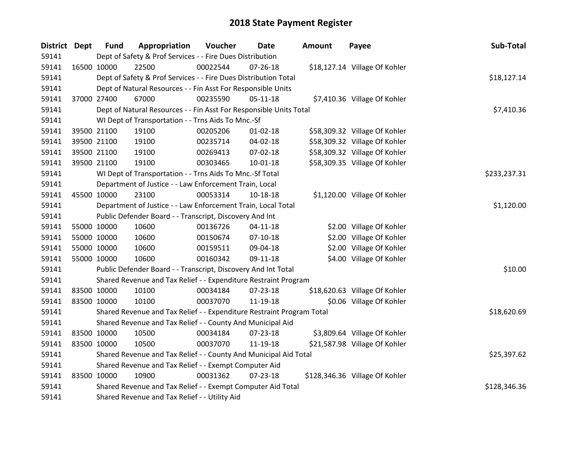| <b>District Dept</b> |             | <b>Fund</b> | Appropriation                                                         | Voucher    | Date           | Amount | Payee                          | Sub-Total    |
|----------------------|-------------|-------------|-----------------------------------------------------------------------|------------|----------------|--------|--------------------------------|--------------|
| 59141                |             |             | Dept of Safety & Prof Services - - Fire Dues Distribution             |            |                |        |                                |              |
| 59141                | 16500 10000 |             | 22500                                                                 | 00022544   | $07 - 26 - 18$ |        | \$18,127.14 Village Of Kohler  |              |
| 59141                |             |             | Dept of Safety & Prof Services - - Fire Dues Distribution Total       |            |                |        |                                | \$18,127.14  |
| 59141                |             |             | Dept of Natural Resources - - Fin Asst For Responsible Units          |            |                |        |                                |              |
| 59141                |             | 37000 27400 | 67000                                                                 | 00235590   | $05 - 11 - 18$ |        | \$7,410.36 Village Of Kohler   |              |
| 59141                |             |             | Dept of Natural Resources - - Fin Asst For Responsible Units Total    |            |                |        |                                | \$7,410.36   |
| 59141                |             |             | WI Dept of Transportation - - Trns Aids To Mnc.-Sf                    |            |                |        |                                |              |
| 59141                |             | 39500 21100 | 19100                                                                 | 00205206   | $01 - 02 - 18$ |        | \$58,309.32 Village Of Kohler  |              |
| 59141                |             | 39500 21100 | 19100                                                                 | 00235714   | 04-02-18       |        | \$58,309.32 Village Of Kohler  |              |
| 59141                |             | 39500 21100 | 19100                                                                 | 00269413   | 07-02-18       |        | \$58,309.32 Village Of Kohler  |              |
| 59141                |             | 39500 21100 | 19100                                                                 | 00303465   | $10 - 01 - 18$ |        | \$58,309.35 Village Of Kohler  |              |
| 59141                |             |             | WI Dept of Transportation - - Trns Aids To Mnc.-Sf Total              |            |                |        |                                | \$233,237.31 |
| 59141                |             |             | Department of Justice - - Law Enforcement Train, Local                |            |                |        |                                |              |
| 59141                | 45500 10000 |             | 23100                                                                 | 00053314   | 10-18-18       |        | \$1,120.00 Village Of Kohler   |              |
| 59141                |             |             | Department of Justice - - Law Enforcement Train, Local Total          | \$1,120.00 |                |        |                                |              |
| 59141                |             |             | Public Defender Board - - Transcript, Discovery And Int               |            |                |        |                                |              |
| 59141                | 55000 10000 |             | 10600                                                                 | 00136726   | $04 - 11 - 18$ |        | \$2.00 Village Of Kohler       |              |
| 59141                |             | 55000 10000 | 10600                                                                 | 00150674   | $07-10-18$     |        | \$2.00 Village Of Kohler       |              |
| 59141                |             | 55000 10000 | 10600                                                                 | 00159511   | 09-04-18       |        | \$2.00 Village Of Kohler       |              |
| 59141                | 55000 10000 |             | 10600                                                                 | 00160342   | 09-11-18       |        | \$4.00 Village Of Kohler       |              |
| 59141                |             |             | Public Defender Board - - Transcript, Discovery And Int Total         |            |                |        |                                | \$10.00      |
| 59141                |             |             | Shared Revenue and Tax Relief - - Expenditure Restraint Program       |            |                |        |                                |              |
| 59141                |             | 83500 10000 | 10100                                                                 | 00034184   | 07-23-18       |        | \$18,620.63 Village Of Kohler  |              |
| 59141                | 83500 10000 |             | 10100                                                                 | 00037070   | 11-19-18       |        | \$0.06 Village Of Kohler       |              |
| 59141                |             |             | Shared Revenue and Tax Relief - - Expenditure Restraint Program Total |            |                |        |                                | \$18,620.69  |
| 59141                |             |             | Shared Revenue and Tax Relief - - County And Municipal Aid            |            |                |        |                                |              |
| 59141                | 83500 10000 |             | 10500                                                                 | 00034184   | 07-23-18       |        | \$3,809.64 Village Of Kohler   |              |
| 59141                | 83500 10000 |             | 10500                                                                 | 00037070   | 11-19-18       |        | \$21,587.98 Village Of Kohler  |              |
| 59141                |             |             | Shared Revenue and Tax Relief - - County And Municipal Aid Total      |            |                |        |                                | \$25,397.62  |
| 59141                |             |             | Shared Revenue and Tax Relief - - Exempt Computer Aid                 |            |                |        |                                |              |
| 59141                | 83500 10000 |             | 10900                                                                 | 00031362   | $07 - 23 - 18$ |        | \$128,346.36 Village Of Kohler |              |
| 59141                |             |             | Shared Revenue and Tax Relief - - Exempt Computer Aid Total           |            |                |        |                                | \$128,346.36 |
| 59141                |             |             | Shared Revenue and Tax Relief - - Utility Aid                         |            |                |        |                                |              |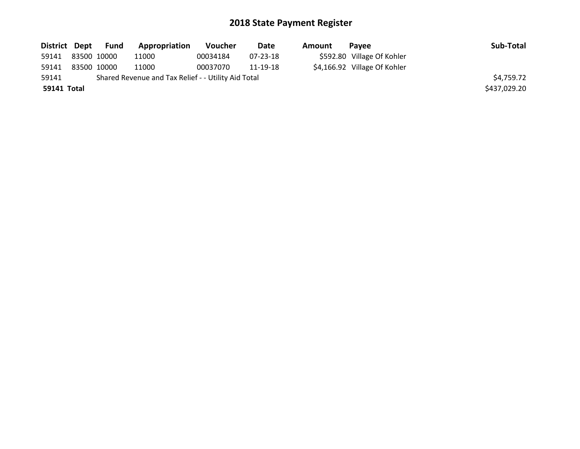|             |             | District Dept Fund | Appropriation                                       | <b>Voucher</b> | Date     | Amount | <b>Pavee</b>                 | Sub-Total    |
|-------------|-------------|--------------------|-----------------------------------------------------|----------------|----------|--------|------------------------------|--------------|
| 59141       | 83500 10000 |                    | 11000                                               | 00034184       | 07-23-18 |        | \$592.80 Village Of Kohler   |              |
| 59141       |             | 83500 10000        | 11000                                               | 00037070       | 11-19-18 |        | \$4,166.92 Village Of Kohler |              |
| 59141       |             |                    | Shared Revenue and Tax Relief - - Utility Aid Total |                |          |        |                              | \$4,759.72   |
| 59141 Total |             |                    |                                                     |                |          |        |                              | \$437,029.20 |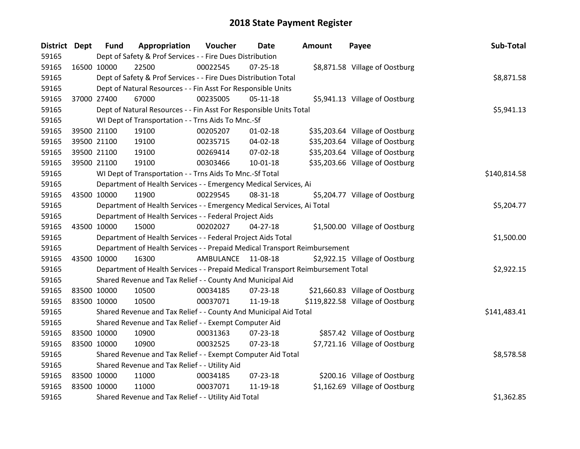| <b>District Dept</b> |             | <b>Fund</b> | Appropriation                                                                   | Voucher    | Date           | Amount | Payee                            | Sub-Total    |
|----------------------|-------------|-------------|---------------------------------------------------------------------------------|------------|----------------|--------|----------------------------------|--------------|
| 59165                |             |             | Dept of Safety & Prof Services - - Fire Dues Distribution                       |            |                |        |                                  |              |
| 59165                | 16500 10000 |             | 22500                                                                           | 00022545   | $07 - 25 - 18$ |        | \$8,871.58 Village of Oostburg   |              |
| 59165                |             |             | Dept of Safety & Prof Services - - Fire Dues Distribution Total                 |            |                |        |                                  | \$8,871.58   |
| 59165                |             |             | Dept of Natural Resources - - Fin Asst For Responsible Units                    |            |                |        |                                  |              |
| 59165                | 37000 27400 |             | 67000                                                                           | 00235005   | $05 - 11 - 18$ |        | \$5,941.13 Village of Oostburg   |              |
| 59165                |             |             | Dept of Natural Resources - - Fin Asst For Responsible Units Total              |            |                |        |                                  | \$5,941.13   |
| 59165                |             |             | WI Dept of Transportation - - Trns Aids To Mnc.-Sf                              |            |                |        |                                  |              |
| 59165                |             | 39500 21100 | 19100                                                                           | 00205207   | $01 - 02 - 18$ |        | \$35,203.64 Village of Oostburg  |              |
| 59165                |             | 39500 21100 | 19100                                                                           | 00235715   | 04-02-18       |        | \$35,203.64 Village of Oostburg  |              |
| 59165                |             | 39500 21100 | 19100                                                                           | 00269414   | 07-02-18       |        | \$35,203.64 Village of Oostburg  |              |
| 59165                |             | 39500 21100 | 19100                                                                           | 00303466   | 10-01-18       |        | \$35,203.66 Village of Oostburg  |              |
| 59165                |             |             | WI Dept of Transportation - - Trns Aids To Mnc.-Sf Total                        |            |                |        |                                  | \$140,814.58 |
| 59165                |             |             | Department of Health Services - - Emergency Medical Services, Ai                |            |                |        |                                  |              |
| 59165                | 43500 10000 |             | 11900                                                                           | 00229545   | 08-31-18       |        | \$5,204.77 Village of Oostburg   |              |
| 59165                |             |             | Department of Health Services - - Emergency Medical Services, Ai Total          | \$5,204.77 |                |        |                                  |              |
| 59165                |             |             | Department of Health Services - - Federal Project Aids                          |            |                |        |                                  |              |
| 59165                | 43500 10000 |             | 15000                                                                           | 00202027   | 04-27-18       |        | \$1,500.00 Village of Oostburg   |              |
| 59165                |             |             | Department of Health Services - - Federal Project Aids Total                    |            |                |        |                                  | \$1,500.00   |
| 59165                |             |             | Department of Health Services - - Prepaid Medical Transport Reimbursement       |            |                |        |                                  |              |
| 59165                | 43500 10000 |             | 16300                                                                           | AMBULANCE  | 11-08-18       |        | \$2,922.15 Village of Oostburg   |              |
| 59165                |             |             | Department of Health Services - - Prepaid Medical Transport Reimbursement Total |            |                |        |                                  | \$2,922.15   |
| 59165                |             |             | Shared Revenue and Tax Relief - - County And Municipal Aid                      |            |                |        |                                  |              |
| 59165                | 83500 10000 |             | 10500                                                                           | 00034185   | 07-23-18       |        | \$21,660.83 Village of Oostburg  |              |
| 59165                | 83500 10000 |             | 10500                                                                           | 00037071   | 11-19-18       |        | \$119,822.58 Village of Oostburg |              |
| 59165                |             |             | Shared Revenue and Tax Relief - - County And Municipal Aid Total                |            |                |        |                                  | \$141,483.41 |
| 59165                |             |             | Shared Revenue and Tax Relief - - Exempt Computer Aid                           |            |                |        |                                  |              |
| 59165                | 83500 10000 |             | 10900                                                                           | 00031363   | 07-23-18       |        | \$857.42 Village of Oostburg     |              |
| 59165                | 83500 10000 |             | 10900                                                                           | 00032525   | $07 - 23 - 18$ |        | \$7,721.16 Village of Oostburg   |              |
| 59165                |             |             | Shared Revenue and Tax Relief - - Exempt Computer Aid Total                     |            |                |        |                                  | \$8,578.58   |
| 59165                |             |             | Shared Revenue and Tax Relief - - Utility Aid                                   |            |                |        |                                  |              |
| 59165                | 83500 10000 |             | 11000                                                                           | 00034185   | $07 - 23 - 18$ |        | \$200.16 Village of Oostburg     |              |
| 59165                | 83500 10000 |             | 11000                                                                           | 00037071   | 11-19-18       |        | \$1,162.69 Village of Oostburg   |              |
| 59165                |             |             | Shared Revenue and Tax Relief - - Utility Aid Total                             |            |                |        |                                  | \$1,362.85   |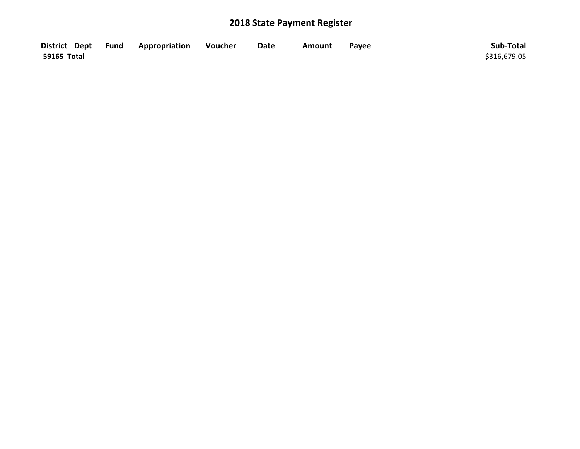|             | District Dept Fund Appropriation | Voucher | <b>Date</b> | Amount | Payee | Sub-Total    |
|-------------|----------------------------------|---------|-------------|--------|-------|--------------|
| 59165 Total |                                  |         |             |        |       | \$316,679.05 |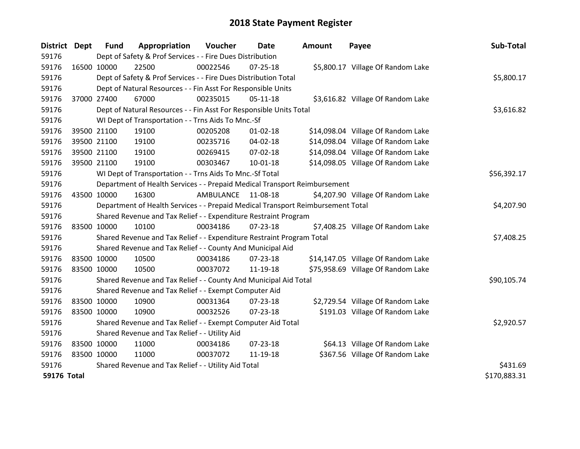| District Dept      |             | <b>Fund</b>                                                 | Appropriation                                                                   | Voucher   | <b>Date</b>    | <b>Amount</b> | Payee                              | Sub-Total    |
|--------------------|-------------|-------------------------------------------------------------|---------------------------------------------------------------------------------|-----------|----------------|---------------|------------------------------------|--------------|
| 59176              |             |                                                             | Dept of Safety & Prof Services - - Fire Dues Distribution                       |           |                |               |                                    |              |
| 59176              | 16500 10000 |                                                             | 22500                                                                           | 00022546  | 07-25-18       |               | \$5,800.17 Village Of Random Lake  |              |
| 59176              |             |                                                             | Dept of Safety & Prof Services - - Fire Dues Distribution Total                 |           |                |               |                                    | \$5,800.17   |
| 59176              |             |                                                             | Dept of Natural Resources - - Fin Asst For Responsible Units                    |           |                |               |                                    |              |
| 59176              | 37000 27400 |                                                             | 67000                                                                           | 00235015  | $05-11-18$     |               | \$3,616.82 Village Of Random Lake  |              |
| 59176              |             |                                                             | Dept of Natural Resources - - Fin Asst For Responsible Units Total              |           |                |               |                                    | \$3,616.82   |
| 59176              |             |                                                             | WI Dept of Transportation - - Trns Aids To Mnc.-Sf                              |           |                |               |                                    |              |
| 59176              |             | 39500 21100                                                 | 19100                                                                           | 00205208  | $01 - 02 - 18$ |               | \$14,098.04 Village Of Random Lake |              |
| 59176              |             | 39500 21100                                                 | 19100                                                                           | 00235716  | 04-02-18       |               | \$14,098.04 Village Of Random Lake |              |
| 59176              |             | 39500 21100                                                 | 19100                                                                           | 00269415  | 07-02-18       |               | \$14,098.04 Village Of Random Lake |              |
| 59176              |             | 39500 21100                                                 | 19100                                                                           | 00303467  | 10-01-18       |               | \$14,098.05 Village Of Random Lake |              |
| 59176              |             |                                                             | WI Dept of Transportation - - Trns Aids To Mnc.-Sf Total                        |           |                |               |                                    | \$56,392.17  |
| 59176              |             |                                                             | Department of Health Services - - Prepaid Medical Transport Reimbursement       |           |                |               |                                    |              |
| 59176              | 43500 10000 |                                                             | 16300                                                                           | AMBULANCE | 11-08-18       |               | \$4,207.90 Village Of Random Lake  |              |
| 59176              |             |                                                             | Department of Health Services - - Prepaid Medical Transport Reimbursement Total |           | \$4,207.90     |               |                                    |              |
| 59176              |             |                                                             | Shared Revenue and Tax Relief - - Expenditure Restraint Program                 |           |                |               |                                    |              |
| 59176              | 83500 10000 |                                                             | 10100                                                                           | 00034186  | $07 - 23 - 18$ |               | \$7,408.25 Village Of Random Lake  |              |
| 59176              |             |                                                             | Shared Revenue and Tax Relief - - Expenditure Restraint Program Total           |           |                |               |                                    | \$7,408.25   |
| 59176              |             |                                                             | Shared Revenue and Tax Relief - - County And Municipal Aid                      |           |                |               |                                    |              |
| 59176              | 83500 10000 |                                                             | 10500                                                                           | 00034186  | $07 - 23 - 18$ |               | \$14,147.05 Village Of Random Lake |              |
| 59176              | 83500 10000 |                                                             | 10500                                                                           | 00037072  | 11-19-18       |               | \$75,958.69 Village Of Random Lake |              |
| 59176              |             |                                                             | Shared Revenue and Tax Relief - - County And Municipal Aid Total                |           |                |               |                                    | \$90,105.74  |
| 59176              |             |                                                             | Shared Revenue and Tax Relief - - Exempt Computer Aid                           |           |                |               |                                    |              |
| 59176              | 83500 10000 |                                                             | 10900                                                                           | 00031364  | $07 - 23 - 18$ |               | \$2,729.54 Village Of Random Lake  |              |
| 59176              | 83500 10000 |                                                             | 10900                                                                           | 00032526  | 07-23-18       |               | \$191.03 Village Of Random Lake    |              |
| 59176              |             | Shared Revenue and Tax Relief - - Exempt Computer Aid Total |                                                                                 |           |                |               |                                    | \$2,920.57   |
| 59176              |             |                                                             | Shared Revenue and Tax Relief - - Utility Aid                                   |           |                |               |                                    |              |
| 59176              | 83500 10000 |                                                             | 11000                                                                           | 00034186  | 07-23-18       |               | \$64.13 Village Of Random Lake     |              |
| 59176              | 83500 10000 |                                                             | 11000                                                                           | 00037072  | 11-19-18       |               | \$367.56 Village Of Random Lake    |              |
| 59176              |             |                                                             | Shared Revenue and Tax Relief - - Utility Aid Total                             |           |                |               |                                    | \$431.69     |
| <b>59176 Total</b> |             |                                                             |                                                                                 |           |                |               |                                    | \$170,883.31 |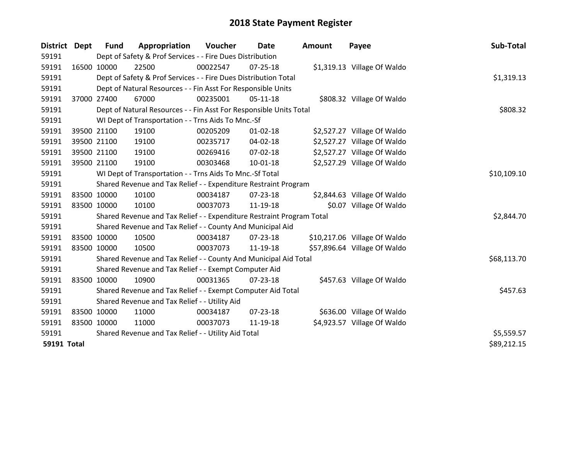| District           | <b>Dept</b> | <b>Fund</b> | Appropriation                                                         | <b>Voucher</b> | Date           | <b>Amount</b> | Payee                        | Sub-Total   |
|--------------------|-------------|-------------|-----------------------------------------------------------------------|----------------|----------------|---------------|------------------------------|-------------|
| 59191              |             |             | Dept of Safety & Prof Services - - Fire Dues Distribution             |                |                |               |                              |             |
| 59191              |             | 16500 10000 | 22500                                                                 | 00022547       | $07 - 25 - 18$ |               | \$1,319.13 Village Of Waldo  |             |
| 59191              |             |             | Dept of Safety & Prof Services - - Fire Dues Distribution Total       |                |                |               |                              | \$1,319.13  |
| 59191              |             |             | Dept of Natural Resources - - Fin Asst For Responsible Units          |                |                |               |                              |             |
| 59191              |             | 37000 27400 | 67000                                                                 | 00235001       | $05 - 11 - 18$ |               | \$808.32 Village Of Waldo    |             |
| 59191              |             |             | Dept of Natural Resources - - Fin Asst For Responsible Units Total    |                |                |               |                              | \$808.32    |
| 59191              |             |             | WI Dept of Transportation - - Trns Aids To Mnc.-Sf                    |                |                |               |                              |             |
| 59191              |             | 39500 21100 | 19100                                                                 | 00205209       | $01 - 02 - 18$ |               | \$2,527.27 Village Of Waldo  |             |
| 59191              |             | 39500 21100 | 19100                                                                 | 00235717       | 04-02-18       |               | \$2,527.27 Village Of Waldo  |             |
| 59191              |             | 39500 21100 | 19100                                                                 | 00269416       | $07-02-18$     |               | \$2,527.27 Village Of Waldo  |             |
| 59191              |             | 39500 21100 | 19100                                                                 | 00303468       | $10-01-18$     |               | \$2,527.29 Village Of Waldo  |             |
| 59191              |             |             | WI Dept of Transportation - - Trns Aids To Mnc.-Sf Total              |                |                |               |                              | \$10,109.10 |
| 59191              |             |             | Shared Revenue and Tax Relief - - Expenditure Restraint Program       |                |                |               |                              |             |
| 59191              |             | 83500 10000 | 10100                                                                 | 00034187       | 07-23-18       |               | \$2,844.63 Village Of Waldo  |             |
| 59191              |             | 83500 10000 | 10100                                                                 | 00037073       | 11-19-18       |               | \$0.07 Village Of Waldo      |             |
| 59191              |             |             | Shared Revenue and Tax Relief - - Expenditure Restraint Program Total |                |                |               |                              | \$2,844.70  |
| 59191              |             |             | Shared Revenue and Tax Relief - - County And Municipal Aid            |                |                |               |                              |             |
| 59191              |             | 83500 10000 | 10500                                                                 | 00034187       | 07-23-18       |               | \$10,217.06 Village Of Waldo |             |
| 59191              |             | 83500 10000 | 10500                                                                 | 00037073       | 11-19-18       |               | \$57,896.64 Village Of Waldo |             |
| 59191              |             |             | Shared Revenue and Tax Relief - - County And Municipal Aid Total      |                |                |               |                              | \$68,113.70 |
| 59191              |             |             | Shared Revenue and Tax Relief - - Exempt Computer Aid                 |                |                |               |                              |             |
| 59191              |             | 83500 10000 | 10900                                                                 | 00031365       | $07 - 23 - 18$ |               | \$457.63 Village Of Waldo    |             |
| 59191              |             |             | Shared Revenue and Tax Relief - - Exempt Computer Aid Total           | \$457.63       |                |               |                              |             |
| 59191              |             |             | Shared Revenue and Tax Relief - - Utility Aid                         |                |                |               |                              |             |
| 59191              |             | 83500 10000 | 11000                                                                 | 00034187       | $07 - 23 - 18$ |               | \$636.00 Village Of Waldo    |             |
| 59191              |             | 83500 10000 | 11000                                                                 | 00037073       | 11-19-18       |               | \$4,923.57 Village Of Waldo  |             |
| 59191              |             |             | Shared Revenue and Tax Relief - - Utility Aid Total                   |                |                |               |                              | \$5,559.57  |
| <b>59191 Total</b> |             |             |                                                                       |                |                |               |                              | \$89,212.15 |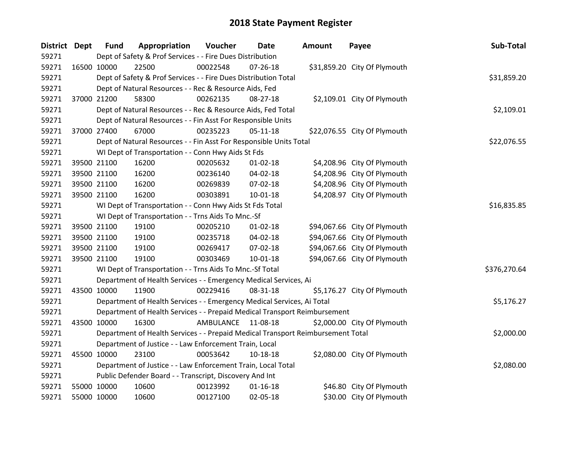| <b>District Dept</b> |             | <b>Fund</b> | Appropriation                                                                   | Voucher     | <b>Date</b>    | <b>Amount</b> | Payee                        | Sub-Total    |
|----------------------|-------------|-------------|---------------------------------------------------------------------------------|-------------|----------------|---------------|------------------------------|--------------|
| 59271                |             |             | Dept of Safety & Prof Services - - Fire Dues Distribution                       |             |                |               |                              |              |
| 59271                | 16500 10000 |             | 22500                                                                           | 00022548    | $07 - 26 - 18$ |               | \$31,859.20 City Of Plymouth |              |
| 59271                |             |             | Dept of Safety & Prof Services - - Fire Dues Distribution Total                 |             |                |               |                              | \$31,859.20  |
| 59271                |             |             | Dept of Natural Resources - - Rec & Resource Aids, Fed                          |             |                |               |                              |              |
| 59271                | 37000 21200 |             | 58300                                                                           | 00262135    | 08-27-18       |               | \$2,109.01 City Of Plymouth  |              |
| 59271                |             |             | Dept of Natural Resources - - Rec & Resource Aids, Fed Total                    |             |                |               |                              | \$2,109.01   |
| 59271                |             |             | Dept of Natural Resources - - Fin Asst For Responsible Units                    |             |                |               |                              |              |
| 59271                | 37000 27400 |             | 67000                                                                           | 00235223    | 05-11-18       |               | \$22,076.55 City Of Plymouth |              |
| 59271                |             |             | Dept of Natural Resources - - Fin Asst For Responsible Units Total              |             |                |               |                              | \$22,076.55  |
| 59271                |             |             | WI Dept of Transportation - - Conn Hwy Aids St Fds                              |             |                |               |                              |              |
| 59271                | 39500 21100 |             | 16200                                                                           | 00205632    | $01 - 02 - 18$ |               | \$4,208.96 City Of Plymouth  |              |
| 59271                | 39500 21100 |             | 16200                                                                           | 00236140    | 04-02-18       |               | \$4,208.96 City Of Plymouth  |              |
| 59271                | 39500 21100 |             | 16200                                                                           | 00269839    | 07-02-18       |               | \$4,208.96 City Of Plymouth  |              |
| 59271                | 39500 21100 |             | 16200                                                                           | 00303891    | 10-01-18       |               | \$4,208.97 City Of Plymouth  |              |
| 59271                |             |             | WI Dept of Transportation - - Conn Hwy Aids St Fds Total                        | \$16,835.85 |                |               |                              |              |
| 59271                |             |             | WI Dept of Transportation - - Trns Aids To Mnc.-Sf                              |             |                |               |                              |              |
| 59271                | 39500 21100 |             | 19100                                                                           | 00205210    | $01 - 02 - 18$ |               | \$94,067.66 City Of Plymouth |              |
| 59271                | 39500 21100 |             | 19100                                                                           | 00235718    | 04-02-18       |               | \$94,067.66 City Of Plymouth |              |
| 59271                | 39500 21100 |             | 19100                                                                           | 00269417    | 07-02-18       |               | \$94,067.66 City Of Plymouth |              |
| 59271                | 39500 21100 |             | 19100                                                                           | 00303469    | 10-01-18       |               | \$94,067.66 City Of Plymouth |              |
| 59271                |             |             | WI Dept of Transportation - - Trns Aids To Mnc.-Sf Total                        |             |                |               |                              | \$376,270.64 |
| 59271                |             |             | Department of Health Services - - Emergency Medical Services, Ai                |             |                |               |                              |              |
| 59271                | 43500 10000 |             | 11900                                                                           | 00229416    | 08-31-18       |               | \$5,176.27 City Of Plymouth  |              |
| 59271                |             |             | Department of Health Services - - Emergency Medical Services, Ai Total          |             |                |               |                              | \$5,176.27   |
| 59271                |             |             | Department of Health Services - - Prepaid Medical Transport Reimbursement       |             |                |               |                              |              |
| 59271                | 43500 10000 |             | 16300                                                                           | AMBULANCE   | 11-08-18       |               | \$2,000.00 City Of Plymouth  |              |
| 59271                |             |             | Department of Health Services - - Prepaid Medical Transport Reimbursement Total |             |                |               |                              | \$2,000.00   |
| 59271                |             |             | Department of Justice - - Law Enforcement Train, Local                          |             |                |               |                              |              |
| 59271                | 45500 10000 |             | 23100                                                                           | 00053642    | 10-18-18       |               | \$2,080.00 City Of Plymouth  |              |
| 59271                |             |             | Department of Justice - - Law Enforcement Train, Local Total                    |             |                |               |                              | \$2,080.00   |
| 59271                |             |             | Public Defender Board - - Transcript, Discovery And Int                         |             |                |               |                              |              |
| 59271                | 55000 10000 |             | 10600                                                                           | 00123992    | $01 - 16 - 18$ |               | \$46.80 City Of Plymouth     |              |
| 59271                | 55000 10000 |             | 10600                                                                           | 00127100    | 02-05-18       |               | \$30.00 City Of Plymouth     |              |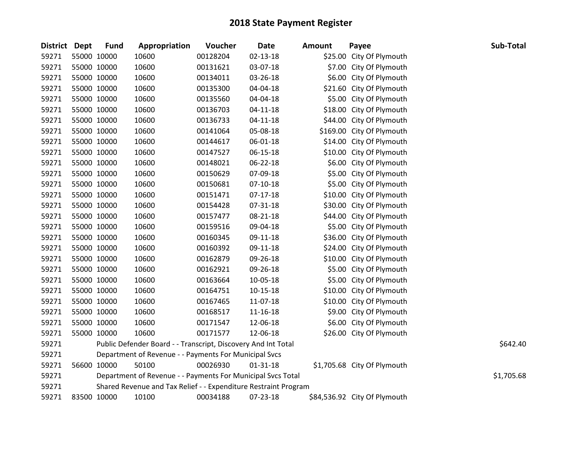| <b>District</b> | <b>Dept</b> | <b>Fund</b> | Appropriation                                                   | Voucher  | <b>Date</b>    | <b>Amount</b> | Payee                        | Sub-Total  |
|-----------------|-------------|-------------|-----------------------------------------------------------------|----------|----------------|---------------|------------------------------|------------|
| 59271           |             | 55000 10000 | 10600                                                           | 00128204 | $02 - 13 - 18$ |               | \$25.00 City Of Plymouth     |            |
| 59271           |             | 55000 10000 | 10600                                                           | 00131621 | 03-07-18       |               | \$7.00 City Of Plymouth      |            |
| 59271           |             | 55000 10000 | 10600                                                           | 00134011 | 03-26-18       |               | \$6.00 City Of Plymouth      |            |
| 59271           |             | 55000 10000 | 10600                                                           | 00135300 | 04-04-18       |               | \$21.60 City Of Plymouth     |            |
| 59271           |             | 55000 10000 | 10600                                                           | 00135560 | 04-04-18       |               | \$5.00 City Of Plymouth      |            |
| 59271           |             | 55000 10000 | 10600                                                           | 00136703 | $04 - 11 - 18$ | \$18.00       | City Of Plymouth             |            |
| 59271           |             | 55000 10000 | 10600                                                           | 00136733 | $04 - 11 - 18$ |               | \$44.00 City Of Plymouth     |            |
| 59271           |             | 55000 10000 | 10600                                                           | 00141064 | 05-08-18       |               | \$169.00 City Of Plymouth    |            |
| 59271           |             | 55000 10000 | 10600                                                           | 00144617 | 06-01-18       |               | \$14.00 City Of Plymouth     |            |
| 59271           |             | 55000 10000 | 10600                                                           | 00147527 | 06-15-18       |               | \$10.00 City Of Plymouth     |            |
| 59271           |             | 55000 10000 | 10600                                                           | 00148021 | 06-22-18       |               | \$6.00 City Of Plymouth      |            |
| 59271           |             | 55000 10000 | 10600                                                           | 00150629 | 07-09-18       |               | \$5.00 City Of Plymouth      |            |
| 59271           |             | 55000 10000 | 10600                                                           | 00150681 | $07-10-18$     |               | \$5.00 City Of Plymouth      |            |
| 59271           |             | 55000 10000 | 10600                                                           | 00151471 | $07-17-18$     |               | \$10.00 City Of Plymouth     |            |
| 59271           |             | 55000 10000 | 10600                                                           | 00154428 | 07-31-18       |               | \$30.00 City Of Plymouth     |            |
| 59271           |             | 55000 10000 | 10600                                                           | 00157477 | 08-21-18       | \$44.00       | City Of Plymouth             |            |
| 59271           |             | 55000 10000 | 10600                                                           | 00159516 | 09-04-18       |               | \$5.00 City Of Plymouth      |            |
| 59271           |             | 55000 10000 | 10600                                                           | 00160345 | 09-11-18       |               | \$36.00 City Of Plymouth     |            |
| 59271           |             | 55000 10000 | 10600                                                           | 00160392 | 09-11-18       |               | \$24.00 City Of Plymouth     |            |
| 59271           |             | 55000 10000 | 10600                                                           | 00162879 | 09-26-18       | \$10.00       | City Of Plymouth             |            |
| 59271           |             | 55000 10000 | 10600                                                           | 00162921 | 09-26-18       |               | \$5.00 City Of Plymouth      |            |
| 59271           |             | 55000 10000 | 10600                                                           | 00163664 | 10-05-18       |               | \$5.00 City Of Plymouth      |            |
| 59271           |             | 55000 10000 | 10600                                                           | 00164751 | $10-15-18$     |               | \$10.00 City Of Plymouth     |            |
| 59271           |             | 55000 10000 | 10600                                                           | 00167465 | 11-07-18       |               | \$10.00 City Of Plymouth     |            |
| 59271           |             | 55000 10000 | 10600                                                           | 00168517 | 11-16-18       |               | \$9.00 City Of Plymouth      |            |
| 59271           |             | 55000 10000 | 10600                                                           | 00171547 | 12-06-18       | \$6.00        | City Of Plymouth             |            |
| 59271           |             | 55000 10000 | 10600                                                           | 00171577 | 12-06-18       |               | \$26.00 City Of Plymouth     |            |
| 59271           |             |             | Public Defender Board - - Transcript, Discovery And Int Total   |          |                |               |                              | \$642.40   |
| 59271           |             |             | Department of Revenue - - Payments For Municipal Svcs           |          |                |               |                              |            |
| 59271           |             | 56600 10000 | 50100                                                           | 00026930 | $01 - 31 - 18$ |               | \$1,705.68 City Of Plymouth  |            |
| 59271           |             |             | Department of Revenue - - Payments For Municipal Svcs Total     |          |                |               |                              | \$1,705.68 |
| 59271           |             |             | Shared Revenue and Tax Relief - - Expenditure Restraint Program |          |                |               |                              |            |
| 59271           |             | 83500 10000 | 10100                                                           | 00034188 | 07-23-18       |               | \$84,536.92 City Of Plymouth |            |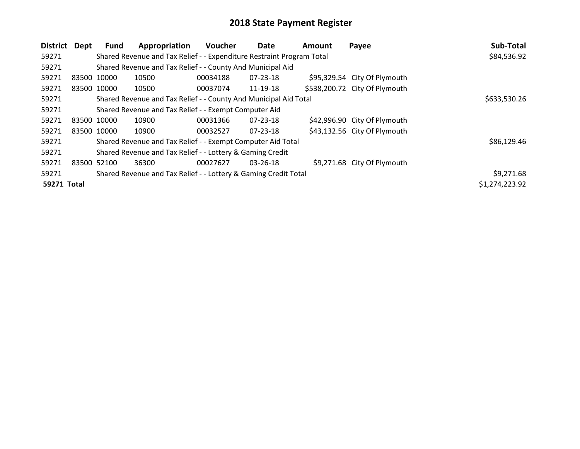| District    | Dept        | Fund | Appropriation                                                         | Voucher  | Date           | <b>Amount</b> | Payee                         | Sub-Total      |
|-------------|-------------|------|-----------------------------------------------------------------------|----------|----------------|---------------|-------------------------------|----------------|
| 59271       |             |      | Shared Revenue and Tax Relief - - Expenditure Restraint Program Total |          |                |               |                               | \$84,536.92    |
| 59271       |             |      | Shared Revenue and Tax Relief - - County And Municipal Aid            |          |                |               |                               |                |
| 59271       | 83500 10000 |      | 10500                                                                 | 00034188 | 07-23-18       |               | \$95,329.54 City Of Plymouth  |                |
| 59271       | 83500 10000 |      | 10500                                                                 | 00037074 | 11-19-18       |               | \$538,200.72 City Of Plymouth |                |
| 59271       |             |      | Shared Revenue and Tax Relief - - County And Municipal Aid Total      |          |                |               |                               | \$633,530.26   |
| 59271       |             |      | Shared Revenue and Tax Relief - - Exempt Computer Aid                 |          |                |               |                               |                |
| 59271       | 83500 10000 |      | 10900                                                                 | 00031366 | $07 - 23 - 18$ |               | \$42,996.90 City Of Plymouth  |                |
| 59271       | 83500 10000 |      | 10900                                                                 | 00032527 | 07-23-18       |               | \$43,132.56 City Of Plymouth  |                |
| 59271       |             |      | Shared Revenue and Tax Relief - - Exempt Computer Aid Total           |          |                |               |                               | \$86,129.46    |
| 59271       |             |      | Shared Revenue and Tax Relief - - Lottery & Gaming Credit             |          |                |               |                               |                |
| 59271       | 83500 52100 |      | 36300                                                                 | 00027627 | $03 - 26 - 18$ |               | \$9,271.68 City Of Plymouth   |                |
| 59271       |             |      | Shared Revenue and Tax Relief - - Lottery & Gaming Credit Total       |          |                |               |                               | \$9,271.68     |
| 59271 Total |             |      |                                                                       |          |                |               |                               | \$1,274,223.92 |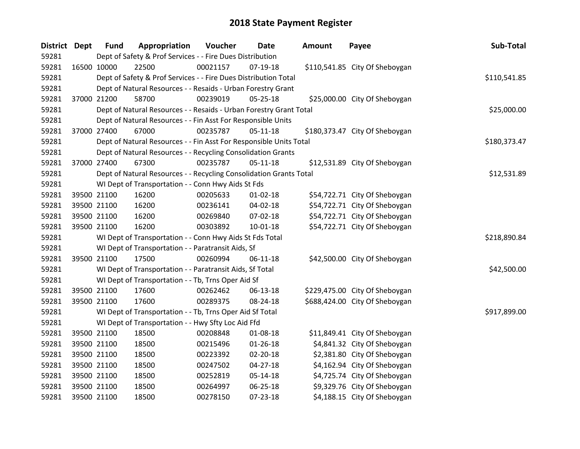| <b>District</b> | <b>Dept</b> | <b>Fund</b> | Appropriation                                                      | Voucher  | <b>Date</b>    | <b>Amount</b> | Payee                          | Sub-Total    |
|-----------------|-------------|-------------|--------------------------------------------------------------------|----------|----------------|---------------|--------------------------------|--------------|
| 59281           |             |             | Dept of Safety & Prof Services - - Fire Dues Distribution          |          |                |               |                                |              |
| 59281           | 16500 10000 |             | 22500                                                              | 00021157 | 07-19-18       |               | \$110,541.85 City Of Sheboygan |              |
| 59281           |             |             | Dept of Safety & Prof Services - - Fire Dues Distribution Total    |          |                |               |                                | \$110,541.85 |
| 59281           |             |             | Dept of Natural Resources - - Resaids - Urban Forestry Grant       |          |                |               |                                |              |
| 59281           |             | 37000 21200 | 58700                                                              | 00239019 | 05-25-18       |               | \$25,000.00 City Of Sheboygan  |              |
| 59281           |             |             | Dept of Natural Resources - - Resaids - Urban Forestry Grant Total |          |                |               |                                | \$25,000.00  |
| 59281           |             |             | Dept of Natural Resources - - Fin Asst For Responsible Units       |          |                |               |                                |              |
| 59281           | 37000 27400 |             | 67000                                                              | 00235787 | $05 - 11 - 18$ |               | \$180,373.47 City Of Sheboygan |              |
| 59281           |             |             | Dept of Natural Resources - - Fin Asst For Responsible Units Total |          |                |               |                                | \$180,373.47 |
| 59281           |             |             | Dept of Natural Resources - - Recycling Consolidation Grants       |          |                |               |                                |              |
| 59281           |             | 37000 27400 | 67300                                                              | 00235787 | 05-11-18       |               | \$12,531.89 City Of Sheboygan  |              |
| 59281           |             |             | Dept of Natural Resources - - Recycling Consolidation Grants Total |          |                |               |                                | \$12,531.89  |
| 59281           |             |             | WI Dept of Transportation - - Conn Hwy Aids St Fds                 |          |                |               |                                |              |
| 59281           |             | 39500 21100 | 16200                                                              | 00205633 | $01 - 02 - 18$ |               | \$54,722.71 City Of Sheboygan  |              |
| 59281           |             | 39500 21100 | 16200                                                              | 00236141 | 04-02-18       |               | \$54,722.71 City Of Sheboygan  |              |
| 59281           |             | 39500 21100 | 16200                                                              | 00269840 | 07-02-18       |               | \$54,722.71 City Of Sheboygan  |              |
| 59281           |             | 39500 21100 | 16200                                                              | 00303892 | $10 - 01 - 18$ |               | \$54,722.71 City Of Sheboygan  |              |
| 59281           |             |             | WI Dept of Transportation - - Conn Hwy Aids St Fds Total           |          |                |               |                                | \$218,890.84 |
| 59281           |             |             | WI Dept of Transportation - - Paratransit Aids, Sf                 |          |                |               |                                |              |
| 59281           |             | 39500 21100 | 17500                                                              | 00260994 | 06-11-18       |               | \$42,500.00 City Of Sheboygan  |              |
| 59281           |             |             | WI Dept of Transportation - - Paratransit Aids, Sf Total           |          |                |               |                                | \$42,500.00  |
| 59281           |             |             | WI Dept of Transportation - - Tb, Trns Oper Aid Sf                 |          |                |               |                                |              |
| 59281           | 39500 21100 |             | 17600                                                              | 00262462 | 06-13-18       |               | \$229,475.00 City Of Sheboygan |              |
| 59281           |             | 39500 21100 | 17600                                                              | 00289375 | 08-24-18       |               | \$688,424.00 City Of Sheboygan |              |
| 59281           |             |             | WI Dept of Transportation - - Tb, Trns Oper Aid Sf Total           |          |                |               |                                | \$917,899.00 |
| 59281           |             |             | WI Dept of Transportation - - Hwy Sfty Loc Aid Ffd                 |          |                |               |                                |              |
| 59281           |             | 39500 21100 | 18500                                                              | 00208848 | 01-08-18       |               | \$11,849.41 City Of Sheboygan  |              |
| 59281           |             | 39500 21100 | 18500                                                              | 00215496 | $01 - 26 - 18$ |               | \$4,841.32 City Of Sheboygan   |              |
| 59281           | 39500 21100 |             | 18500                                                              | 00223392 | $02 - 20 - 18$ |               | \$2,381.80 City Of Sheboygan   |              |
| 59281           | 39500 21100 |             | 18500                                                              | 00247502 | 04-27-18       |               | \$4,162.94 City Of Sheboygan   |              |
| 59281           |             | 39500 21100 | 18500                                                              | 00252819 | $05 - 14 - 18$ |               | \$4,725.74 City Of Sheboygan   |              |
| 59281           |             | 39500 21100 | 18500                                                              | 00264997 | 06-25-18       |               | \$9,329.76 City Of Sheboygan   |              |
| 59281           | 39500 21100 |             | 18500                                                              | 00278150 | $07 - 23 - 18$ |               | \$4,188.15 City Of Sheboygan   |              |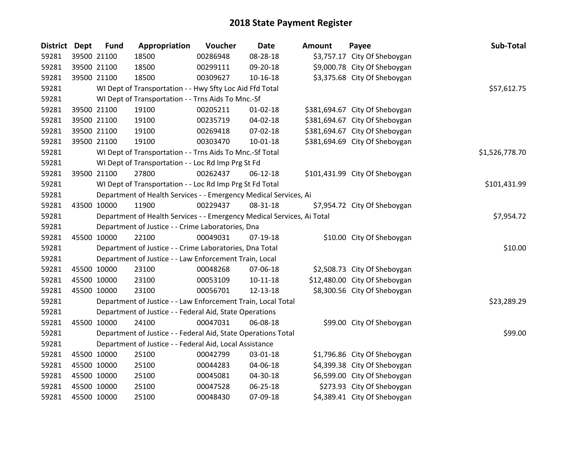| District Dept | <b>Fund</b> | Appropriation                                                          | Voucher     | <b>Date</b>    | <b>Amount</b> | Payee                          | Sub-Total      |
|---------------|-------------|------------------------------------------------------------------------|-------------|----------------|---------------|--------------------------------|----------------|
| 59281         | 39500 21100 | 18500                                                                  | 00286948    | 08-28-18       |               | \$3,757.17 City Of Sheboygan   |                |
| 59281         | 39500 21100 | 18500                                                                  | 00299111    | 09-20-18       |               | \$9,000.78 City Of Sheboygan   |                |
| 59281         | 39500 21100 | 18500                                                                  | 00309627    | $10 - 16 - 18$ |               | \$3,375.68 City Of Sheboygan   |                |
| 59281         |             | WI Dept of Transportation - - Hwy Sfty Loc Aid Ffd Total               | \$57,612.75 |                |               |                                |                |
| 59281         |             | WI Dept of Transportation - - Trns Aids To Mnc.-Sf                     |             |                |               |                                |                |
| 59281         | 39500 21100 | 19100                                                                  | 00205211    | $01 - 02 - 18$ |               | \$381,694.67 City Of Sheboygan |                |
| 59281         | 39500 21100 | 19100                                                                  | 00235719    | 04-02-18       |               | \$381,694.67 City Of Sheboygan |                |
| 59281         | 39500 21100 | 19100                                                                  | 00269418    | 07-02-18       |               | \$381,694.67 City Of Sheboygan |                |
| 59281         | 39500 21100 | 19100                                                                  | 00303470    | $10 - 01 - 18$ |               | \$381,694.69 City Of Sheboygan |                |
| 59281         |             | WI Dept of Transportation - - Trns Aids To Mnc.-Sf Total               |             |                |               |                                | \$1,526,778.70 |
| 59281         |             | WI Dept of Transportation - - Loc Rd Imp Prg St Fd                     |             |                |               |                                |                |
| 59281         | 39500 21100 | 27800                                                                  | 00262437    | 06-12-18       |               | \$101,431.99 City Of Sheboygan |                |
| 59281         |             | WI Dept of Transportation - - Loc Rd Imp Prg St Fd Total               |             |                |               |                                | \$101,431.99   |
| 59281         |             | Department of Health Services - - Emergency Medical Services, Ai       |             |                |               |                                |                |
| 59281         | 43500 10000 | 11900                                                                  | 00229437    | 08-31-18       |               | \$7,954.72 City Of Sheboygan   |                |
| 59281         |             | Department of Health Services - - Emergency Medical Services, Ai Total |             |                |               |                                | \$7,954.72     |
| 59281         |             | Department of Justice - - Crime Laboratories, Dna                      |             |                |               |                                |                |
| 59281         | 45500 10000 | 22100                                                                  | 00049031    | 07-19-18       |               | \$10.00 City Of Sheboygan      |                |
| 59281         |             | Department of Justice - - Crime Laboratories, Dna Total                |             |                |               |                                | \$10.00        |
| 59281         |             | Department of Justice - - Law Enforcement Train, Local                 |             |                |               |                                |                |
| 59281         | 45500 10000 | 23100                                                                  | 00048268    | 07-06-18       |               | \$2,508.73 City Of Sheboygan   |                |
| 59281         | 45500 10000 | 23100                                                                  | 00053109    | $10-11-18$     |               | \$12,480.00 City Of Sheboygan  |                |
| 59281         | 45500 10000 | 23100                                                                  | 00056701    | 12-13-18       |               | \$8,300.56 City Of Sheboygan   |                |
| 59281         |             | Department of Justice - - Law Enforcement Train, Local Total           |             |                |               |                                | \$23,289.29    |
| 59281         |             | Department of Justice - - Federal Aid, State Operations                |             |                |               |                                |                |
| 59281         | 45500 10000 | 24100                                                                  | 00047031    | 06-08-18       |               | \$99.00 City Of Sheboygan      |                |
| 59281         |             | Department of Justice - - Federal Aid, State Operations Total          |             |                |               |                                | \$99.00        |
| 59281         |             | Department of Justice - - Federal Aid, Local Assistance                |             |                |               |                                |                |
| 59281         | 45500 10000 | 25100                                                                  | 00042799    | 03-01-18       |               | \$1,796.86 City Of Sheboygan   |                |
| 59281         | 45500 10000 | 25100                                                                  | 00044283    | 04-06-18       |               | \$4,399.38 City Of Sheboygan   |                |
| 59281         | 45500 10000 | 25100                                                                  | 00045081    | 04-30-18       |               | \$6,599.00 City Of Sheboygan   |                |
| 59281         | 45500 10000 | 25100                                                                  | 00047528    | 06-25-18       |               | \$273.93 City Of Sheboygan     |                |
| 59281         | 45500 10000 | 25100                                                                  | 00048430    | 07-09-18       |               | \$4,389.41 City Of Sheboygan   |                |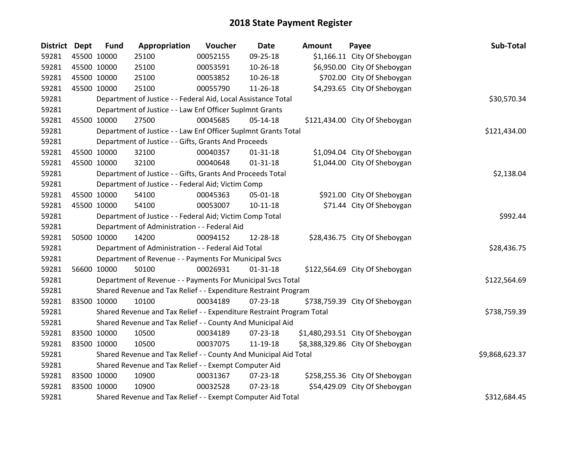| District Dept |             | <b>Fund</b> | Appropriation                                                         | Voucher  | <b>Date</b>    | <b>Amount</b> | Payee                            | Sub-Total      |
|---------------|-------------|-------------|-----------------------------------------------------------------------|----------|----------------|---------------|----------------------------------|----------------|
| 59281         |             | 45500 10000 | 25100                                                                 | 00052155 | 09-25-18       |               | \$1,166.11 City Of Sheboygan     |                |
| 59281         |             | 45500 10000 | 25100                                                                 | 00053591 | 10-26-18       |               | \$6,950.00 City Of Sheboygan     |                |
| 59281         |             | 45500 10000 | 25100                                                                 | 00053852 | 10-26-18       |               | \$702.00 City Of Sheboygan       |                |
| 59281         |             | 45500 10000 | 25100                                                                 | 00055790 | 11-26-18       |               | \$4,293.65 City Of Sheboygan     |                |
| 59281         |             |             | Department of Justice - - Federal Aid, Local Assistance Total         |          |                |               |                                  | \$30,570.34    |
| 59281         |             |             | Department of Justice - - Law Enf Officer Suplmnt Grants              |          |                |               |                                  |                |
| 59281         |             | 45500 10000 | 27500                                                                 | 00045685 | 05-14-18       |               | \$121,434.00 City Of Sheboygan   |                |
| 59281         |             |             | Department of Justice - - Law Enf Officer Suplmnt Grants Total        |          |                |               |                                  | \$121,434.00   |
| 59281         |             |             | Department of Justice - - Gifts, Grants And Proceeds                  |          |                |               |                                  |                |
| 59281         |             | 45500 10000 | 32100                                                                 | 00040357 | $01 - 31 - 18$ |               | \$1,094.04 City Of Sheboygan     |                |
| 59281         |             | 45500 10000 | 32100                                                                 | 00040648 | $01 - 31 - 18$ |               | \$1,044.00 City Of Sheboygan     |                |
| 59281         |             |             | Department of Justice - - Gifts, Grants And Proceeds Total            |          |                |               |                                  | \$2,138.04     |
| 59281         |             |             | Department of Justice - - Federal Aid; Victim Comp                    |          |                |               |                                  |                |
| 59281         |             | 45500 10000 | 54100                                                                 | 00045363 | 05-01-18       |               | \$921.00 City Of Sheboygan       |                |
| 59281         |             | 45500 10000 | 54100                                                                 | 00053007 | $10 - 11 - 18$ |               | \$71.44 City Of Sheboygan        |                |
| 59281         |             |             | Department of Justice - - Federal Aid; Victim Comp Total              |          |                |               |                                  | \$992.44       |
| 59281         |             |             | Department of Administration - - Federal Aid                          |          |                |               |                                  |                |
| 59281         |             | 50500 10000 | 14200                                                                 | 00094152 | 12-28-18       |               | \$28,436.75 City Of Sheboygan    |                |
| 59281         |             |             | Department of Administration - - Federal Aid Total                    |          |                |               |                                  | \$28,436.75    |
| 59281         |             |             | Department of Revenue - - Payments For Municipal Svcs                 |          |                |               |                                  |                |
| 59281         |             | 56600 10000 | 50100                                                                 | 00026931 | $01 - 31 - 18$ |               | \$122,564.69 City Of Sheboygan   |                |
| 59281         |             |             | Department of Revenue - - Payments For Municipal Svcs Total           |          |                |               |                                  | \$122,564.69   |
| 59281         |             |             | Shared Revenue and Tax Relief - - Expenditure Restraint Program       |          |                |               |                                  |                |
| 59281         |             | 83500 10000 | 10100                                                                 | 00034189 | $07 - 23 - 18$ |               | \$738,759.39 City Of Sheboygan   |                |
| 59281         |             |             | Shared Revenue and Tax Relief - - Expenditure Restraint Program Total |          |                |               |                                  | \$738,759.39   |
| 59281         |             |             | Shared Revenue and Tax Relief - - County And Municipal Aid            |          |                |               |                                  |                |
| 59281         |             | 83500 10000 | 10500                                                                 | 00034189 | 07-23-18       |               | \$1,480,293.51 City Of Sheboygan |                |
| 59281         |             | 83500 10000 | 10500                                                                 | 00037075 | 11-19-18       |               | \$8,388,329.86 City Of Sheboygan |                |
| 59281         |             |             | Shared Revenue and Tax Relief - - County And Municipal Aid Total      |          |                |               |                                  | \$9,868,623.37 |
| 59281         |             |             | Shared Revenue and Tax Relief - - Exempt Computer Aid                 |          |                |               |                                  |                |
| 59281         | 83500 10000 |             | 10900                                                                 | 00031367 | 07-23-18       |               | \$258,255.36 City Of Sheboygan   |                |
| 59281         |             | 83500 10000 | 10900                                                                 | 00032528 | 07-23-18       |               | \$54,429.09 City Of Sheboygan    |                |
| 59281         |             |             | Shared Revenue and Tax Relief - - Exempt Computer Aid Total           |          |                |               |                                  | \$312,684.45   |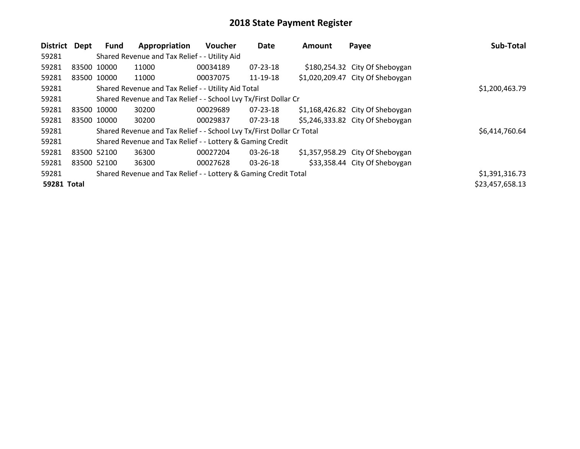| <b>District</b> | Dept        | Fund | Appropriation                                                         | <b>Voucher</b> | Date           | <b>Amount</b> | Payee                             | Sub-Total       |
|-----------------|-------------|------|-----------------------------------------------------------------------|----------------|----------------|---------------|-----------------------------------|-----------------|
| 59281           |             |      | Shared Revenue and Tax Relief - - Utility Aid                         |                |                |               |                                   |                 |
| 59281           | 83500 10000 |      | 11000                                                                 | 00034189       | $07 - 23 - 18$ |               | \$180,254.32 City Of Sheboygan    |                 |
| 59281           | 83500 10000 |      | 11000                                                                 | 00037075       | 11-19-18       |               | \$1,020,209.47 City Of Sheboygan  |                 |
| 59281           |             |      | Shared Revenue and Tax Relief - - Utility Aid Total                   |                |                |               |                                   | \$1,200,463.79  |
| 59281           |             |      | Shared Revenue and Tax Relief - - School Lvy Tx/First Dollar Cr       |                |                |               |                                   |                 |
| 59281           | 83500 10000 |      | 30200                                                                 | 00029689       | 07-23-18       |               | $$1,168,426.82$ City Of Sheboygan |                 |
| 59281           | 83500 10000 |      | 30200                                                                 | 00029837       | 07-23-18       |               | \$5,246,333.82 City Of Sheboygan  |                 |
| 59281           |             |      | Shared Revenue and Tax Relief - - School Lvy Tx/First Dollar Cr Total |                |                |               |                                   | \$6,414,760.64  |
| 59281           |             |      | Shared Revenue and Tax Relief - - Lottery & Gaming Credit             |                |                |               |                                   |                 |
| 59281           | 83500 52100 |      | 36300                                                                 | 00027204       | 03-26-18       |               | $$1,357,958.29$ City Of Sheboygan |                 |
| 59281           | 83500 52100 |      | 36300                                                                 | 00027628       | 03-26-18       |               | \$33,358.44 City Of Sheboygan     |                 |
| 59281           |             |      | Shared Revenue and Tax Relief - - Lottery & Gaming Credit Total       |                |                |               |                                   | \$1,391,316.73  |
| 59281 Total     |             |      |                                                                       |                |                |               |                                   | \$23,457,658.13 |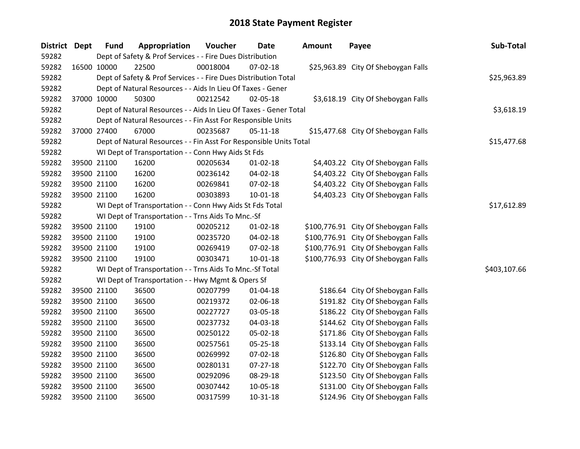| <b>District</b> | <b>Dept</b> | <b>Fund</b>                                                     | Appropriation                                                      | Voucher  | <b>Date</b>    | <b>Amount</b> | Payee                                | Sub-Total    |
|-----------------|-------------|-----------------------------------------------------------------|--------------------------------------------------------------------|----------|----------------|---------------|--------------------------------------|--------------|
| 59282           |             | Dept of Safety & Prof Services - - Fire Dues Distribution       |                                                                    |          |                |               |                                      |              |
| 59282           | 16500 10000 |                                                                 | 22500                                                              | 00018004 | 07-02-18       |               | \$25,963.89 City Of Sheboygan Falls  |              |
| 59282           |             | Dept of Safety & Prof Services - - Fire Dues Distribution Total | \$25,963.89                                                        |          |                |               |                                      |              |
| 59282           |             |                                                                 | Dept of Natural Resources - - Aids In Lieu Of Taxes - Gener        |          |                |               |                                      |              |
| 59282           |             | 37000 10000                                                     | 50300                                                              | 00212542 | 02-05-18       |               | \$3,618.19 City Of Sheboygan Falls   |              |
| 59282           |             |                                                                 | Dept of Natural Resources - - Aids In Lieu Of Taxes - Gener Total  |          |                |               |                                      | \$3,618.19   |
| 59282           |             |                                                                 | Dept of Natural Resources - - Fin Asst For Responsible Units       |          |                |               |                                      |              |
| 59282           |             | 37000 27400                                                     | 67000                                                              | 00235687 | $05-11-18$     |               | \$15,477.68 City Of Sheboygan Falls  |              |
| 59282           |             |                                                                 | Dept of Natural Resources - - Fin Asst For Responsible Units Total |          |                |               |                                      | \$15,477.68  |
| 59282           |             |                                                                 | WI Dept of Transportation - - Conn Hwy Aids St Fds                 |          |                |               |                                      |              |
| 59282           |             | 39500 21100                                                     | 16200                                                              | 00205634 | 01-02-18       |               | \$4,403.22 City Of Sheboygan Falls   |              |
| 59282           |             | 39500 21100                                                     | 16200                                                              | 00236142 | 04-02-18       |               | \$4,403.22 City Of Sheboygan Falls   |              |
| 59282           |             | 39500 21100                                                     | 16200                                                              | 00269841 | 07-02-18       |               | \$4,403.22 City Of Sheboygan Falls   |              |
| 59282           |             | 39500 21100                                                     | 16200                                                              | 00303893 | 10-01-18       |               | \$4,403.23 City Of Sheboygan Falls   |              |
| 59282           |             |                                                                 | WI Dept of Transportation - - Conn Hwy Aids St Fds Total           |          |                |               |                                      | \$17,612.89  |
| 59282           |             |                                                                 | WI Dept of Transportation - - Trns Aids To Mnc.-Sf                 |          |                |               |                                      |              |
| 59282           |             | 39500 21100                                                     | 19100                                                              | 00205212 | $01 - 02 - 18$ |               | \$100,776.91 City Of Sheboygan Falls |              |
| 59282           |             | 39500 21100                                                     | 19100                                                              | 00235720 | 04-02-18       |               | \$100,776.91 City Of Sheboygan Falls |              |
| 59282           |             | 39500 21100                                                     | 19100                                                              | 00269419 | 07-02-18       |               | \$100,776.91 City Of Sheboygan Falls |              |
| 59282           |             | 39500 21100                                                     | 19100                                                              | 00303471 | $10 - 01 - 18$ |               | \$100,776.93 City Of Sheboygan Falls |              |
| 59282           |             |                                                                 | WI Dept of Transportation - - Trns Aids To Mnc.-Sf Total           |          |                |               |                                      | \$403,107.66 |
| 59282           |             |                                                                 | WI Dept of Transportation - - Hwy Mgmt & Opers Sf                  |          |                |               |                                      |              |
| 59282           |             | 39500 21100                                                     | 36500                                                              | 00207799 | 01-04-18       |               | \$186.64 City Of Sheboygan Falls     |              |
| 59282           |             | 39500 21100                                                     | 36500                                                              | 00219372 | 02-06-18       |               | \$191.82 City Of Sheboygan Falls     |              |
| 59282           |             | 39500 21100                                                     | 36500                                                              | 00227727 | 03-05-18       |               | \$186.22 City Of Sheboygan Falls     |              |
| 59282           |             | 39500 21100                                                     | 36500                                                              | 00237732 | 04-03-18       |               | \$144.62 City Of Sheboygan Falls     |              |
| 59282           |             | 39500 21100                                                     | 36500                                                              | 00250122 | 05-02-18       |               | \$171.86 City Of Sheboygan Falls     |              |
| 59282           |             | 39500 21100                                                     | 36500                                                              | 00257561 | 05-25-18       |               | \$133.14 City Of Sheboygan Falls     |              |
| 59282           |             | 39500 21100                                                     | 36500                                                              | 00269992 | 07-02-18       |               | \$126.80 City Of Sheboygan Falls     |              |
| 59282           |             | 39500 21100                                                     | 36500                                                              | 00280131 | 07-27-18       |               | \$122.70 City Of Sheboygan Falls     |              |
| 59282           |             | 39500 21100                                                     | 36500                                                              | 00292096 | 08-29-18       |               | \$123.50 City Of Sheboygan Falls     |              |
| 59282           |             | 39500 21100                                                     | 36500                                                              | 00307442 | 10-05-18       |               | \$131.00 City Of Sheboygan Falls     |              |
| 59282           | 39500 21100 |                                                                 | 36500                                                              | 00317599 | 10-31-18       |               | \$124.96 City Of Sheboygan Falls     |              |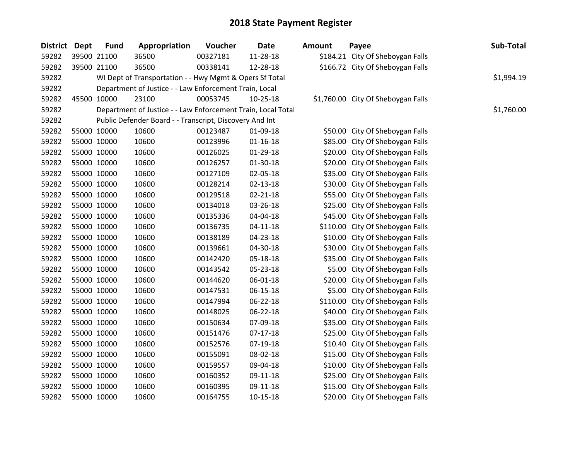| District Dept | <b>Fund</b> | Appropriation                                                | Voucher  | <b>Date</b>    | <b>Amount</b> | Payee                              | Sub-Total  |  |  |  |
|---------------|-------------|--------------------------------------------------------------|----------|----------------|---------------|------------------------------------|------------|--|--|--|
| 59282         | 39500 21100 | 36500                                                        | 00327181 | 11-28-18       |               | \$184.21 City Of Sheboygan Falls   |            |  |  |  |
| 59282         | 39500 21100 | 36500                                                        | 00338141 | 12-28-18       |               | \$166.72 City Of Sheboygan Falls   |            |  |  |  |
| 59282         |             | WI Dept of Transportation - - Hwy Mgmt & Opers Sf Total      |          |                |               |                                    |            |  |  |  |
| 59282         |             | Department of Justice - - Law Enforcement Train, Local       |          |                |               |                                    |            |  |  |  |
| 59282         | 45500 10000 | 23100                                                        | 00053745 | 10-25-18       |               | \$1,760.00 City Of Sheboygan Falls |            |  |  |  |
| 59282         |             | Department of Justice - - Law Enforcement Train, Local Total |          |                |               |                                    | \$1,760.00 |  |  |  |
| 59282         |             | Public Defender Board - - Transcript, Discovery And Int      |          |                |               |                                    |            |  |  |  |
| 59282         | 55000 10000 | 10600                                                        | 00123487 | 01-09-18       |               | \$50.00 City Of Sheboygan Falls    |            |  |  |  |
| 59282         | 55000 10000 | 10600                                                        | 00123996 | $01 - 16 - 18$ |               | \$85.00 City Of Sheboygan Falls    |            |  |  |  |
| 59282         | 55000 10000 | 10600                                                        | 00126025 | 01-29-18       |               | \$20.00 City Of Sheboygan Falls    |            |  |  |  |
| 59282         | 55000 10000 | 10600                                                        | 00126257 | $01-30-18$     |               | \$20.00 City Of Sheboygan Falls    |            |  |  |  |
| 59282         | 55000 10000 | 10600                                                        | 00127109 | 02-05-18       |               | \$35.00 City Of Sheboygan Falls    |            |  |  |  |
| 59282         | 55000 10000 | 10600                                                        | 00128214 | $02 - 13 - 18$ |               | \$30.00 City Of Sheboygan Falls    |            |  |  |  |
| 59282         | 55000 10000 | 10600                                                        | 00129518 | $02 - 21 - 18$ |               | \$55.00 City Of Sheboygan Falls    |            |  |  |  |
| 59282         | 55000 10000 | 10600                                                        | 00134018 | 03-26-18       |               | \$25.00 City Of Sheboygan Falls    |            |  |  |  |
| 59282         | 55000 10000 | 10600                                                        | 00135336 | 04-04-18       |               | \$45.00 City Of Sheboygan Falls    |            |  |  |  |
| 59282         | 55000 10000 | 10600                                                        | 00136735 | $04 - 11 - 18$ |               | \$110.00 City Of Sheboygan Falls   |            |  |  |  |
| 59282         | 55000 10000 | 10600                                                        | 00138189 | 04-23-18       |               | \$10.00 City Of Sheboygan Falls    |            |  |  |  |
| 59282         | 55000 10000 | 10600                                                        | 00139661 | 04-30-18       |               | \$30.00 City Of Sheboygan Falls    |            |  |  |  |
| 59282         | 55000 10000 | 10600                                                        | 00142420 | 05-18-18       |               | \$35.00 City Of Sheboygan Falls    |            |  |  |  |
| 59282         | 55000 10000 | 10600                                                        | 00143542 | 05-23-18       |               | \$5.00 City Of Sheboygan Falls     |            |  |  |  |
| 59282         | 55000 10000 | 10600                                                        | 00144620 | 06-01-18       |               | \$20.00 City Of Sheboygan Falls    |            |  |  |  |
| 59282         | 55000 10000 | 10600                                                        | 00147531 | 06-15-18       |               | \$5.00 City Of Sheboygan Falls     |            |  |  |  |
| 59282         | 55000 10000 | 10600                                                        | 00147994 | 06-22-18       |               | \$110.00 City Of Sheboygan Falls   |            |  |  |  |
| 59282         | 55000 10000 | 10600                                                        | 00148025 | 06-22-18       |               | \$40.00 City Of Sheboygan Falls    |            |  |  |  |
| 59282         | 55000 10000 | 10600                                                        | 00150634 | 07-09-18       |               | \$35.00 City Of Sheboygan Falls    |            |  |  |  |
| 59282         | 55000 10000 | 10600                                                        | 00151476 | $07-17-18$     |               | \$25.00 City Of Sheboygan Falls    |            |  |  |  |
| 59282         | 55000 10000 | 10600                                                        | 00152576 | 07-19-18       |               | \$10.40 City Of Sheboygan Falls    |            |  |  |  |
| 59282         | 55000 10000 | 10600                                                        | 00155091 | 08-02-18       |               | \$15.00 City Of Sheboygan Falls    |            |  |  |  |
| 59282         | 55000 10000 | 10600                                                        | 00159557 | 09-04-18       |               | \$10.00 City Of Sheboygan Falls    |            |  |  |  |
| 59282         | 55000 10000 | 10600                                                        | 00160352 | 09-11-18       |               | \$25.00 City Of Sheboygan Falls    |            |  |  |  |
| 59282         | 55000 10000 | 10600                                                        | 00160395 | 09-11-18       |               | \$15.00 City Of Sheboygan Falls    |            |  |  |  |
| 59282         | 55000 10000 | 10600                                                        | 00164755 | $10-15-18$     |               | \$20.00 City Of Sheboygan Falls    |            |  |  |  |